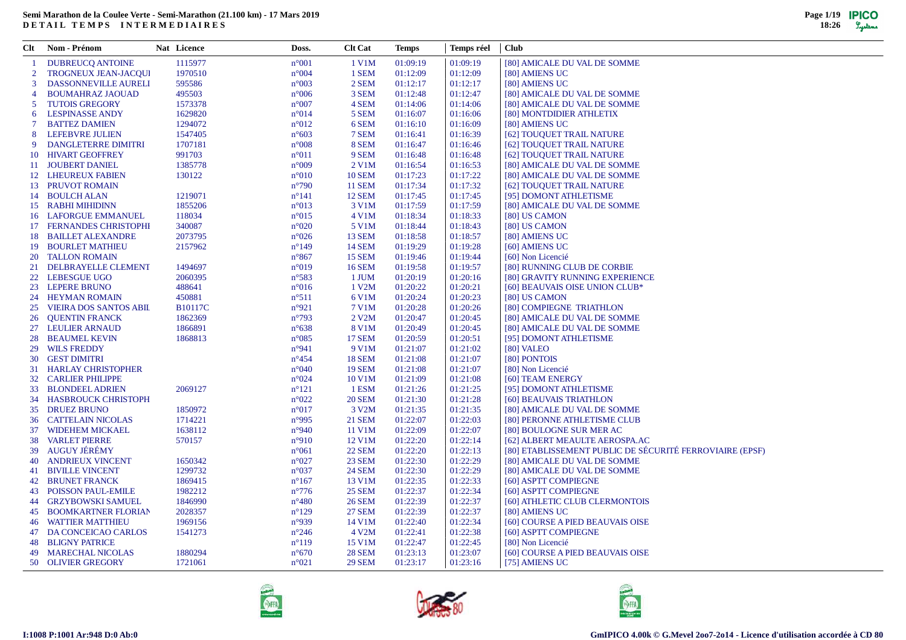|                | Clt Nom - Prénom              | Nat Licence    | Doss.          | <b>Clt Cat</b> | <b>Temps</b> | Temps réel | <b>Club</b>                                              |
|----------------|-------------------------------|----------------|----------------|----------------|--------------|------------|----------------------------------------------------------|
|                | <b>DUBREUCQ ANTOINE</b>       | 1115977        | $n^{\circ}001$ | 1 V1M          | 01:09:19     | 01:09:19   | [80] AMICALE DU VAL DE SOMME                             |
| $\overline{2}$ | <b>TROGNEUX JEAN-JACOUI</b>   | 1970510        | n°004          | 1 SEM          | 01:12:09     | 01:12:09   | [80] AMIENS UC                                           |
| 3              | DASSONNEVILLE AURELI          | 595586         | $n^{\circ}003$ | 2 SEM          | 01:12:17     | 01:12:17   | [80] AMIENS UC                                           |
| $\overline{4}$ | <b>BOUMAHRAZ JAOUAD</b>       | 495503         | $n^{\circ}006$ | 3 SEM          | 01:12:48     | 01:12:47   | [80] AMICALE DU VAL DE SOMME                             |
| 5              | <b>TUTOIS GREGORY</b>         | 1573378        | $n^{\circ}007$ | 4 SEM          | 01:14:06     | 01:14:06   | [80] AMICALE DU VAL DE SOMME                             |
| 6              | <b>LESPINASSE ANDY</b>        | 1629820        | n°014          | 5 SEM          | 01:16:07     | 01:16:06   | [80] MONTDIDIER ATHLETIX                                 |
| $\tau$         | <b>BATTEZ DAMIEN</b>          | 1294072        | $n^{\circ}012$ | 6 SEM          | 01:16:10     | 01:16:09   | [80] AMIENS UC                                           |
| 8              | LEFEBVRE JULIEN               | 1547405        | $n^{\circ}603$ | 7 SEM          | 01:16:41     | 01:16:39   | [62] TOUQUET TRAIL NATURE                                |
| 9              | <b>DANGLETERRE DIMITRI</b>    | 1707181        | $n^{\circ}008$ | 8 SEM          | 01:16:47     | 01:16:46   | [62] TOUQUET TRAIL NATURE                                |
| 10             | <b>HIVART GEOFFREY</b>        | 991703         | $n^{\circ}011$ | 9 SEM          | 01:16:48     | 01:16:48   | [62] TOUQUET TRAIL NATURE                                |
|                | 11 JOUBERT DANIEL             | 1385778        | $n^{\circ}009$ | $2$ V1M        | 01:16:54     | 01:16:53   | [80] AMICALE DU VAL DE SOMME                             |
|                | 12 LHEUREUX FABIEN            | 130122         | $n^{\circ}010$ | <b>10 SEM</b>  | 01:17:23     | 01:17:22   | [80] AMICALE DU VAL DE SOMME                             |
|                | 13 PRUVOT ROMAIN              |                | $n^{\circ}790$ | <b>11 SEM</b>  | 01:17:34     | 01:17:32   | [62] TOUQUET TRAIL NATURE                                |
|                | 14 BOULCH ALAN                | 1219071        | $n^{\circ}141$ | <b>12 SEM</b>  | 01:17:45     | 01:17:45   | [95] DOMONT ATHLETISME                                   |
|                | 15 RABHI MIHIDINN             | 1855206        | $n^{\circ}013$ | 3 V1M          | 01:17:59     | 01:17:59   | [80] AMICALE DU VAL DE SOMME                             |
|                | <b>16 LAFORGUE EMMANUEL</b>   | 118034         | $n^{\circ}015$ | 4 V1M          | 01:18:34     | 01:18:33   | [80] US CAMON                                            |
|                | 17 FERNANDES CHRISTOPHI       | 340087         | $n^{\circ}020$ | 5 V1M          | 01:18:44     | 01:18:43   | [80] US CAMON                                            |
|                | <b>18 BAILLET ALEXANDRE</b>   | 2073795        | $n^{\circ}026$ | <b>13 SEM</b>  | 01:18:58     | 01:18:57   | [80] AMIENS UC                                           |
| 19             | <b>BOURLET MATHIEU</b>        | 2157962        | $n^{\circ}149$ | <b>14 SEM</b>  | 01:19:29     | 01:19:28   | [60] AMIENS UC                                           |
|                | 20 TALLON ROMAIN              |                | $n^{\circ}867$ | <b>15 SEM</b>  | 01:19:46     | 01:19:44   | [60] Non Licencié                                        |
| 21             | DELBRAYELLE CLEMENT           | 1494697        | $n^{\circ}019$ | <b>16 SEM</b>  | 01:19:58     | 01:19:57   | [80] RUNNING CLUB DE CORBIE                              |
| 22             | <b>LEBESGUE UGO</b>           | 2060395        | $n^{\circ}583$ | 1 JUM          | 01:20:19     | 01:20:16   | [80] GRAVITY RUNNING EXPERIENCE                          |
| 23             | <b>LEPERE BRUNO</b>           | 488641         | $n^{\circ}016$ | 1 V2M          | 01:20:22     | 01:20:21   | [60] BEAUVAIS OISE UNION CLUB*                           |
|                | 24 HEYMAN ROMAIN              | 450881         | $n^{\circ}511$ | 6 V1M          | 01:20:24     | 01:20:23   | [80] US CAMON                                            |
| 25             | <b>VIEIRA DOS SANTOS ABIL</b> | <b>B10117C</b> | $n^{\circ}921$ | 7 V1M          | 01:20:28     | 01:20:26   | [80] COMPIEGNE TRIATHLON                                 |
| 26             | <b>QUENTIN FRANCK</b>         | 1862369        | $n^{\circ}793$ | 2 V2M          | 01:20:47     | 01:20:45   | [80] AMICALE DU VAL DE SOMME                             |
| 27             | <b>LEULIER ARNAUD</b>         | 1866891        | $n^{\circ}638$ | 8 V1M          | 01:20:49     | 01:20:45   | [80] AMICALE DU VAL DE SOMME                             |
| 28             | <b>BEAUMEL KEVIN</b>          | 1868813        | $n^{\circ}085$ | <b>17 SEM</b>  | 01:20:59     | 01:20:51   | [95] DOMONT ATHLETISME                                   |
| 29             | <b>WILS FREDDY</b>            |                | $n^{\circ}941$ | 9 V1M          | 01:21:07     | 01:21:02   | [80] VALEO                                               |
| 30             | <b>GEST DIMITRI</b>           |                | $n^{\circ}454$ | <b>18 SEM</b>  | 01:21:08     | 01:21:07   | [80] PONTOIS                                             |
|                | 31 HARLAY CHRISTOPHER         |                | $n^{\circ}040$ | <b>19 SEM</b>  | 01:21:08     | 01:21:07   | [80] Non Licencié                                        |
|                | <b>32 CARLIER PHILIPPE</b>    |                | n°024          | 10 V1M         | 01:21:09     | 01:21:08   | [60] TEAM ENERGY                                         |
|                | 33 BLONDEEL ADRIEN            | 2069127        | $n^{\circ}121$ | 1 ESM          | 01:21:26     | 01:21:25   | [95] DOMONT ATHLETISME                                   |
|                | 34 HASBROUCK CHRISTOPH        |                | $n^{\circ}022$ | <b>20 SEM</b>  | 01:21:30     | 01:21:28   | [60] BEAUVAIS TRIATHLON                                  |
|                | 35 DRUEZ BRUNO                | 1850972        | $n^{\circ}017$ | 3 V2M          | 01:21:35     | 01:21:35   | [80] AMICALE DU VAL DE SOMME                             |
| 36             | <b>CATTELAIN NICOLAS</b>      | 1714221        | n°995          | <b>21 SEM</b>  | 01:22:07     | 01:22:03   | [80] PERONNE ATHLETISME CLUB                             |
| 37             | <b>WIDEHEM MICKAEL</b>        | 1638112        | $n^{\circ}940$ | 11 V1M         | 01:22:09     | 01:22:07   | [80] BOULOGNE SUR MER AC                                 |
|                | <b>38 VARLET PIERRE</b>       | 570157         | $n^{\circ}910$ | 12 V1M         | 01:22:20     | 01:22:14   | [62] ALBERT MEAULTE AEROSPA.AC                           |
| 39             | AUGUY JÉRÉMY                  |                | $n^{\circ}061$ | <b>22 SEM</b>  | 01:22:20     | 01:22:13   | [80] ETABLISSEMENT PUBLIC DE SÉCURITÉ FERROVIAIRE (EPSF) |
| 40             | <b>ANDRIEUX VINCENT</b>       | 1650342        | $n^{\circ}027$ | <b>23 SEM</b>  | 01:22:30     | 01:22:29   | [80] AMICALE DU VAL DE SOMME                             |
| 41             | <b>BIVILLE VINCENT</b>        | 1299732        | $n^{\circ}037$ | <b>24 SEM</b>  | 01:22:30     | 01:22:29   | [80] AMICALE DU VAL DE SOMME                             |
|                | <b>42 BRUNET FRANCK</b>       | 1869415        | $n^{\circ}167$ | 13 V1M         | 01:22:35     | 01:22:33   | [60] ASPTT COMPIEGNE                                     |
| 43             | POISSON PAUL-EMILE            | 1982212        | $n^{\circ}776$ | <b>25 SEM</b>  | 01:22:37     | 01:22:34   | [60] ASPTT COMPIEGNE                                     |
|                | <b>44 GRZYBOWSKI SAMUEL</b>   | 1846990        | $n^{\circ}480$ | <b>26 SEM</b>  | 01:22:39     | 01:22:37   | [60] ATHLETIC CLUB CLERMONTOIS                           |
| 45             | <b>BOOMKARTNER FLORIAN</b>    | 2028357        | $n^{\circ}129$ | <b>27 SEM</b>  | 01:22:39     | 01:22:37   | [80] AMIENS UC                                           |
| 46             | <b>WATTIER MATTHIEU</b>       | 1969156        | n°939          | 14 V1M         | 01:22:40     | 01:22:34   | [60] COURSE A PIED BEAUVAIS OISE                         |
| 47             | DA CONCEICAO CARLOS           | 1541273        | $n^{\circ}246$ | 4 V2M          | 01:22:41     | 01:22:38   | [60] ASPTT COMPIEGNE                                     |
| 48             | <b>BLIGNY PATRICE</b>         |                | $n^{\circ}119$ | 15 V1M         | 01:22:47     | 01:22:45   | [80] Non Licencié                                        |
| 49             | <b>MARECHAL NICOLAS</b>       | 1880294        | $n^{\circ}670$ | <b>28 SEM</b>  | 01:23:13     | 01:23:07   | [60] COURSE A PIED BEAUVAIS OISE                         |
|                | 50 OLIVIER GREGORY            | 1721061        | $n^{\circ}021$ | <b>29 SEM</b>  | 01:23:17     | 01:23:16   | [75] AMIENS UC                                           |





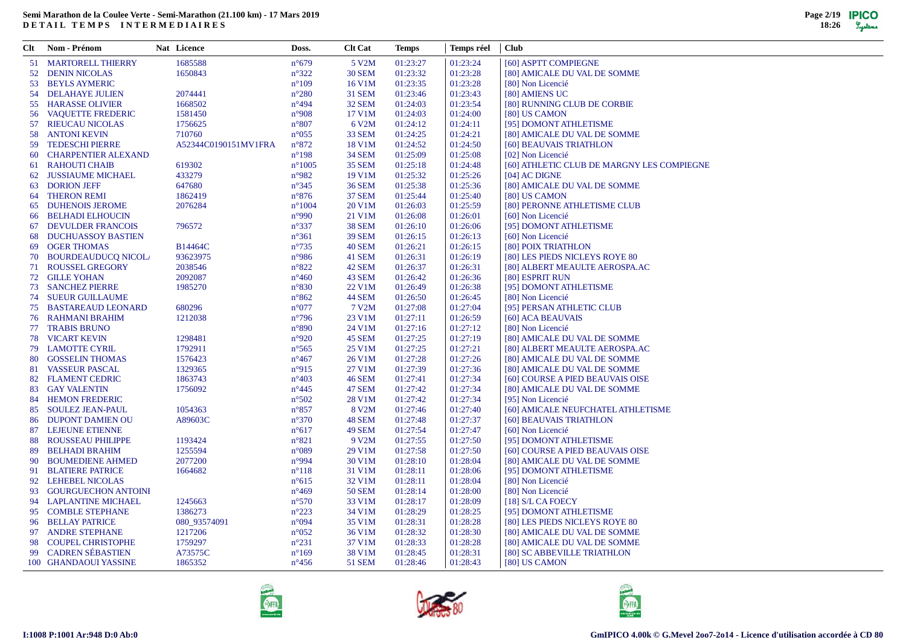| 1685588<br>01:23:24<br>51 MARTORELL THIERRY<br>$n^{\circ}679$<br>5 V2M<br>01:23:27<br>[60] ASPTT COMPIEGNE<br>1650843<br>$n^{\circ}322$<br><b>30 SEM</b><br>01:23:32<br>01:23:28<br>52 DENIN NICOLAS<br>[80] AMICALE DU VAL DE SOMME<br>$n^{\circ}109$<br>16 V1M<br>01:23:35<br>01:23:28<br>53 BEYLS AYMERIC<br>[80] Non Licencié<br>2074441<br>$n^{\circ}280$<br><b>31 SEM</b><br>01:23:46<br>01:23:43<br><b>54 DELAHAYE JULIEN</b><br>[80] AMIENS UC<br><b>32 SEM</b><br>01:23:54<br>55 HARASSE OLIVIER<br>1668502<br>$n^{\circ}494$<br>01:24:03<br>[80] RUNNING CLUB DE CORBIE<br>56 VAQUETTE FREDERIC<br>1581450<br>$n^{\circ}908$<br>17 V1M<br>01:24:03<br>01:24:00<br>[80] US CAMON<br>1756625<br>$n^{\circ}807$<br>6 V2M<br>01:24:11<br>[95] DOMONT ATHLETISME<br>57 RIEUCAU NICOLAS<br>01:24:12<br><b>58 ANTONI KEVIN</b><br>710760<br>$n^{\circ}055$<br><b>33 SEM</b><br>01:24:25<br>01:24:21<br>[80] AMICALE DU VAL DE SOMME<br>59 TEDESCHI PIERRE<br>$n^{\circ}872$<br>01:24:50<br>A52344C0190151MV1FRA<br>18 V1M<br>01:24:52<br>[60] BEAUVAIS TRIATHLON<br>01:25:08<br><b>CHARPENTIER ALEXAND</b><br>$n^{\circ}198$<br><b>34 SEM</b><br>01:25:09<br>[02] Non Licencié<br>60<br>$n^{\circ}1005$<br>RAHOUTI CHAIB<br>619302<br><b>35 SEM</b><br>01:25:18<br>01:24:48<br>[60] ATHLETIC CLUB DE MARGNY LES COMPIEGNE<br>61<br>433279<br>$n^{\circ}982$<br>19 V1M<br>01:25:32<br>01:25:26<br>JUSSIAUME MICHAEL<br>[04] AC DIGNE<br>62<br><b>63 DORION JEFF</b><br>647680<br>$n^{\circ}345$<br><b>36 SEM</b><br>01:25:38<br>01:25:36<br>[80] AMICALE DU VAL DE SOMME<br><b>THERON REMI</b><br>1862419<br>$n^{\circ}876$<br><b>37 SEM</b><br>01:25:44<br>01:25:40<br>[80] US CAMON<br>64<br><b>DUHENOIS JEROME</b><br>2076284<br>$n^{\circ}1004$<br>20 V1M<br>01:26:03<br>01:25:59<br>[80] PERONNE ATHLETISME CLUB<br>65<br>$n^{\circ}990$<br>21 V1M<br>01:26:08<br>01:26:01<br>[60] Non Licencié<br>66 BELHADI ELHOUCIN<br><b>38 SEM</b><br><b>DEVULDER FRANCOIS</b><br>796572<br>$n^{\circ}337$<br>01:26:10<br>01:26:06<br>[95] DOMONT ATHLETISME<br>67<br><b>DUCHUASSOY BASTIEN</b><br>$n^{\circ}361$<br><b>39 SEM</b><br>01:26:15<br>01:26:13<br>[60] Non Licencié<br>68<br><b>OGER THOMAS</b><br>B14464C<br>$n^{\circ}735$<br><b>40 SEM</b><br>01:26:21<br>01:26:15<br>[80] POIX TRIATHLON<br>69<br>70 BOURDEAUDUCQ NICOL<br>93623975<br>$n^{\circ}986$<br>41 SEM<br>01:26:31<br>01:26:19<br>[80] LES PIEDS NICLEYS ROYE 80<br>71 ROUSSEL GREGORY<br>2038546<br>$n^{\circ}822$<br>42 SEM<br>01:26:37<br>01:26:31<br>[80] ALBERT MEAULTE AEROSPA.AC<br>72 GILLE YOHAN<br>2092087<br>$n^{\circ}460$<br>43 SEM<br>01:26:42<br>01:26:36<br>[80] ESPRIT RUN<br>1985270<br><b>73 SANCHEZ PIERRE</b><br>$n^{\circ}830$<br>22 V1M<br>01:26:49<br>01:26:38<br>[95] DOMONT ATHLETISME<br><b>74 SUEUR GUILLAUME</b><br>$n^{\circ}862$<br>44 SEM<br>01:26:50<br>01:26:45<br>[80] Non Licencié<br>01:27:04<br><b>75 BASTAREAUD LEONARD</b><br>680296<br>$n^{\circ}077$<br>7 V2M<br>01:27:08<br>[95] PERSAN ATHLETIC CLUB<br>23 V1M<br><b>76 RAHMANI BRAHIM</b><br>1212038<br>$n^{\circ}796$<br>01:27:11<br>01:26:59<br>[60] ACA BEAUVAIS<br>01:27:12<br>77 TRABIS BRUNO<br>$n^{\circ}890$<br>24 V1M<br>01:27:16<br>[80] Non Licencié<br>01:27:19<br><b>78 VICART KEVIN</b><br>1298481<br>$n^{\circ}920$<br>45 SEM<br>01:27:25<br>[80] AMICALE DU VAL DE SOMME<br>1792911<br>25 V1M<br>01:27:25<br>01:27:21<br>79 LAMOTTE CYRIL<br>$n^{\circ}$ 565<br>[80] ALBERT MEAULTE AEROSPA.AC<br>01:27:28<br>01:27:26<br>80 GOSSELIN THOMAS<br>1576423<br>$n^{\circ}467$<br>26 V1M<br>[80] AMICALE DU VAL DE SOMME<br>81 VASSEUR PASCAL<br>1329365<br>$n^{\circ}915$<br>27 V1M<br>01:27:39<br>01:27:36<br>[80] AMICALE DU VAL DE SOMME<br>01:27:34<br><b>FLAMENT CEDRIC</b><br>1863743<br>$n^{\circ}403$<br><b>46 SEM</b><br>01:27:41<br>[60] COURSE A PIED BEAUVAIS OISE<br>82<br>01:27:34<br>83 GAY VALENTIN<br>1756092<br>$n^{\circ}445$<br><b>47 SEM</b><br>01:27:42<br>[80] AMICALE DU VAL DE SOMME<br>28 V1M<br>01:27:42<br>01:27:34<br><b>HEMON FREDERIC</b><br>$n^{\circ}502$<br>[95] Non Licencié<br>84<br>1054363<br>$n^{\circ}857$<br>8 V2M<br>01:27:46<br>01:27:40<br><b>SOULEZ JEAN-PAUL</b><br>[60] AMICALE NEUFCHATEL ATHLETISME<br>85<br><b>DUPONT DAMIEN OU</b><br>48 SEM<br>01:27:48<br>01:27:37<br>A89603C<br>$n^{\circ}370$<br>[60] BEAUVAIS TRIATHLON<br>86<br>49 SEM<br>01:27:54<br>01:27:47<br>[60] Non Licencié<br>87 LEJEUNE ETIENNE<br>$n^{\circ}617$<br>1193424<br>$n^{\circ}821$<br>9 V2M<br>01:27:55<br>01:27:50<br><b>ROUSSEAU PHILIPPE</b><br>[95] DOMONT ATHLETISME<br>88<br>1255594<br>01:27:58<br>01:27:50<br><b>BELHADI BRAHIM</b><br>$n^{\circ}089$<br>29 V1M<br>[60] COURSE A PIED BEAUVAIS OISE<br>89<br><b>BOUMEDIENE AHMED</b><br>2077200<br>n°994<br>30 V1M<br>01:28:10<br>01:28:04<br>90<br>[80] AMICALE DU VAL DE SOMME<br>91 BLATIERE PATRICE<br>1664682<br>31 V1M<br>01:28:11<br>01:28:06<br>$n^{\circ}118$<br>[95] DOMONT ATHLETISME<br>92 LEHEBEL NICOLAS<br>32 V1M<br>01:28:11<br>01:28:04<br>$n^{\circ}615$<br>[80] Non Licencié<br>01:28:14<br>01:28:00<br>93 GOURGUECHON ANTOINI<br>$n^{\circ}469$<br><b>50 SEM</b><br>[80] Non Licencié<br>$n^{\circ}570$<br>33 V1M<br>01:28:17<br>01:28:09<br>94 LAPLANTINE MICHAEL<br>1245663<br>$[18]$ S/L CA FOECY<br>95 COMBLE STEPHANE<br>1386273<br>$n^{\circ}223$<br>34 V1M<br>01:28:29<br>01:28:25<br>[95] DOMONT ATHLETISME<br>01:28:28<br>96 BELLAY PATRICE<br>080_93574091<br>$n^{\circ}094$<br>35 V1M<br>01:28:31<br>[80] LES PIEDS NICLEYS ROYE 80<br>97 ANDRE STEPHANE<br>1217206<br>$n^{\circ}052$<br>36 V1M<br>01:28:32<br>01:28:30<br>[80] AMICALE DU VAL DE SOMME<br>1759297<br>98 COUPEL CHRISTOPHE<br>$n^{\circ}231$<br>37 V1M<br>01:28:33<br>01:28:28<br>[80] AMICALE DU VAL DE SOMME<br>99 CADREN SÉBASTIEN<br>A73575C<br>38 V1M<br>01:28:45<br>01:28:31<br>[80] SC ABBEVILLE TRIATHLON<br>$n^{\circ}169$<br>1865352<br><b>51 SEM</b><br>01:28:43<br>100 GHANDAOUI YASSINE<br>$n^{\circ}456$<br>01:28:46<br>[80] US CAMON | Clt | Nom - Prénom | Nat Licence | Doss. | <b>Clt Cat</b> | <b>Temps</b> | Temps réel | <b>Club</b> |
|-------------------------------------------------------------------------------------------------------------------------------------------------------------------------------------------------------------------------------------------------------------------------------------------------------------------------------------------------------------------------------------------------------------------------------------------------------------------------------------------------------------------------------------------------------------------------------------------------------------------------------------------------------------------------------------------------------------------------------------------------------------------------------------------------------------------------------------------------------------------------------------------------------------------------------------------------------------------------------------------------------------------------------------------------------------------------------------------------------------------------------------------------------------------------------------------------------------------------------------------------------------------------------------------------------------------------------------------------------------------------------------------------------------------------------------------------------------------------------------------------------------------------------------------------------------------------------------------------------------------------------------------------------------------------------------------------------------------------------------------------------------------------------------------------------------------------------------------------------------------------------------------------------------------------------------------------------------------------------------------------------------------------------------------------------------------------------------------------------------------------------------------------------------------------------------------------------------------------------------------------------------------------------------------------------------------------------------------------------------------------------------------------------------------------------------------------------------------------------------------------------------------------------------------------------------------------------------------------------------------------------------------------------------------------------------------------------------------------------------------------------------------------------------------------------------------------------------------------------------------------------------------------------------------------------------------------------------------------------------------------------------------------------------------------------------------------------------------------------------------------------------------------------------------------------------------------------------------------------------------------------------------------------------------------------------------------------------------------------------------------------------------------------------------------------------------------------------------------------------------------------------------------------------------------------------------------------------------------------------------------------------------------------------------------------------------------------------------------------------------------------------------------------------------------------------------------------------------------------------------------------------------------------------------------------------------------------------------------------------------------------------------------------------------------------------------------------------------------------------------------------------------------------------------------------------------------------------------------------------------------------------------------------------------------------------------------------------------------------------------------------------------------------------------------------------------------------------------------------------------------------------------------------------------------------------------------------------------------------------------------------------------------------------------------------------------------------------------------------------------------------------------------------------------------------------------------------------------------------------------------------------------------------------------------------------------------------------------------------------------------------------------------------------------------------------------------------------------------------------------------------------------------------------------------------------------------------------------------------------------------------------------------------------------------------------------------------------------------------------------------------------------------------------------------------------------------------------------------------------------------------------------------------------------------------------------------------------------------------------------------------------------------------------------------------------------------------------------------------------------------------------------------------------------------------------------------------------------------------------------------------------------------------------------------------------------------------------------------------------------------------------------------|-----|--------------|-------------|-------|----------------|--------------|------------|-------------|
|                                                                                                                                                                                                                                                                                                                                                                                                                                                                                                                                                                                                                                                                                                                                                                                                                                                                                                                                                                                                                                                                                                                                                                                                                                                                                                                                                                                                                                                                                                                                                                                                                                                                                                                                                                                                                                                                                                                                                                                                                                                                                                                                                                                                                                                                                                                                                                                                                                                                                                                                                                                                                                                                                                                                                                                                                                                                                                                                                                                                                                                                                                                                                                                                                                                                                                                                                                                                                                                                                                                                                                                                                                                                                                                                                                                                                                                                                                                                                                                                                                                                                                                                                                                                                                                                                                                                                                                                                                                                                                                                                                                                                                                                                                                                                                                                                                                                                                                                                                                                                                                                                                                                                                                                                                                                                                                                                                                                                                                                                                                                                                                                                                                                                                                                                                                                                                                                                                                                                                                                                         |     |              |             |       |                |              |            |             |
|                                                                                                                                                                                                                                                                                                                                                                                                                                                                                                                                                                                                                                                                                                                                                                                                                                                                                                                                                                                                                                                                                                                                                                                                                                                                                                                                                                                                                                                                                                                                                                                                                                                                                                                                                                                                                                                                                                                                                                                                                                                                                                                                                                                                                                                                                                                                                                                                                                                                                                                                                                                                                                                                                                                                                                                                                                                                                                                                                                                                                                                                                                                                                                                                                                                                                                                                                                                                                                                                                                                                                                                                                                                                                                                                                                                                                                                                                                                                                                                                                                                                                                                                                                                                                                                                                                                                                                                                                                                                                                                                                                                                                                                                                                                                                                                                                                                                                                                                                                                                                                                                                                                                                                                                                                                                                                                                                                                                                                                                                                                                                                                                                                                                                                                                                                                                                                                                                                                                                                                                                         |     |              |             |       |                |              |            |             |
|                                                                                                                                                                                                                                                                                                                                                                                                                                                                                                                                                                                                                                                                                                                                                                                                                                                                                                                                                                                                                                                                                                                                                                                                                                                                                                                                                                                                                                                                                                                                                                                                                                                                                                                                                                                                                                                                                                                                                                                                                                                                                                                                                                                                                                                                                                                                                                                                                                                                                                                                                                                                                                                                                                                                                                                                                                                                                                                                                                                                                                                                                                                                                                                                                                                                                                                                                                                                                                                                                                                                                                                                                                                                                                                                                                                                                                                                                                                                                                                                                                                                                                                                                                                                                                                                                                                                                                                                                                                                                                                                                                                                                                                                                                                                                                                                                                                                                                                                                                                                                                                                                                                                                                                                                                                                                                                                                                                                                                                                                                                                                                                                                                                                                                                                                                                                                                                                                                                                                                                                                         |     |              |             |       |                |              |            |             |
|                                                                                                                                                                                                                                                                                                                                                                                                                                                                                                                                                                                                                                                                                                                                                                                                                                                                                                                                                                                                                                                                                                                                                                                                                                                                                                                                                                                                                                                                                                                                                                                                                                                                                                                                                                                                                                                                                                                                                                                                                                                                                                                                                                                                                                                                                                                                                                                                                                                                                                                                                                                                                                                                                                                                                                                                                                                                                                                                                                                                                                                                                                                                                                                                                                                                                                                                                                                                                                                                                                                                                                                                                                                                                                                                                                                                                                                                                                                                                                                                                                                                                                                                                                                                                                                                                                                                                                                                                                                                                                                                                                                                                                                                                                                                                                                                                                                                                                                                                                                                                                                                                                                                                                                                                                                                                                                                                                                                                                                                                                                                                                                                                                                                                                                                                                                                                                                                                                                                                                                                                         |     |              |             |       |                |              |            |             |
|                                                                                                                                                                                                                                                                                                                                                                                                                                                                                                                                                                                                                                                                                                                                                                                                                                                                                                                                                                                                                                                                                                                                                                                                                                                                                                                                                                                                                                                                                                                                                                                                                                                                                                                                                                                                                                                                                                                                                                                                                                                                                                                                                                                                                                                                                                                                                                                                                                                                                                                                                                                                                                                                                                                                                                                                                                                                                                                                                                                                                                                                                                                                                                                                                                                                                                                                                                                                                                                                                                                                                                                                                                                                                                                                                                                                                                                                                                                                                                                                                                                                                                                                                                                                                                                                                                                                                                                                                                                                                                                                                                                                                                                                                                                                                                                                                                                                                                                                                                                                                                                                                                                                                                                                                                                                                                                                                                                                                                                                                                                                                                                                                                                                                                                                                                                                                                                                                                                                                                                                                         |     |              |             |       |                |              |            |             |
|                                                                                                                                                                                                                                                                                                                                                                                                                                                                                                                                                                                                                                                                                                                                                                                                                                                                                                                                                                                                                                                                                                                                                                                                                                                                                                                                                                                                                                                                                                                                                                                                                                                                                                                                                                                                                                                                                                                                                                                                                                                                                                                                                                                                                                                                                                                                                                                                                                                                                                                                                                                                                                                                                                                                                                                                                                                                                                                                                                                                                                                                                                                                                                                                                                                                                                                                                                                                                                                                                                                                                                                                                                                                                                                                                                                                                                                                                                                                                                                                                                                                                                                                                                                                                                                                                                                                                                                                                                                                                                                                                                                                                                                                                                                                                                                                                                                                                                                                                                                                                                                                                                                                                                                                                                                                                                                                                                                                                                                                                                                                                                                                                                                                                                                                                                                                                                                                                                                                                                                                                         |     |              |             |       |                |              |            |             |
|                                                                                                                                                                                                                                                                                                                                                                                                                                                                                                                                                                                                                                                                                                                                                                                                                                                                                                                                                                                                                                                                                                                                                                                                                                                                                                                                                                                                                                                                                                                                                                                                                                                                                                                                                                                                                                                                                                                                                                                                                                                                                                                                                                                                                                                                                                                                                                                                                                                                                                                                                                                                                                                                                                                                                                                                                                                                                                                                                                                                                                                                                                                                                                                                                                                                                                                                                                                                                                                                                                                                                                                                                                                                                                                                                                                                                                                                                                                                                                                                                                                                                                                                                                                                                                                                                                                                                                                                                                                                                                                                                                                                                                                                                                                                                                                                                                                                                                                                                                                                                                                                                                                                                                                                                                                                                                                                                                                                                                                                                                                                                                                                                                                                                                                                                                                                                                                                                                                                                                                                                         |     |              |             |       |                |              |            |             |
|                                                                                                                                                                                                                                                                                                                                                                                                                                                                                                                                                                                                                                                                                                                                                                                                                                                                                                                                                                                                                                                                                                                                                                                                                                                                                                                                                                                                                                                                                                                                                                                                                                                                                                                                                                                                                                                                                                                                                                                                                                                                                                                                                                                                                                                                                                                                                                                                                                                                                                                                                                                                                                                                                                                                                                                                                                                                                                                                                                                                                                                                                                                                                                                                                                                                                                                                                                                                                                                                                                                                                                                                                                                                                                                                                                                                                                                                                                                                                                                                                                                                                                                                                                                                                                                                                                                                                                                                                                                                                                                                                                                                                                                                                                                                                                                                                                                                                                                                                                                                                                                                                                                                                                                                                                                                                                                                                                                                                                                                                                                                                                                                                                                                                                                                                                                                                                                                                                                                                                                                                         |     |              |             |       |                |              |            |             |
|                                                                                                                                                                                                                                                                                                                                                                                                                                                                                                                                                                                                                                                                                                                                                                                                                                                                                                                                                                                                                                                                                                                                                                                                                                                                                                                                                                                                                                                                                                                                                                                                                                                                                                                                                                                                                                                                                                                                                                                                                                                                                                                                                                                                                                                                                                                                                                                                                                                                                                                                                                                                                                                                                                                                                                                                                                                                                                                                                                                                                                                                                                                                                                                                                                                                                                                                                                                                                                                                                                                                                                                                                                                                                                                                                                                                                                                                                                                                                                                                                                                                                                                                                                                                                                                                                                                                                                                                                                                                                                                                                                                                                                                                                                                                                                                                                                                                                                                                                                                                                                                                                                                                                                                                                                                                                                                                                                                                                                                                                                                                                                                                                                                                                                                                                                                                                                                                                                                                                                                                                         |     |              |             |       |                |              |            |             |
|                                                                                                                                                                                                                                                                                                                                                                                                                                                                                                                                                                                                                                                                                                                                                                                                                                                                                                                                                                                                                                                                                                                                                                                                                                                                                                                                                                                                                                                                                                                                                                                                                                                                                                                                                                                                                                                                                                                                                                                                                                                                                                                                                                                                                                                                                                                                                                                                                                                                                                                                                                                                                                                                                                                                                                                                                                                                                                                                                                                                                                                                                                                                                                                                                                                                                                                                                                                                                                                                                                                                                                                                                                                                                                                                                                                                                                                                                                                                                                                                                                                                                                                                                                                                                                                                                                                                                                                                                                                                                                                                                                                                                                                                                                                                                                                                                                                                                                                                                                                                                                                                                                                                                                                                                                                                                                                                                                                                                                                                                                                                                                                                                                                                                                                                                                                                                                                                                                                                                                                                                         |     |              |             |       |                |              |            |             |
|                                                                                                                                                                                                                                                                                                                                                                                                                                                                                                                                                                                                                                                                                                                                                                                                                                                                                                                                                                                                                                                                                                                                                                                                                                                                                                                                                                                                                                                                                                                                                                                                                                                                                                                                                                                                                                                                                                                                                                                                                                                                                                                                                                                                                                                                                                                                                                                                                                                                                                                                                                                                                                                                                                                                                                                                                                                                                                                                                                                                                                                                                                                                                                                                                                                                                                                                                                                                                                                                                                                                                                                                                                                                                                                                                                                                                                                                                                                                                                                                                                                                                                                                                                                                                                                                                                                                                                                                                                                                                                                                                                                                                                                                                                                                                                                                                                                                                                                                                                                                                                                                                                                                                                                                                                                                                                                                                                                                                                                                                                                                                                                                                                                                                                                                                                                                                                                                                                                                                                                                                         |     |              |             |       |                |              |            |             |
|                                                                                                                                                                                                                                                                                                                                                                                                                                                                                                                                                                                                                                                                                                                                                                                                                                                                                                                                                                                                                                                                                                                                                                                                                                                                                                                                                                                                                                                                                                                                                                                                                                                                                                                                                                                                                                                                                                                                                                                                                                                                                                                                                                                                                                                                                                                                                                                                                                                                                                                                                                                                                                                                                                                                                                                                                                                                                                                                                                                                                                                                                                                                                                                                                                                                                                                                                                                                                                                                                                                                                                                                                                                                                                                                                                                                                                                                                                                                                                                                                                                                                                                                                                                                                                                                                                                                                                                                                                                                                                                                                                                                                                                                                                                                                                                                                                                                                                                                                                                                                                                                                                                                                                                                                                                                                                                                                                                                                                                                                                                                                                                                                                                                                                                                                                                                                                                                                                                                                                                                                         |     |              |             |       |                |              |            |             |
|                                                                                                                                                                                                                                                                                                                                                                                                                                                                                                                                                                                                                                                                                                                                                                                                                                                                                                                                                                                                                                                                                                                                                                                                                                                                                                                                                                                                                                                                                                                                                                                                                                                                                                                                                                                                                                                                                                                                                                                                                                                                                                                                                                                                                                                                                                                                                                                                                                                                                                                                                                                                                                                                                                                                                                                                                                                                                                                                                                                                                                                                                                                                                                                                                                                                                                                                                                                                                                                                                                                                                                                                                                                                                                                                                                                                                                                                                                                                                                                                                                                                                                                                                                                                                                                                                                                                                                                                                                                                                                                                                                                                                                                                                                                                                                                                                                                                                                                                                                                                                                                                                                                                                                                                                                                                                                                                                                                                                                                                                                                                                                                                                                                                                                                                                                                                                                                                                                                                                                                                                         |     |              |             |       |                |              |            |             |
|                                                                                                                                                                                                                                                                                                                                                                                                                                                                                                                                                                                                                                                                                                                                                                                                                                                                                                                                                                                                                                                                                                                                                                                                                                                                                                                                                                                                                                                                                                                                                                                                                                                                                                                                                                                                                                                                                                                                                                                                                                                                                                                                                                                                                                                                                                                                                                                                                                                                                                                                                                                                                                                                                                                                                                                                                                                                                                                                                                                                                                                                                                                                                                                                                                                                                                                                                                                                                                                                                                                                                                                                                                                                                                                                                                                                                                                                                                                                                                                                                                                                                                                                                                                                                                                                                                                                                                                                                                                                                                                                                                                                                                                                                                                                                                                                                                                                                                                                                                                                                                                                                                                                                                                                                                                                                                                                                                                                                                                                                                                                                                                                                                                                                                                                                                                                                                                                                                                                                                                                                         |     |              |             |       |                |              |            |             |
|                                                                                                                                                                                                                                                                                                                                                                                                                                                                                                                                                                                                                                                                                                                                                                                                                                                                                                                                                                                                                                                                                                                                                                                                                                                                                                                                                                                                                                                                                                                                                                                                                                                                                                                                                                                                                                                                                                                                                                                                                                                                                                                                                                                                                                                                                                                                                                                                                                                                                                                                                                                                                                                                                                                                                                                                                                                                                                                                                                                                                                                                                                                                                                                                                                                                                                                                                                                                                                                                                                                                                                                                                                                                                                                                                                                                                                                                                                                                                                                                                                                                                                                                                                                                                                                                                                                                                                                                                                                                                                                                                                                                                                                                                                                                                                                                                                                                                                                                                                                                                                                                                                                                                                                                                                                                                                                                                                                                                                                                                                                                                                                                                                                                                                                                                                                                                                                                                                                                                                                                                         |     |              |             |       |                |              |            |             |
|                                                                                                                                                                                                                                                                                                                                                                                                                                                                                                                                                                                                                                                                                                                                                                                                                                                                                                                                                                                                                                                                                                                                                                                                                                                                                                                                                                                                                                                                                                                                                                                                                                                                                                                                                                                                                                                                                                                                                                                                                                                                                                                                                                                                                                                                                                                                                                                                                                                                                                                                                                                                                                                                                                                                                                                                                                                                                                                                                                                                                                                                                                                                                                                                                                                                                                                                                                                                                                                                                                                                                                                                                                                                                                                                                                                                                                                                                                                                                                                                                                                                                                                                                                                                                                                                                                                                                                                                                                                                                                                                                                                                                                                                                                                                                                                                                                                                                                                                                                                                                                                                                                                                                                                                                                                                                                                                                                                                                                                                                                                                                                                                                                                                                                                                                                                                                                                                                                                                                                                                                         |     |              |             |       |                |              |            |             |
|                                                                                                                                                                                                                                                                                                                                                                                                                                                                                                                                                                                                                                                                                                                                                                                                                                                                                                                                                                                                                                                                                                                                                                                                                                                                                                                                                                                                                                                                                                                                                                                                                                                                                                                                                                                                                                                                                                                                                                                                                                                                                                                                                                                                                                                                                                                                                                                                                                                                                                                                                                                                                                                                                                                                                                                                                                                                                                                                                                                                                                                                                                                                                                                                                                                                                                                                                                                                                                                                                                                                                                                                                                                                                                                                                                                                                                                                                                                                                                                                                                                                                                                                                                                                                                                                                                                                                                                                                                                                                                                                                                                                                                                                                                                                                                                                                                                                                                                                                                                                                                                                                                                                                                                                                                                                                                                                                                                                                                                                                                                                                                                                                                                                                                                                                                                                                                                                                                                                                                                                                         |     |              |             |       |                |              |            |             |
|                                                                                                                                                                                                                                                                                                                                                                                                                                                                                                                                                                                                                                                                                                                                                                                                                                                                                                                                                                                                                                                                                                                                                                                                                                                                                                                                                                                                                                                                                                                                                                                                                                                                                                                                                                                                                                                                                                                                                                                                                                                                                                                                                                                                                                                                                                                                                                                                                                                                                                                                                                                                                                                                                                                                                                                                                                                                                                                                                                                                                                                                                                                                                                                                                                                                                                                                                                                                                                                                                                                                                                                                                                                                                                                                                                                                                                                                                                                                                                                                                                                                                                                                                                                                                                                                                                                                                                                                                                                                                                                                                                                                                                                                                                                                                                                                                                                                                                                                                                                                                                                                                                                                                                                                                                                                                                                                                                                                                                                                                                                                                                                                                                                                                                                                                                                                                                                                                                                                                                                                                         |     |              |             |       |                |              |            |             |
|                                                                                                                                                                                                                                                                                                                                                                                                                                                                                                                                                                                                                                                                                                                                                                                                                                                                                                                                                                                                                                                                                                                                                                                                                                                                                                                                                                                                                                                                                                                                                                                                                                                                                                                                                                                                                                                                                                                                                                                                                                                                                                                                                                                                                                                                                                                                                                                                                                                                                                                                                                                                                                                                                                                                                                                                                                                                                                                                                                                                                                                                                                                                                                                                                                                                                                                                                                                                                                                                                                                                                                                                                                                                                                                                                                                                                                                                                                                                                                                                                                                                                                                                                                                                                                                                                                                                                                                                                                                                                                                                                                                                                                                                                                                                                                                                                                                                                                                                                                                                                                                                                                                                                                                                                                                                                                                                                                                                                                                                                                                                                                                                                                                                                                                                                                                                                                                                                                                                                                                                                         |     |              |             |       |                |              |            |             |
|                                                                                                                                                                                                                                                                                                                                                                                                                                                                                                                                                                                                                                                                                                                                                                                                                                                                                                                                                                                                                                                                                                                                                                                                                                                                                                                                                                                                                                                                                                                                                                                                                                                                                                                                                                                                                                                                                                                                                                                                                                                                                                                                                                                                                                                                                                                                                                                                                                                                                                                                                                                                                                                                                                                                                                                                                                                                                                                                                                                                                                                                                                                                                                                                                                                                                                                                                                                                                                                                                                                                                                                                                                                                                                                                                                                                                                                                                                                                                                                                                                                                                                                                                                                                                                                                                                                                                                                                                                                                                                                                                                                                                                                                                                                                                                                                                                                                                                                                                                                                                                                                                                                                                                                                                                                                                                                                                                                                                                                                                                                                                                                                                                                                                                                                                                                                                                                                                                                                                                                                                         |     |              |             |       |                |              |            |             |
|                                                                                                                                                                                                                                                                                                                                                                                                                                                                                                                                                                                                                                                                                                                                                                                                                                                                                                                                                                                                                                                                                                                                                                                                                                                                                                                                                                                                                                                                                                                                                                                                                                                                                                                                                                                                                                                                                                                                                                                                                                                                                                                                                                                                                                                                                                                                                                                                                                                                                                                                                                                                                                                                                                                                                                                                                                                                                                                                                                                                                                                                                                                                                                                                                                                                                                                                                                                                                                                                                                                                                                                                                                                                                                                                                                                                                                                                                                                                                                                                                                                                                                                                                                                                                                                                                                                                                                                                                                                                                                                                                                                                                                                                                                                                                                                                                                                                                                                                                                                                                                                                                                                                                                                                                                                                                                                                                                                                                                                                                                                                                                                                                                                                                                                                                                                                                                                                                                                                                                                                                         |     |              |             |       |                |              |            |             |
|                                                                                                                                                                                                                                                                                                                                                                                                                                                                                                                                                                                                                                                                                                                                                                                                                                                                                                                                                                                                                                                                                                                                                                                                                                                                                                                                                                                                                                                                                                                                                                                                                                                                                                                                                                                                                                                                                                                                                                                                                                                                                                                                                                                                                                                                                                                                                                                                                                                                                                                                                                                                                                                                                                                                                                                                                                                                                                                                                                                                                                                                                                                                                                                                                                                                                                                                                                                                                                                                                                                                                                                                                                                                                                                                                                                                                                                                                                                                                                                                                                                                                                                                                                                                                                                                                                                                                                                                                                                                                                                                                                                                                                                                                                                                                                                                                                                                                                                                                                                                                                                                                                                                                                                                                                                                                                                                                                                                                                                                                                                                                                                                                                                                                                                                                                                                                                                                                                                                                                                                                         |     |              |             |       |                |              |            |             |
|                                                                                                                                                                                                                                                                                                                                                                                                                                                                                                                                                                                                                                                                                                                                                                                                                                                                                                                                                                                                                                                                                                                                                                                                                                                                                                                                                                                                                                                                                                                                                                                                                                                                                                                                                                                                                                                                                                                                                                                                                                                                                                                                                                                                                                                                                                                                                                                                                                                                                                                                                                                                                                                                                                                                                                                                                                                                                                                                                                                                                                                                                                                                                                                                                                                                                                                                                                                                                                                                                                                                                                                                                                                                                                                                                                                                                                                                                                                                                                                                                                                                                                                                                                                                                                                                                                                                                                                                                                                                                                                                                                                                                                                                                                                                                                                                                                                                                                                                                                                                                                                                                                                                                                                                                                                                                                                                                                                                                                                                                                                                                                                                                                                                                                                                                                                                                                                                                                                                                                                                                         |     |              |             |       |                |              |            |             |
|                                                                                                                                                                                                                                                                                                                                                                                                                                                                                                                                                                                                                                                                                                                                                                                                                                                                                                                                                                                                                                                                                                                                                                                                                                                                                                                                                                                                                                                                                                                                                                                                                                                                                                                                                                                                                                                                                                                                                                                                                                                                                                                                                                                                                                                                                                                                                                                                                                                                                                                                                                                                                                                                                                                                                                                                                                                                                                                                                                                                                                                                                                                                                                                                                                                                                                                                                                                                                                                                                                                                                                                                                                                                                                                                                                                                                                                                                                                                                                                                                                                                                                                                                                                                                                                                                                                                                                                                                                                                                                                                                                                                                                                                                                                                                                                                                                                                                                                                                                                                                                                                                                                                                                                                                                                                                                                                                                                                                                                                                                                                                                                                                                                                                                                                                                                                                                                                                                                                                                                                                         |     |              |             |       |                |              |            |             |
|                                                                                                                                                                                                                                                                                                                                                                                                                                                                                                                                                                                                                                                                                                                                                                                                                                                                                                                                                                                                                                                                                                                                                                                                                                                                                                                                                                                                                                                                                                                                                                                                                                                                                                                                                                                                                                                                                                                                                                                                                                                                                                                                                                                                                                                                                                                                                                                                                                                                                                                                                                                                                                                                                                                                                                                                                                                                                                                                                                                                                                                                                                                                                                                                                                                                                                                                                                                                                                                                                                                                                                                                                                                                                                                                                                                                                                                                                                                                                                                                                                                                                                                                                                                                                                                                                                                                                                                                                                                                                                                                                                                                                                                                                                                                                                                                                                                                                                                                                                                                                                                                                                                                                                                                                                                                                                                                                                                                                                                                                                                                                                                                                                                                                                                                                                                                                                                                                                                                                                                                                         |     |              |             |       |                |              |            |             |
|                                                                                                                                                                                                                                                                                                                                                                                                                                                                                                                                                                                                                                                                                                                                                                                                                                                                                                                                                                                                                                                                                                                                                                                                                                                                                                                                                                                                                                                                                                                                                                                                                                                                                                                                                                                                                                                                                                                                                                                                                                                                                                                                                                                                                                                                                                                                                                                                                                                                                                                                                                                                                                                                                                                                                                                                                                                                                                                                                                                                                                                                                                                                                                                                                                                                                                                                                                                                                                                                                                                                                                                                                                                                                                                                                                                                                                                                                                                                                                                                                                                                                                                                                                                                                                                                                                                                                                                                                                                                                                                                                                                                                                                                                                                                                                                                                                                                                                                                                                                                                                                                                                                                                                                                                                                                                                                                                                                                                                                                                                                                                                                                                                                                                                                                                                                                                                                                                                                                                                                                                         |     |              |             |       |                |              |            |             |
|                                                                                                                                                                                                                                                                                                                                                                                                                                                                                                                                                                                                                                                                                                                                                                                                                                                                                                                                                                                                                                                                                                                                                                                                                                                                                                                                                                                                                                                                                                                                                                                                                                                                                                                                                                                                                                                                                                                                                                                                                                                                                                                                                                                                                                                                                                                                                                                                                                                                                                                                                                                                                                                                                                                                                                                                                                                                                                                                                                                                                                                                                                                                                                                                                                                                                                                                                                                                                                                                                                                                                                                                                                                                                                                                                                                                                                                                                                                                                                                                                                                                                                                                                                                                                                                                                                                                                                                                                                                                                                                                                                                                                                                                                                                                                                                                                                                                                                                                                                                                                                                                                                                                                                                                                                                                                                                                                                                                                                                                                                                                                                                                                                                                                                                                                                                                                                                                                                                                                                                                                         |     |              |             |       |                |              |            |             |
|                                                                                                                                                                                                                                                                                                                                                                                                                                                                                                                                                                                                                                                                                                                                                                                                                                                                                                                                                                                                                                                                                                                                                                                                                                                                                                                                                                                                                                                                                                                                                                                                                                                                                                                                                                                                                                                                                                                                                                                                                                                                                                                                                                                                                                                                                                                                                                                                                                                                                                                                                                                                                                                                                                                                                                                                                                                                                                                                                                                                                                                                                                                                                                                                                                                                                                                                                                                                                                                                                                                                                                                                                                                                                                                                                                                                                                                                                                                                                                                                                                                                                                                                                                                                                                                                                                                                                                                                                                                                                                                                                                                                                                                                                                                                                                                                                                                                                                                                                                                                                                                                                                                                                                                                                                                                                                                                                                                                                                                                                                                                                                                                                                                                                                                                                                                                                                                                                                                                                                                                                         |     |              |             |       |                |              |            |             |
|                                                                                                                                                                                                                                                                                                                                                                                                                                                                                                                                                                                                                                                                                                                                                                                                                                                                                                                                                                                                                                                                                                                                                                                                                                                                                                                                                                                                                                                                                                                                                                                                                                                                                                                                                                                                                                                                                                                                                                                                                                                                                                                                                                                                                                                                                                                                                                                                                                                                                                                                                                                                                                                                                                                                                                                                                                                                                                                                                                                                                                                                                                                                                                                                                                                                                                                                                                                                                                                                                                                                                                                                                                                                                                                                                                                                                                                                                                                                                                                                                                                                                                                                                                                                                                                                                                                                                                                                                                                                                                                                                                                                                                                                                                                                                                                                                                                                                                                                                                                                                                                                                                                                                                                                                                                                                                                                                                                                                                                                                                                                                                                                                                                                                                                                                                                                                                                                                                                                                                                                                         |     |              |             |       |                |              |            |             |
|                                                                                                                                                                                                                                                                                                                                                                                                                                                                                                                                                                                                                                                                                                                                                                                                                                                                                                                                                                                                                                                                                                                                                                                                                                                                                                                                                                                                                                                                                                                                                                                                                                                                                                                                                                                                                                                                                                                                                                                                                                                                                                                                                                                                                                                                                                                                                                                                                                                                                                                                                                                                                                                                                                                                                                                                                                                                                                                                                                                                                                                                                                                                                                                                                                                                                                                                                                                                                                                                                                                                                                                                                                                                                                                                                                                                                                                                                                                                                                                                                                                                                                                                                                                                                                                                                                                                                                                                                                                                                                                                                                                                                                                                                                                                                                                                                                                                                                                                                                                                                                                                                                                                                                                                                                                                                                                                                                                                                                                                                                                                                                                                                                                                                                                                                                                                                                                                                                                                                                                                                         |     |              |             |       |                |              |            |             |
|                                                                                                                                                                                                                                                                                                                                                                                                                                                                                                                                                                                                                                                                                                                                                                                                                                                                                                                                                                                                                                                                                                                                                                                                                                                                                                                                                                                                                                                                                                                                                                                                                                                                                                                                                                                                                                                                                                                                                                                                                                                                                                                                                                                                                                                                                                                                                                                                                                                                                                                                                                                                                                                                                                                                                                                                                                                                                                                                                                                                                                                                                                                                                                                                                                                                                                                                                                                                                                                                                                                                                                                                                                                                                                                                                                                                                                                                                                                                                                                                                                                                                                                                                                                                                                                                                                                                                                                                                                                                                                                                                                                                                                                                                                                                                                                                                                                                                                                                                                                                                                                                                                                                                                                                                                                                                                                                                                                                                                                                                                                                                                                                                                                                                                                                                                                                                                                                                                                                                                                                                         |     |              |             |       |                |              |            |             |
|                                                                                                                                                                                                                                                                                                                                                                                                                                                                                                                                                                                                                                                                                                                                                                                                                                                                                                                                                                                                                                                                                                                                                                                                                                                                                                                                                                                                                                                                                                                                                                                                                                                                                                                                                                                                                                                                                                                                                                                                                                                                                                                                                                                                                                                                                                                                                                                                                                                                                                                                                                                                                                                                                                                                                                                                                                                                                                                                                                                                                                                                                                                                                                                                                                                                                                                                                                                                                                                                                                                                                                                                                                                                                                                                                                                                                                                                                                                                                                                                                                                                                                                                                                                                                                                                                                                                                                                                                                                                                                                                                                                                                                                                                                                                                                                                                                                                                                                                                                                                                                                                                                                                                                                                                                                                                                                                                                                                                                                                                                                                                                                                                                                                                                                                                                                                                                                                                                                                                                                                                         |     |              |             |       |                |              |            |             |
|                                                                                                                                                                                                                                                                                                                                                                                                                                                                                                                                                                                                                                                                                                                                                                                                                                                                                                                                                                                                                                                                                                                                                                                                                                                                                                                                                                                                                                                                                                                                                                                                                                                                                                                                                                                                                                                                                                                                                                                                                                                                                                                                                                                                                                                                                                                                                                                                                                                                                                                                                                                                                                                                                                                                                                                                                                                                                                                                                                                                                                                                                                                                                                                                                                                                                                                                                                                                                                                                                                                                                                                                                                                                                                                                                                                                                                                                                                                                                                                                                                                                                                                                                                                                                                                                                                                                                                                                                                                                                                                                                                                                                                                                                                                                                                                                                                                                                                                                                                                                                                                                                                                                                                                                                                                                                                                                                                                                                                                                                                                                                                                                                                                                                                                                                                                                                                                                                                                                                                                                                         |     |              |             |       |                |              |            |             |
|                                                                                                                                                                                                                                                                                                                                                                                                                                                                                                                                                                                                                                                                                                                                                                                                                                                                                                                                                                                                                                                                                                                                                                                                                                                                                                                                                                                                                                                                                                                                                                                                                                                                                                                                                                                                                                                                                                                                                                                                                                                                                                                                                                                                                                                                                                                                                                                                                                                                                                                                                                                                                                                                                                                                                                                                                                                                                                                                                                                                                                                                                                                                                                                                                                                                                                                                                                                                                                                                                                                                                                                                                                                                                                                                                                                                                                                                                                                                                                                                                                                                                                                                                                                                                                                                                                                                                                                                                                                                                                                                                                                                                                                                                                                                                                                                                                                                                                                                                                                                                                                                                                                                                                                                                                                                                                                                                                                                                                                                                                                                                                                                                                                                                                                                                                                                                                                                                                                                                                                                                         |     |              |             |       |                |              |            |             |
|                                                                                                                                                                                                                                                                                                                                                                                                                                                                                                                                                                                                                                                                                                                                                                                                                                                                                                                                                                                                                                                                                                                                                                                                                                                                                                                                                                                                                                                                                                                                                                                                                                                                                                                                                                                                                                                                                                                                                                                                                                                                                                                                                                                                                                                                                                                                                                                                                                                                                                                                                                                                                                                                                                                                                                                                                                                                                                                                                                                                                                                                                                                                                                                                                                                                                                                                                                                                                                                                                                                                                                                                                                                                                                                                                                                                                                                                                                                                                                                                                                                                                                                                                                                                                                                                                                                                                                                                                                                                                                                                                                                                                                                                                                                                                                                                                                                                                                                                                                                                                                                                                                                                                                                                                                                                                                                                                                                                                                                                                                                                                                                                                                                                                                                                                                                                                                                                                                                                                                                                                         |     |              |             |       |                |              |            |             |
|                                                                                                                                                                                                                                                                                                                                                                                                                                                                                                                                                                                                                                                                                                                                                                                                                                                                                                                                                                                                                                                                                                                                                                                                                                                                                                                                                                                                                                                                                                                                                                                                                                                                                                                                                                                                                                                                                                                                                                                                                                                                                                                                                                                                                                                                                                                                                                                                                                                                                                                                                                                                                                                                                                                                                                                                                                                                                                                                                                                                                                                                                                                                                                                                                                                                                                                                                                                                                                                                                                                                                                                                                                                                                                                                                                                                                                                                                                                                                                                                                                                                                                                                                                                                                                                                                                                                                                                                                                                                                                                                                                                                                                                                                                                                                                                                                                                                                                                                                                                                                                                                                                                                                                                                                                                                                                                                                                                                                                                                                                                                                                                                                                                                                                                                                                                                                                                                                                                                                                                                                         |     |              |             |       |                |              |            |             |
|                                                                                                                                                                                                                                                                                                                                                                                                                                                                                                                                                                                                                                                                                                                                                                                                                                                                                                                                                                                                                                                                                                                                                                                                                                                                                                                                                                                                                                                                                                                                                                                                                                                                                                                                                                                                                                                                                                                                                                                                                                                                                                                                                                                                                                                                                                                                                                                                                                                                                                                                                                                                                                                                                                                                                                                                                                                                                                                                                                                                                                                                                                                                                                                                                                                                                                                                                                                                                                                                                                                                                                                                                                                                                                                                                                                                                                                                                                                                                                                                                                                                                                                                                                                                                                                                                                                                                                                                                                                                                                                                                                                                                                                                                                                                                                                                                                                                                                                                                                                                                                                                                                                                                                                                                                                                                                                                                                                                                                                                                                                                                                                                                                                                                                                                                                                                                                                                                                                                                                                                                         |     |              |             |       |                |              |            |             |
|                                                                                                                                                                                                                                                                                                                                                                                                                                                                                                                                                                                                                                                                                                                                                                                                                                                                                                                                                                                                                                                                                                                                                                                                                                                                                                                                                                                                                                                                                                                                                                                                                                                                                                                                                                                                                                                                                                                                                                                                                                                                                                                                                                                                                                                                                                                                                                                                                                                                                                                                                                                                                                                                                                                                                                                                                                                                                                                                                                                                                                                                                                                                                                                                                                                                                                                                                                                                                                                                                                                                                                                                                                                                                                                                                                                                                                                                                                                                                                                                                                                                                                                                                                                                                                                                                                                                                                                                                                                                                                                                                                                                                                                                                                                                                                                                                                                                                                                                                                                                                                                                                                                                                                                                                                                                                                                                                                                                                                                                                                                                                                                                                                                                                                                                                                                                                                                                                                                                                                                                                         |     |              |             |       |                |              |            |             |
|                                                                                                                                                                                                                                                                                                                                                                                                                                                                                                                                                                                                                                                                                                                                                                                                                                                                                                                                                                                                                                                                                                                                                                                                                                                                                                                                                                                                                                                                                                                                                                                                                                                                                                                                                                                                                                                                                                                                                                                                                                                                                                                                                                                                                                                                                                                                                                                                                                                                                                                                                                                                                                                                                                                                                                                                                                                                                                                                                                                                                                                                                                                                                                                                                                                                                                                                                                                                                                                                                                                                                                                                                                                                                                                                                                                                                                                                                                                                                                                                                                                                                                                                                                                                                                                                                                                                                                                                                                                                                                                                                                                                                                                                                                                                                                                                                                                                                                                                                                                                                                                                                                                                                                                                                                                                                                                                                                                                                                                                                                                                                                                                                                                                                                                                                                                                                                                                                                                                                                                                                         |     |              |             |       |                |              |            |             |
|                                                                                                                                                                                                                                                                                                                                                                                                                                                                                                                                                                                                                                                                                                                                                                                                                                                                                                                                                                                                                                                                                                                                                                                                                                                                                                                                                                                                                                                                                                                                                                                                                                                                                                                                                                                                                                                                                                                                                                                                                                                                                                                                                                                                                                                                                                                                                                                                                                                                                                                                                                                                                                                                                                                                                                                                                                                                                                                                                                                                                                                                                                                                                                                                                                                                                                                                                                                                                                                                                                                                                                                                                                                                                                                                                                                                                                                                                                                                                                                                                                                                                                                                                                                                                                                                                                                                                                                                                                                                                                                                                                                                                                                                                                                                                                                                                                                                                                                                                                                                                                                                                                                                                                                                                                                                                                                                                                                                                                                                                                                                                                                                                                                                                                                                                                                                                                                                                                                                                                                                                         |     |              |             |       |                |              |            |             |
|                                                                                                                                                                                                                                                                                                                                                                                                                                                                                                                                                                                                                                                                                                                                                                                                                                                                                                                                                                                                                                                                                                                                                                                                                                                                                                                                                                                                                                                                                                                                                                                                                                                                                                                                                                                                                                                                                                                                                                                                                                                                                                                                                                                                                                                                                                                                                                                                                                                                                                                                                                                                                                                                                                                                                                                                                                                                                                                                                                                                                                                                                                                                                                                                                                                                                                                                                                                                                                                                                                                                                                                                                                                                                                                                                                                                                                                                                                                                                                                                                                                                                                                                                                                                                                                                                                                                                                                                                                                                                                                                                                                                                                                                                                                                                                                                                                                                                                                                                                                                                                                                                                                                                                                                                                                                                                                                                                                                                                                                                                                                                                                                                                                                                                                                                                                                                                                                                                                                                                                                                         |     |              |             |       |                |              |            |             |
|                                                                                                                                                                                                                                                                                                                                                                                                                                                                                                                                                                                                                                                                                                                                                                                                                                                                                                                                                                                                                                                                                                                                                                                                                                                                                                                                                                                                                                                                                                                                                                                                                                                                                                                                                                                                                                                                                                                                                                                                                                                                                                                                                                                                                                                                                                                                                                                                                                                                                                                                                                                                                                                                                                                                                                                                                                                                                                                                                                                                                                                                                                                                                                                                                                                                                                                                                                                                                                                                                                                                                                                                                                                                                                                                                                                                                                                                                                                                                                                                                                                                                                                                                                                                                                                                                                                                                                                                                                                                                                                                                                                                                                                                                                                                                                                                                                                                                                                                                                                                                                                                                                                                                                                                                                                                                                                                                                                                                                                                                                                                                                                                                                                                                                                                                                                                                                                                                                                                                                                                                         |     |              |             |       |                |              |            |             |
|                                                                                                                                                                                                                                                                                                                                                                                                                                                                                                                                                                                                                                                                                                                                                                                                                                                                                                                                                                                                                                                                                                                                                                                                                                                                                                                                                                                                                                                                                                                                                                                                                                                                                                                                                                                                                                                                                                                                                                                                                                                                                                                                                                                                                                                                                                                                                                                                                                                                                                                                                                                                                                                                                                                                                                                                                                                                                                                                                                                                                                                                                                                                                                                                                                                                                                                                                                                                                                                                                                                                                                                                                                                                                                                                                                                                                                                                                                                                                                                                                                                                                                                                                                                                                                                                                                                                                                                                                                                                                                                                                                                                                                                                                                                                                                                                                                                                                                                                                                                                                                                                                                                                                                                                                                                                                                                                                                                                                                                                                                                                                                                                                                                                                                                                                                                                                                                                                                                                                                                                                         |     |              |             |       |                |              |            |             |
|                                                                                                                                                                                                                                                                                                                                                                                                                                                                                                                                                                                                                                                                                                                                                                                                                                                                                                                                                                                                                                                                                                                                                                                                                                                                                                                                                                                                                                                                                                                                                                                                                                                                                                                                                                                                                                                                                                                                                                                                                                                                                                                                                                                                                                                                                                                                                                                                                                                                                                                                                                                                                                                                                                                                                                                                                                                                                                                                                                                                                                                                                                                                                                                                                                                                                                                                                                                                                                                                                                                                                                                                                                                                                                                                                                                                                                                                                                                                                                                                                                                                                                                                                                                                                                                                                                                                                                                                                                                                                                                                                                                                                                                                                                                                                                                                                                                                                                                                                                                                                                                                                                                                                                                                                                                                                                                                                                                                                                                                                                                                                                                                                                                                                                                                                                                                                                                                                                                                                                                                                         |     |              |             |       |                |              |            |             |
|                                                                                                                                                                                                                                                                                                                                                                                                                                                                                                                                                                                                                                                                                                                                                                                                                                                                                                                                                                                                                                                                                                                                                                                                                                                                                                                                                                                                                                                                                                                                                                                                                                                                                                                                                                                                                                                                                                                                                                                                                                                                                                                                                                                                                                                                                                                                                                                                                                                                                                                                                                                                                                                                                                                                                                                                                                                                                                                                                                                                                                                                                                                                                                                                                                                                                                                                                                                                                                                                                                                                                                                                                                                                                                                                                                                                                                                                                                                                                                                                                                                                                                                                                                                                                                                                                                                                                                                                                                                                                                                                                                                                                                                                                                                                                                                                                                                                                                                                                                                                                                                                                                                                                                                                                                                                                                                                                                                                                                                                                                                                                                                                                                                                                                                                                                                                                                                                                                                                                                                                                         |     |              |             |       |                |              |            |             |
|                                                                                                                                                                                                                                                                                                                                                                                                                                                                                                                                                                                                                                                                                                                                                                                                                                                                                                                                                                                                                                                                                                                                                                                                                                                                                                                                                                                                                                                                                                                                                                                                                                                                                                                                                                                                                                                                                                                                                                                                                                                                                                                                                                                                                                                                                                                                                                                                                                                                                                                                                                                                                                                                                                                                                                                                                                                                                                                                                                                                                                                                                                                                                                                                                                                                                                                                                                                                                                                                                                                                                                                                                                                                                                                                                                                                                                                                                                                                                                                                                                                                                                                                                                                                                                                                                                                                                                                                                                                                                                                                                                                                                                                                                                                                                                                                                                                                                                                                                                                                                                                                                                                                                                                                                                                                                                                                                                                                                                                                                                                                                                                                                                                                                                                                                                                                                                                                                                                                                                                                                         |     |              |             |       |                |              |            |             |
|                                                                                                                                                                                                                                                                                                                                                                                                                                                                                                                                                                                                                                                                                                                                                                                                                                                                                                                                                                                                                                                                                                                                                                                                                                                                                                                                                                                                                                                                                                                                                                                                                                                                                                                                                                                                                                                                                                                                                                                                                                                                                                                                                                                                                                                                                                                                                                                                                                                                                                                                                                                                                                                                                                                                                                                                                                                                                                                                                                                                                                                                                                                                                                                                                                                                                                                                                                                                                                                                                                                                                                                                                                                                                                                                                                                                                                                                                                                                                                                                                                                                                                                                                                                                                                                                                                                                                                                                                                                                                                                                                                                                                                                                                                                                                                                                                                                                                                                                                                                                                                                                                                                                                                                                                                                                                                                                                                                                                                                                                                                                                                                                                                                                                                                                                                                                                                                                                                                                                                                                                         |     |              |             |       |                |              |            |             |
|                                                                                                                                                                                                                                                                                                                                                                                                                                                                                                                                                                                                                                                                                                                                                                                                                                                                                                                                                                                                                                                                                                                                                                                                                                                                                                                                                                                                                                                                                                                                                                                                                                                                                                                                                                                                                                                                                                                                                                                                                                                                                                                                                                                                                                                                                                                                                                                                                                                                                                                                                                                                                                                                                                                                                                                                                                                                                                                                                                                                                                                                                                                                                                                                                                                                                                                                                                                                                                                                                                                                                                                                                                                                                                                                                                                                                                                                                                                                                                                                                                                                                                                                                                                                                                                                                                                                                                                                                                                                                                                                                                                                                                                                                                                                                                                                                                                                                                                                                                                                                                                                                                                                                                                                                                                                                                                                                                                                                                                                                                                                                                                                                                                                                                                                                                                                                                                                                                                                                                                                                         |     |              |             |       |                |              |            |             |
|                                                                                                                                                                                                                                                                                                                                                                                                                                                                                                                                                                                                                                                                                                                                                                                                                                                                                                                                                                                                                                                                                                                                                                                                                                                                                                                                                                                                                                                                                                                                                                                                                                                                                                                                                                                                                                                                                                                                                                                                                                                                                                                                                                                                                                                                                                                                                                                                                                                                                                                                                                                                                                                                                                                                                                                                                                                                                                                                                                                                                                                                                                                                                                                                                                                                                                                                                                                                                                                                                                                                                                                                                                                                                                                                                                                                                                                                                                                                                                                                                                                                                                                                                                                                                                                                                                                                                                                                                                                                                                                                                                                                                                                                                                                                                                                                                                                                                                                                                                                                                                                                                                                                                                                                                                                                                                                                                                                                                                                                                                                                                                                                                                                                                                                                                                                                                                                                                                                                                                                                                         |     |              |             |       |                |              |            |             |
|                                                                                                                                                                                                                                                                                                                                                                                                                                                                                                                                                                                                                                                                                                                                                                                                                                                                                                                                                                                                                                                                                                                                                                                                                                                                                                                                                                                                                                                                                                                                                                                                                                                                                                                                                                                                                                                                                                                                                                                                                                                                                                                                                                                                                                                                                                                                                                                                                                                                                                                                                                                                                                                                                                                                                                                                                                                                                                                                                                                                                                                                                                                                                                                                                                                                                                                                                                                                                                                                                                                                                                                                                                                                                                                                                                                                                                                                                                                                                                                                                                                                                                                                                                                                                                                                                                                                                                                                                                                                                                                                                                                                                                                                                                                                                                                                                                                                                                                                                                                                                                                                                                                                                                                                                                                                                                                                                                                                                                                                                                                                                                                                                                                                                                                                                                                                                                                                                                                                                                                                                         |     |              |             |       |                |              |            |             |





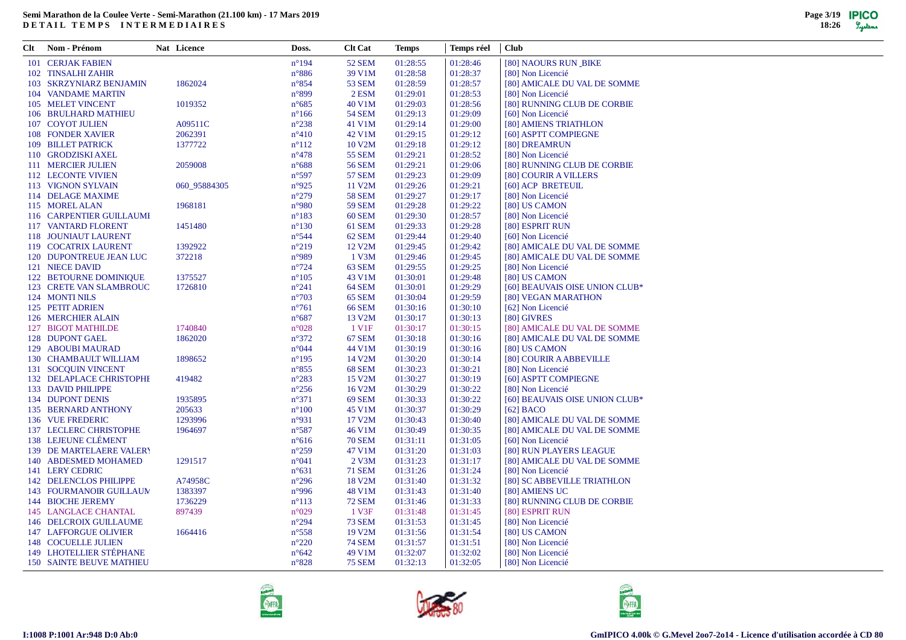| Clt | Nom - Prénom                    | Nat Licence  | Doss.           | <b>Clt Cat</b>    | <b>Temps</b> | Temps réel | <b>Club</b>                    |
|-----|---------------------------------|--------------|-----------------|-------------------|--------------|------------|--------------------------------|
|     | 101 CERJAK FABIEN               |              | $n^{\circ}194$  | 52 SEM            | 01:28:55     | 01:28:46   | [80] NAOURS RUN_BIKE           |
|     | 102 TINSALHI ZAHIR              |              | $n^{\circ}886$  | 39 V1M            | 01:28:58     | 01:28:37   | [80] Non Licencié              |
|     | 103 SKRZYNIARZ BENJAMIN         | 1862024      | $n^{\circ}854$  | <b>53 SEM</b>     | 01:28:59     | 01:28:57   | [80] AMICALE DU VAL DE SOMME   |
|     | 104 VANDAME MARTIN              |              | $n^{\circ}899$  | 2 ESM             | 01:29:01     | 01:28:53   | [80] Non Licencié              |
|     | 105 MELET VINCENT               | 1019352      | $n^{\circ}685$  | 40 V1M            | 01:29:03     | 01:28:56   | [80] RUNNING CLUB DE CORBIE    |
|     | 106 BRULHARD MATHIEU            |              | $n^{\circ}166$  | <b>54 SEM</b>     | 01:29:13     | 01:29:09   | [60] Non Licencié              |
|     | 107 COYOT JULIEN                | A09511C      | $n^{\circ}238$  | 41 V1M            | 01:29:14     | 01:29:00   | [80] AMIENS TRIATHLON          |
|     | 108 FONDER XAVIER               | 2062391      | $n^{\circ}410$  | 42 V1M            | 01:29:15     | 01:29:12   | [60] ASPTT COMPIEGNE           |
|     | 109 BILLET PATRICK              | 1377722      | $n^{\circ}112$  | 10 V2M            | 01:29:18     | 01:29:12   | [80] DREAMRUN                  |
|     | 110 GRODZISKI AXEL              |              | $n^{\circ}478$  | <b>55 SEM</b>     | 01:29:21     | 01:28:52   | [80] Non Licencié              |
|     | 111 MERCIER JULIEN              | 2059008      | $n^{\circ}688$  | <b>56 SEM</b>     | 01:29:21     | 01:29:06   | [80] RUNNING CLUB DE CORBIE    |
|     | 112 LECONTE VIVIEN              |              | $n^{\circ}597$  | <b>57 SEM</b>     | 01:29:23     | 01:29:09   | [80] COURIR A VILLERS          |
|     | 113 VIGNON SYLVAIN              | 060 95884305 | $n^{\circ}925$  | 11 V2M            | 01:29:26     | 01:29:21   | [60] ACP BRETEUIL              |
|     | 114 DELAGE MAXIME               |              | $n^{\circ}279$  | <b>58 SEM</b>     | 01:29:27     | 01:29:17   | [80] Non Licencié              |
|     | 115 MOREL ALAN                  | 1968181      | $n^{\circ}980$  | <b>59 SEM</b>     | 01:29:28     | 01:29:22   | [80] US CAMON                  |
|     | 116 CARPENTIER GUILLAUMI        |              | $n^{\circ}183$  | <b>60 SEM</b>     | 01:29:30     | 01:28:57   | [80] Non Licencié              |
|     | 117 VANTARD FLORENT             | 1451480      | $n^{\circ}130$  | 61 SEM            | 01:29:33     | 01:29:28   | [80] ESPRIT RUN                |
|     | 118 JOUNIAUT LAURENT            |              | $n^{\circ}$ 544 | 62 SEM            | 01:29:44     | 01:29:40   | [60] Non Licencié              |
|     | 119 COCATRIX LAURENT            | 1392922      | $n^{\circ}219$  | 12 V2M            | 01:29:45     | 01:29:42   | [80] AMICALE DU VAL DE SOMME   |
|     | 120 DUPONTREUE JEAN LUC         | 372218       | $n^{\circ}989$  | 1 V3M             | 01:29:46     | 01:29:45   | [80] AMICALE DU VAL DE SOMME   |
|     | 121 NIECE DAVID                 |              | $n^{\circ}724$  | 63 SEM            | 01:29:55     | 01:29:25   | [80] Non Licencié              |
|     | 122 BETOURNE DOMINIQUE          | 1375527      | $n^{\circ}105$  | 43 V1M            | 01:30:01     | 01:29:48   | [80] US CAMON                  |
|     | 123 CRETE VAN SLAMBROUC         | 1726810      | $n^{\circ}241$  | 64 SEM            | 01:30:01     | 01:29:29   | [60] BEAUVAIS OISE UNION CLUB* |
|     | 124 MONTI NILS                  |              | $n^{\circ}703$  | 65 SEM            | 01:30:04     | 01:29:59   | [80] VEGAN MARATHON            |
|     | 125 PETIT ADRIEN                |              | $n^{\circ}761$  | <b>66 SEM</b>     | 01:30:16     | 01:30:10   | [62] Non Licencié              |
|     | 126 MERCHIER ALAIN              |              | $n^{\circ}687$  | 13 V2M            | 01:30:17     | 01:30:13   | [80] GIVRES                    |
|     | 127 BIGOT MATHILDE              | 1740840      | $n^{\circ}028$  | 1 V <sub>1F</sub> | 01:30:17     | 01:30:15   | [80] AMICALE DU VAL DE SOMME   |
|     | 128 DUPONT GAEL                 | 1862020      | $n^{\circ}372$  | 67 SEM            | 01:30:18     | 01:30:16   | [80] AMICALE DU VAL DE SOMME   |
|     | 129 ABOUBI MAURAD               |              | $n^{\circ}044$  | 44 V1M            | 01:30:19     | 01:30:16   | [80] US CAMON                  |
|     | 130 CHAMBAULT WILLIAM           | 1898652      | $n^{\circ}195$  | 14 V2M            | 01:30:20     | 01:30:14   | [80] COURIR A ABBEVILLE        |
|     | 131 SOCQUIN VINCENT             |              | $n^{\circ}855$  | 68 SEM            | 01:30:23     | 01:30:21   | [80] Non Licencié              |
|     | 132 DELAPLACE CHRISTOPHE        | 419482       | $n^{\circ}283$  | 15 V2M            | 01:30:27     | 01:30:19   | [60] ASPTT COMPIEGNE           |
|     | 133 DAVID PHILIPPE              |              | $n^{\circ}256$  | 16 V2M            | 01:30:29     | 01:30:22   | [80] Non Licencié              |
|     | 134 DUPONT DENIS                | 1935895      | $n^{\circ}371$  | 69 SEM            | 01:30:33     | 01:30:22   | [60] BEAUVAIS OISE UNION CLUB* |
|     | 135 BERNARD ANTHONY             | 205633       | $n^{\circ}100$  | 45 V1M            | 01:30:37     | 01:30:29   | $[62]$ BACO                    |
|     | 136 VUE FREDERIC                | 1293996      | $n^{\circ}931$  | 17 V2M            | 01:30:43     | 01:30:40   | [80] AMICALE DU VAL DE SOMME   |
|     | 137 LECLERC CHRISTOPHE          | 1964697      | $n^{\circ}587$  | 46 V1M            | 01:30:49     | 01:30:35   | [80] AMICALE DU VAL DE SOMME   |
|     | 138 LEJEUNE CLÉMENT             |              | $n^{\circ}616$  | <b>70 SEM</b>     | 01:31:11     | 01:31:05   | [60] Non Licencié              |
|     | <b>139 DE MARTELAERE VALERY</b> |              | $n^{\circ}259$  | 47 V1M            | 01:31:20     | 01:31:03   | [80] RUN PLAYERS LEAGUE        |
|     | 140 ABDESMED MOHAMED            | 1291517      | $n^{\circ}041$  | 2 V3M             | 01:31:23     | 01:31:17   | [80] AMICALE DU VAL DE SOMME   |
|     | 141 LERY CEDRIC                 |              | $n^{\circ}631$  | <b>71 SEM</b>     | 01:31:26     | 01:31:24   | [80] Non Licencié              |
|     | <b>142 DELENCLOS PHILIPPE</b>   | A74958C      | $n^{\circ}296$  | 18 V2M            | 01:31:40     | 01:31:32   | [80] SC ABBEVILLE TRIATHLON    |
|     | <b>143 FOURMANOIR GUILLAUM</b>  | 1383397      | $n^{\circ}996$  | 48 V1M            | 01:31:43     | 01:31:40   | [80] AMIENS UC                 |
|     | 144 BIOCHE JEREMY               | 1736229      | $n^{\circ}113$  | <b>72 SEM</b>     | 01:31:46     | 01:31:33   | [80] RUNNING CLUB DE CORBIE    |
|     | <b>145 LANGLACE CHANTAL</b>     | 897439       | $n^{\circ}029$  | 1 V3F             | 01:31:48     | 01:31:45   | [80] ESPRIT RUN                |
|     | 146 DELCROIX GUILLAUME          |              | $n^{\circ}294$  | <b>73 SEM</b>     | 01:31:53     | 01:31:45   | [80] Non Licencié              |
|     | <b>147 LAFFORGUE OLIVIER</b>    | 1664416      | $n^{\circ}$ 558 | 19 V2M            | 01:31:56     | 01:31:54   | [80] US CAMON                  |
|     | 148 COCUELLE JULIEN             |              | $n^{\circ}220$  | <b>74 SEM</b>     | 01:31:57     | 01:31:51   | [80] Non Licencié              |
|     | 149 LHOTELLIER STÉPHANE         |              | $n^{\circ}642$  | 49 V1M            | 01:32:07     | 01:32:02   | [80] Non Licencié              |
|     | <b>150 SAINTE BEUVE MATHIEU</b> |              | $n^{\circ}828$  | <b>75 SEM</b>     | 01:32:13     | 01:32:05   | [80] Non Licencié              |





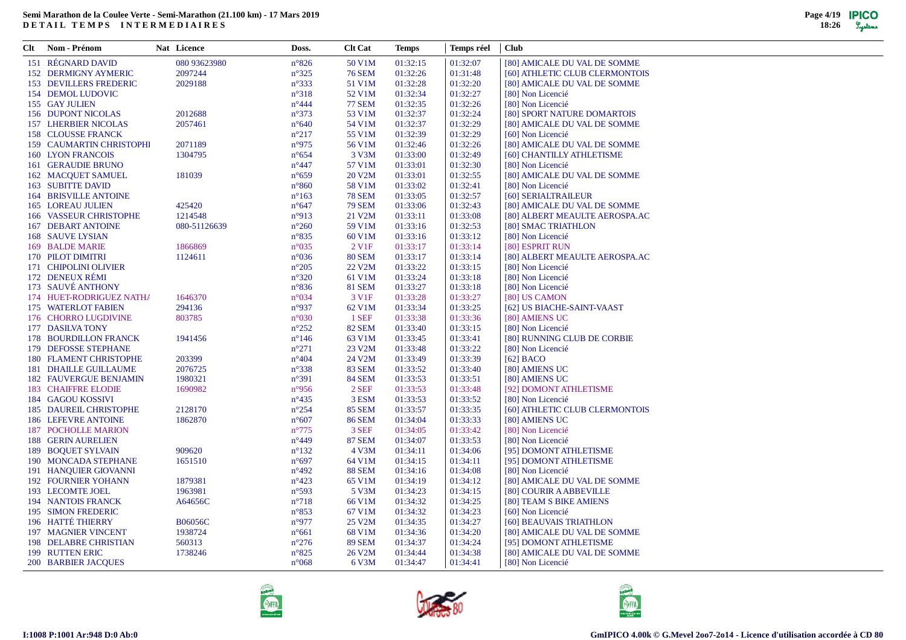| Clt | Nom - Prénom                  | Nat Licence    | Doss.           | <b>Clt Cat</b>    | <b>Temps</b> | Temps réel | <b>Club</b>                    |
|-----|-------------------------------|----------------|-----------------|-------------------|--------------|------------|--------------------------------|
|     | 151 RÉGNARD DAVID             | 080 93623980   | $n^{\circ}826$  | 50 V1M            | 01:32:15     | 01:32:07   | [80] AMICALE DU VAL DE SOMME   |
|     | <b>152 DERMIGNY AYMERIC</b>   | 2097244        | $n^{\circ}325$  | <b>76 SEM</b>     | 01:32:26     | 01:31:48   | [60] ATHLETIC CLUB CLERMONTOIS |
|     | <b>153 DEVILLERS FREDERIC</b> | 2029188        | $n^{\circ}333$  | 51 V1M            | 01:32:28     | 01:32:20   | [80] AMICALE DU VAL DE SOMME   |
|     | 154 DEMOL LUDOVIC             |                | $n^{\circ}318$  | 52 V1M            | 01:32:34     | 01:32:27   | [80] Non Licencié              |
|     | 155 GAY JULIEN                |                | $n^{\circ}444$  | <b>77 SEM</b>     | 01:32:35     | 01:32:26   | [80] Non Licencié              |
|     | <b>156 DUPONT NICOLAS</b>     | 2012688        | $n^{\circ}373$  | 53 V1M            | 01:32:37     | 01:32:24   | [80] SPORT NATURE DOMARTOIS    |
|     | <b>157 LHERBIER NICOLAS</b>   | 2057461        | $n^{\circ}640$  | 54 V1M            | 01:32:37     | 01:32:29   | [80] AMICALE DU VAL DE SOMME   |
|     | 158 CLOUSSE FRANCK            |                | $n^{\circ}217$  | 55 V1M            | 01:32:39     | 01:32:29   | [60] Non Licencié              |
|     | 159 CAUMARTIN CHRISTOPHI      | 2071189        | n°975           | 56 V1M            | 01:32:46     | 01:32:26   | [80] AMICALE DU VAL DE SOMME   |
|     | <b>160 LYON FRANCOIS</b>      | 1304795        | $n^{\circ}654$  | 3 V3M             | 01:33:00     | 01:32:49   | [60] CHANTILLY ATHLETISME      |
|     | 161 GERAUDIE BRUNO            |                | $n^{\circ}447$  | 57 V1M            | 01:33:01     | 01:32:30   | [80] Non Licencié              |
|     | 162 MACQUET SAMUEL            | 181039         | $n^{\circ}659$  | 20 V2M            | 01:33:01     | 01:32:55   | [80] AMICALE DU VAL DE SOMME   |
|     | <b>163 SUBITTE DAVID</b>      |                | $n^{\circ}860$  | 58 V1M            | 01:33:02     | 01:32:41   | [80] Non Licencié              |
|     | <b>164 BRISVILLE ANTOINE</b>  |                | $n^{\circ}163$  | <b>78 SEM</b>     | 01:33:05     | 01:32:57   | [60] SERIALTRAILEUR            |
|     | <b>165 LOREAU JULIEN</b>      | 425420         | $n^{\circ}647$  | <b>79 SEM</b>     | 01:33:06     | 01:32:43   | [80] AMICALE DU VAL DE SOMME   |
|     | 166 VASSEUR CHRISTOPHE        | 1214548        | $n^{\circ}913$  | 21 V2M            | 01:33:11     | 01:33:08   | [80] ALBERT MEAULTE AEROSPA.AC |
|     | <b>167 DEBART ANTOINE</b>     | 080-51126639   | $n^{\circ}260$  | 59 V1M            | 01:33:16     | 01:32:53   | [80] SMAC TRIATHLON            |
|     | <b>168 SAUVE LYSIAN</b>       |                | $n^{\circ}835$  | 60 V1M            | 01:33:16     | 01:33:12   | [80] Non Licencié              |
|     | 169 BALDE MARIE               | 1866869        | $n^{\circ}035$  | 2 V <sub>1F</sub> | 01:33:17     | 01:33:14   | [80] ESPRIT RUN                |
|     | 170 PILOT DIMITRI             | 1124611        | $n^{\circ}036$  | <b>80 SEM</b>     | 01:33:17     | 01:33:14   | [80] ALBERT MEAULTE AEROSPA.AC |
|     | 171 CHIPOLINI OLIVIER         |                | $n^{\circ}205$  | 22 V2M            | 01:33:22     | 01:33:15   | [80] Non Licencié              |
|     | 172 DENEUX RÉMI               |                | $n^{\circ}320$  | 61 V1M            | 01:33:24     | 01:33:18   | [80] Non Licencié              |
|     | 173 SAUVÉ ANTHONY             |                | $n^{\circ}836$  | <b>81 SEM</b>     | 01:33:27     | 01:33:18   | [80] Non Licencié              |
|     | 174 HUET-RODRIGUEZ NATHA      | 1646370        | $n^{\circ}034$  | 3 V1F             | 01:33:28     | 01:33:27   | [80] US CAMON                  |
|     | 175 WATERLOT FABIEN           | 294136         | n°937           | 62 V1M            | 01:33:34     | 01:33:25   | [62] US BIACHE-SAINT-VAAST     |
|     | 176 CHORRO LUGDIVINE          | 803785         | $n^{\circ}030$  | 1 SEF             | 01:33:38     | 01:33:36   | [80] AMIENS UC                 |
|     | 177 DASILVA TONY              |                | $n^{\circ}252$  | <b>82 SEM</b>     | 01:33:40     | 01:33:15   | [80] Non Licencié              |
|     | 178 BOURDILLON FRANCK         | 1941456        | $n^{\circ}$ 146 | 63 V1M            | 01:33:45     | 01:33:41   | [80] RUNNING CLUB DE CORBIE    |
|     | 179 DEFOSSE STEPHANE          |                | $n^{\circ}271$  | 23 V2M            | 01:33:48     | 01:33:22   | [80] Non Licencié              |
|     | 180 FLAMENT CHRISTOPHE        | 203399         | $n^{\circ}404$  | 24 V2M            | 01:33:49     | 01:33:39   | $[62]$ BACO                    |
|     | <b>181 DHAILLE GUILLAUME</b>  | 2076725        | $n^{\circ}338$  | <b>83 SEM</b>     | 01:33:52     | 01:33:40   | [80] AMIENS UC                 |
|     | <b>182 FAUVERGUE BENJAMIN</b> | 1980321        | $n^{\circ}391$  | <b>84 SEM</b>     | 01:33:53     | 01:33:51   | [80] AMIENS UC                 |
|     | <b>183 CHAIFFRE ELODIE</b>    | 1690982        | $n^{\circ}956$  | 2 SEF             | 01:33:53     | 01:33:48   | [92] DOMONT ATHLETISME         |
|     | 184 GAGOU KOSSIVI             |                | $n^{\circ}435$  | 3 ESM             | 01:33:53     | 01:33:52   | [80] Non Licencié              |
|     | 185 DAUREIL CHRISTOPHE        | 2128170        | $n^{\circ}254$  | <b>85 SEM</b>     | 01:33:57     | 01:33:35   | [60] ATHLETIC CLUB CLERMONTOIS |
|     | <b>186 LEFEVRE ANTOINE</b>    | 1862870        | $n^{\circ}607$  | <b>86 SEM</b>     | 01:34:04     | 01:33:33   | [80] AMIENS UC                 |
|     | <b>187 POCHOLLE MARION</b>    |                | $n^{\circ}775$  | 3 SEF             | 01:34:05     | 01:33:42   | [80] Non Licencié              |
|     | <b>188 GERIN AURELIEN</b>     |                | $n^{\circ}449$  | <b>87 SEM</b>     | 01:34:07     | 01:33:53   | [80] Non Licencié              |
|     | <b>189 BOOUET SYLVAIN</b>     | 909620         | $n^{\circ}132$  | 4 V3M             | 01:34:11     | 01:34:06   | [95] DOMONT ATHLETISME         |
|     | 190 MONCADA STEPHANE          | 1651510        | $n^{\circ}697$  | 64 V1M            | 01:34:15     | 01:34:11   | [95] DOMONT ATHLETISME         |
|     | 191 HANQUIER GIOVANNI         |                | $n^{\circ}492$  | <b>88 SEM</b>     | 01:34:16     | 01:34:08   | [80] Non Licencié              |
|     | <b>192 FOURNIER YOHANN</b>    | 1879381        | $n^{\circ}423$  | 65 V1M            | 01:34:19     | 01:34:12   | [80] AMICALE DU VAL DE SOMME   |
|     | 193 LECOMTE JOEL              | 1963981        | $n^{\circ}593$  | 5 V3M             | 01:34:23     | 01:34:15   | [80] COURIR A ABBEVILLE        |
|     | <b>194 NANTOIS FRANCK</b>     | A64656C        | $n^{\circ}718$  | 66 V1M            | 01:34:32     | 01:34:25   | [80] TEAM S BIKE AMIENS        |
|     | 195 SIMON FREDERIC            |                | $n^{\circ}853$  | 67 V1M            | 01:34:32     | 01:34:23   | [60] Non Licencié              |
|     | 196 HATTÉ THIERRY             | <b>B06056C</b> | n°977           | 25 V2M            | 01:34:35     | 01:34:27   | [60] BEAUVAIS TRIATHLON        |
|     | <b>197 MAGNIER VINCENT</b>    | 1938724        | $n^{\circ}661$  | 68 V1M            | 01:34:36     | 01:34:20   | [80] AMICALE DU VAL DE SOMME   |
|     | 198 DELABRE CHRISTIAN         | 560313         | $n^{\circ}276$  | <b>89 SEM</b>     | 01:34:37     | 01:34:24   | [95] DOMONT ATHLETISME         |
|     | 199 RUTTEN ERIC               | 1738246        | $n^{\circ}825$  | 26 V2M            | 01:34:44     | 01:34:38   | [80] AMICALE DU VAL DE SOMME   |
|     | <b>200 BARBIER JACOUES</b>    |                | $n^{\circ}068$  | 6 V3M             | 01:34:47     | 01:34:41   | [80] Non Licencié              |
|     |                               |                |                 |                   |              |            |                                |





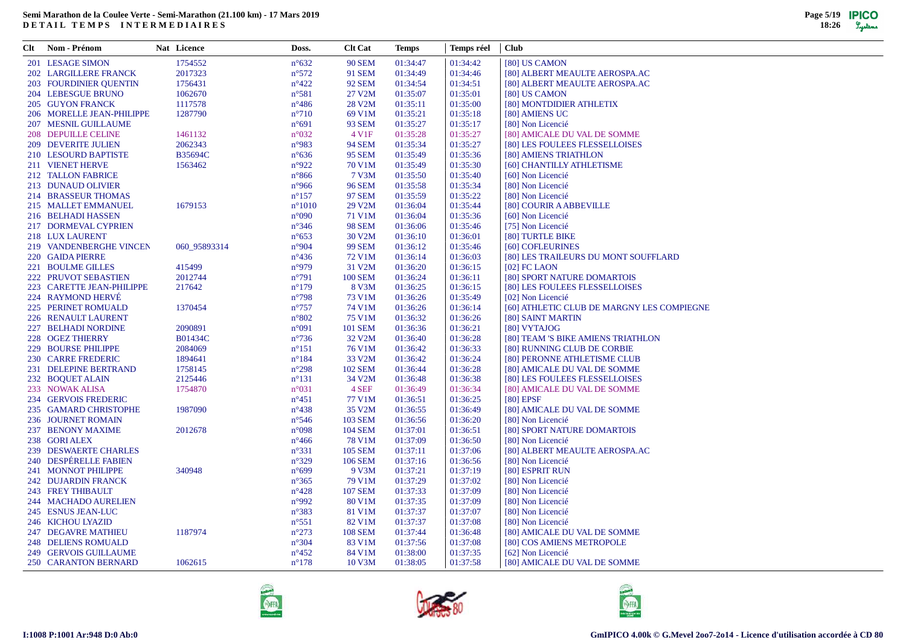| Clt | Nom - Prénom                  | Nat Licence  | Doss.           | <b>Clt Cat</b>    | <b>Temps</b> | Temps réel | <b>Club</b>                                |
|-----|-------------------------------|--------------|-----------------|-------------------|--------------|------------|--------------------------------------------|
|     | 201 LESAGE SIMON              | 1754552      | $n^{\circ}632$  | <b>90 SEM</b>     | 01:34:47     | 01:34:42   | [80] US CAMON                              |
|     | <b>202 LARGILLERE FRANCK</b>  | 2017323      | $n^{\circ}572$  | <b>91 SEM</b>     | 01:34:49     | 01:34:46   | [80] ALBERT MEAULTE AEROSPA.AC             |
|     | <b>203 FOURDINIER QUENTIN</b> | 1756431      | $n^{\circ}422$  | 92 SEM            | 01:34:54     | 01:34:51   | [80] ALBERT MEAULTE AEROSPA.AC             |
|     | 204 LEBESGUE BRUNO            | 1062670      | $n^{\circ}581$  | 27 V2M            | 01:35:07     | 01:35:01   | [80] US CAMON                              |
|     | <b>205 GUYON FRANCK</b>       | 1117578      | $n^{\circ}486$  | 28 V2M            | 01:35:11     | 01:35:00   | [80] MONTDIDIER ATHLETIX                   |
|     | 206 MORELLE JEAN-PHILIPPE     | 1287790      | $n^{\circ}710$  | 69 V1M            | 01:35:21     | 01:35:18   | [80] AMIENS UC                             |
|     | 207 MESNIL GUILLAUME          |              | $n^{\circ}691$  | 93 SEM            | 01:35:27     | 01:35:17   | [80] Non Licencié                          |
|     | 208 DEPUILLE CELINE           | 1461132      | $n^{\circ}032$  | 4 V <sub>1F</sub> | 01:35:28     | 01:35:27   | [80] AMICALE DU VAL DE SOMME               |
|     | <b>209 DEVERITE JULIEN</b>    | 2062343      | n°983           | <b>94 SEM</b>     | 01:35:34     | 01:35:27   | [80] LES FOULEES FLESSELLOISES             |
|     | 210 LESOURD BAPTISTE          | B35694C      | $n^{\circ}636$  | <b>95 SEM</b>     | 01:35:49     | 01:35:36   | [80] AMIENS TRIATHLON                      |
|     | 211 VIENET HERVE              | 1563462      | n°922           | 70 V1M            | 01:35:49     | 01:35:30   | [60] CHANTILLY ATHLETISME                  |
|     | 212 TALLON FABRICE            |              | $n^{\circ}866$  | 7 V3M             | 01:35:50     | 01:35:40   | [60] Non Licencié                          |
|     | 213 DUNAUD OLIVIER            |              | $n^{\circ}966$  | <b>96 SEM</b>     | 01:35:58     | 01:35:34   | [80] Non Licencié                          |
|     | 214 BRASSEUR THOMAS           |              | $n^{\circ}157$  | <b>97 SEM</b>     | 01:35:59     | 01:35:22   | [80] Non Licencié                          |
|     | 215 MALLET EMMANUEL           | 1679153      | $n^{\circ}1010$ | 29 V2M            | 01:36:04     | 01:35:44   | [80] COURIR A ABBEVILLE                    |
|     | 216 BELHADI HASSEN            |              | $n^{\circ}090$  | 71 V1M            | 01:36:04     | 01:35:36   | [60] Non Licencié                          |
|     | 217 DORMEVAL CYPRIEN          |              | $n^{\circ}346$  | <b>98 SEM</b>     | 01:36:06     | 01:35:46   | [75] Non Licencié                          |
|     | 218 LUX LAURENT               |              | $n^{\circ}653$  | 30 V2M            | 01:36:10     | 01:36:01   | [80] TURTLE BIKE                           |
|     | 219 VANDENBERGHE VINCEN       | 060 95893314 | n°904           | <b>99 SEM</b>     | 01:36:12     | 01:35:46   | [60] COFLEURINES                           |
|     | 220 GAIDA PIERRE              |              | $n^{\circ}436$  | 72 V1M            | 01:36:14     | 01:36:03   | [80] LES TRAILEURS DU MONT SOUFFLARD       |
|     | 221 BOULME GILLES             | 415499       | n°979           | 31 V2M            | 01:36:20     | 01:36:15   | $[02]$ FC LAON                             |
|     | 222 PRUVOT SEBASTIEN          | 2012744      | $n^{\circ}791$  | <b>100 SEM</b>    | 01:36:24     | 01:36:11   | [80] SPORT NATURE DOMARTOIS                |
|     | 223 CARETTE JEAN-PHILIPPE     | 217642       | $n^{\circ}179$  | 8 V3M             | 01:36:25     | 01:36:15   | [80] LES FOULEES FLESSELLOISES             |
|     | 224 RAYMOND HERVÉ             |              | $n^{\circ}798$  | 73 V1M            | 01:36:26     | 01:35:49   | [02] Non Licencié                          |
|     | 225 PERINET ROMUALD           | 1370454      | $n^{\circ}757$  | 74 V1M            | 01:36:26     | 01:36:14   | [60] ATHLETIC CLUB DE MARGNY LES COMPIEGNE |
|     | 226 RENAULT LAURENT           |              | $n^{\circ}802$  | 75 V1M            | 01:36:32     | 01:36:26   | [80] SAINT MARTIN                          |
|     | 227 BELHADI NORDINE           | 2090891      | $n^{\circ}091$  | <b>101 SEM</b>    | 01:36:36     | 01:36:21   | [80] VYTAJOG                               |
|     | 228 OGEZ THIERRY              | B01434C      | $n^{\circ}$ 736 | 32 V2M            | 01:36:40     | 01:36:28   | [80] TEAM 'S BIKE AMIENS TRIATHLON         |
|     | 229 BOURSE PHILIPPE           | 2084069      | $n^{\circ}151$  | 76 V1M            | 01:36:42     | 01:36:33   | [80] RUNNING CLUB DE CORBIE                |
|     | 230 CARRE FREDERIC            | 1894641      | $n^{\circ}184$  | 33 V2M            | 01:36:42     | 01:36:24   | [80] PERONNE ATHLETISME CLUB               |
|     | 231 DELEPINE BERTRAND         | 1758145      | $n^{\circ}298$  | <b>102 SEM</b>    | 01:36:44     | 01:36:28   | [80] AMICALE DU VAL DE SOMME               |
|     | 232 BOOUET ALAIN              | 2125446      | $n^{\circ}131$  | 34 V2M            | 01:36:48     | 01:36:38   | [80] LES FOULEES FLESSELLOISES             |
|     | 233 NOWAK ALISA               | 1754870      | $n^{\circ}031$  | 4 SEF             | 01:36:49     | 01:36:34   | [80] AMICALE DU VAL DE SOMME               |
|     | 234 GERVOIS FREDERIC          |              | $n^{\circ}451$  | 77 V1M            | 01:36:51     | 01:36:25   | [80] EPSF                                  |
|     | 235 GAMARD CHRISTOPHE         | 1987090      | $n^{\circ}438$  | 35 V2M            | 01:36:55     | 01:36:49   | [80] AMICALE DU VAL DE SOMME               |
|     | 236 JOURNET ROMAIN            |              | $n^{\circ}$ 546 | <b>103 SEM</b>    | 01:36:56     | 01:36:20   | [80] Non Licencié                          |
|     | 237 BENONY MAXIME             | 2012678      | $n^{\circ}098$  | <b>104 SEM</b>    | 01:37:01     | 01:36:51   | [80] SPORT NATURE DOMARTOIS                |
|     | 238 GORI ALEX                 |              | $n^{\circ}466$  | <b>78 V1M</b>     | 01:37:09     | 01:36:50   | [80] Non Licencié                          |
|     | 239 DESWAERTE CHARLES         |              | $n^{\circ}331$  | <b>105 SEM</b>    | 01:37:11     | 01:37:06   | [80] ALBERT MEAULTE AEROSPA.AC             |
|     | 240 DESPÉRELLE FABIEN         |              | $n^{\circ}329$  | <b>106 SEM</b>    | 01:37:16     | 01:36:56   | [80] Non Licencié                          |
|     | 241 MONNOT PHILIPPE           | 340948       | $n^{\circ}699$  | 9 V3M             | 01:37:21     | 01:37:19   | [80] ESPRIT RUN                            |
|     | 242 DUJARDIN FRANCK           |              | $n^{\circ}365$  | 79 V1M            | 01:37:29     | 01:37:02   | [80] Non Licencié                          |
|     | 243 FREY THIBAULT             |              | $n^{\circ}428$  | <b>107 SEM</b>    | 01:37:33     | 01:37:09   | [80] Non Licencié                          |
|     | 244 MACHADO AURELIEN          |              | n°992           | 80 V1M            | 01:37:35     | 01:37:09   | [80] Non Licencié                          |
|     | 245 ESNUS JEAN-LUC            |              | $n^{\circ}383$  | 81 V1M            | 01:37:37     | 01:37:07   | [80] Non Licencié                          |
|     | 246 KICHOU LYAZID             |              | $n^{\circ}551$  | 82 V1M            | 01:37:37     | 01:37:08   | [80] Non Licencié                          |
|     | 247 DEGAVRE MATHIEU           | 1187974      | $n^{\circ}273$  | <b>108 SEM</b>    | 01:37:44     | 01:36:48   | [80] AMICALE DU VAL DE SOMME               |
|     | 248 DELIENS ROMUALD           |              | $n^{\circ}304$  | 83 V1M            | 01:37:56     | 01:37:08   | [80] COS AMIENS METROPOLE                  |
|     | 249 GERVOIS GUILLAUME         |              | $n^{\circ}452$  | 84 V1M            | 01:38:00     | 01:37:35   | [62] Non Licencié                          |
|     | 250 CARANTON BERNARD          | 1062615      | $n^{\circ}178$  | 10 V3M            | 01:38:05     | 01:37:58   | [80] AMICALE DU VAL DE SOMME               |
|     |                               |              |                 |                   |              |            |                                            |





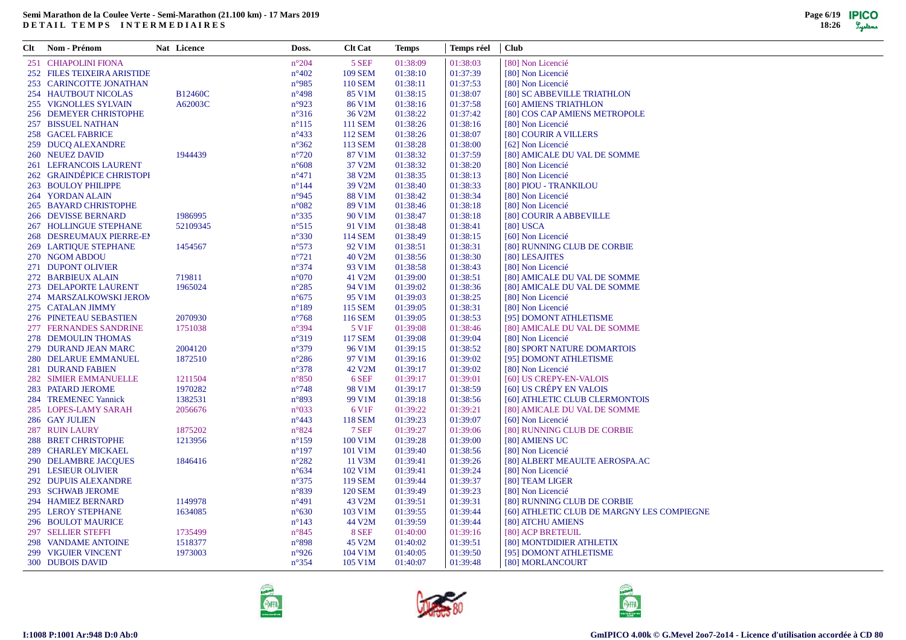| Clt | Nom - Prénom                 | Nat Licence | Doss.           | <b>Clt Cat</b>      | <b>Temps</b> | Temps réel | <b>Club</b>                                |
|-----|------------------------------|-------------|-----------------|---------------------|--------------|------------|--------------------------------------------|
|     | 251 CHIAPOLINI FIONA         |             | $n^{\circ}204$  | 5 SEF               | 01:38:09     | 01:38:03   | [80] Non Licencié                          |
|     | 252 FILES TEIXEIRA ARISTIDE  |             | $n^{\circ}402$  | <b>109 SEM</b>      | 01:38:10     | 01:37:39   | [80] Non Licencié                          |
|     | 253 CARINCOTTE JONATHAN      |             | n°985           | <b>110 SEM</b>      | 01:38:11     | 01:37:53   | [80] Non Licencié                          |
|     | 254 HAUTBOUT NICOLAS         | B12460C     | $n^{\circ}498$  | 85 V1M              | 01:38:15     | 01:38:07   | [80] SC ABBEVILLE TRIATHLON                |
|     | 255 VIGNOLLES SYLVAIN        | A62003C     | $n^{\circ}923$  | 86 V1M              | 01:38:16     | 01:37:58   | [60] AMIENS TRIATHLON                      |
|     | 256 DEMEYER CHRISTOPHE       |             | $n^{\circ}316$  | 36 V <sub>2</sub> M | 01:38:22     | 01:37:42   | [80] COS CAP AMIENS METROPOLE              |
|     | 257 BISSUEL NATHAN           |             | $n^{\circ}115$  | <b>111 SEM</b>      | 01:38:26     | 01:38:16   | [80] Non Licencié                          |
|     | <b>258 GACEL FABRICE</b>     |             | $n^{\circ}433$  | <b>112 SEM</b>      | 01:38:26     | 01:38:07   | [80] COURIR A VILLERS                      |
|     | 259 DUCQ ALEXANDRE           |             | $n^{\circ}362$  | <b>113 SEM</b>      | 01:38:28     | 01:38:00   | [62] Non Licencié                          |
|     | 260 NEUEZ DAVID              | 1944439     | $n^{\circ}720$  | 87 V1M              | 01:38:32     | 01:37:59   | [80] AMICALE DU VAL DE SOMME               |
|     | 261 LEFRANCOIS LAURENT       |             | $n^{\circ}608$  | 37 V2M              | 01:38:32     | 01:38:20   | [80] Non Licencié                          |
|     | 262 GRAINDÉPICE CHRISTOPI    |             | $n^{\circ}471$  | 38 V2M              | 01:38:35     | 01:38:13   | [80] Non Licencié                          |
|     | 263 BOULOY PHILIPPE          |             | $n^{\circ}$ 144 | 39 V2M              | 01:38:40     | 01:38:33   | [80] PIOU - TRANKILOU                      |
|     | 264 YORDAN ALAIN             |             | n°945           | 88 V1M              | 01:38:42     | 01:38:34   | [80] Non Licencié                          |
|     | <b>265 BAYARD CHRISTOPHE</b> |             | $n^{\circ}082$  | 89 V1M              | 01:38:46     | 01:38:18   | [80] Non Licencié                          |
|     | <b>266 DEVISSE BERNARD</b>   | 1986995     | $n^{\circ}335$  | 90 V1M              | 01:38:47     | 01:38:18   | [80] COURIR A ABBEVILLE                    |
|     | 267 HOLLINGUE STEPHANE       | 52109345    | $n^{\circ}515$  | 91 V1M              | 01:38:48     | 01:38:41   | $[80]$ USCA                                |
|     | 268 DESREUMAUX PIERRE-EN     |             | $n^{\circ}330$  | <b>114 SEM</b>      | 01:38:49     | 01:38:15   | [60] Non Licencié                          |
|     | <b>269 LARTIQUE STEPHANE</b> | 1454567     | $n^{\circ}573$  | 92 V1M              | 01:38:51     | 01:38:31   | [80] RUNNING CLUB DE CORBIE                |
|     | 270 NGOM ABDOU               |             | $n^{\circ}721$  | 40 V2M              | 01:38:56     | 01:38:30   | [80] LESAJITES                             |
|     |                              |             |                 |                     |              |            |                                            |
|     | 271 DUPONT OLIVIER           |             | $n^{\circ}374$  | 93 V1M              | 01:38:58     | 01:38:43   | [80] Non Licencié                          |
|     | 272 BARBIEUX ALAIN           | 719811      | $n^{\circ}070$  | 41 V2M              | 01:39:00     | 01:38:51   | [80] AMICALE DU VAL DE SOMME               |
|     | 273 DELAPORTE LAURENT        | 1965024     | $n^{\circ}285$  | 94 V1M              | 01:39:02     | 01:38:36   | [80] AMICALE DU VAL DE SOMME               |
|     | 274 MARSZALKOWSKI JERON      |             | $n^{\circ}675$  | 95 V1M              | 01:39:03     | 01:38:25   | [80] Non Licencié                          |
|     | 275 CATALAN JIMMY            |             | $n^{\circ}189$  | <b>115 SEM</b>      | 01:39:05     | 01:38:31   | [80] Non Licencié                          |
|     | 276 PINETEAU SEBASTIEN       | 2070930     | $n^{\circ}768$  | 116 SEM             | 01:39:05     | 01:38:53   | [95] DOMONT ATHLETISME                     |
|     | 277 FERNANDES SANDRINE       | 1751038     | $n^{\circ}394$  | 5 V <sub>1F</sub>   | 01:39:08     | 01:38:46   | [80] AMICALE DU VAL DE SOMME               |
|     | 278 DEMOULIN THOMAS          |             | $n^{\circ}319$  | <b>117 SEM</b>      | 01:39:08     | 01:39:04   | [80] Non Licencié                          |
|     | 279 DURAND JEAN MARC         | 2004120     | $n^{\circ}379$  | 96 V1M              | 01:39:15     | 01:38:52   | [80] SPORT NATURE DOMARTOIS                |
|     | 280 DELARUE EMMANUEL         | 1872510     | $n^{\circ}286$  | 97 V1M              | 01:39:16     | 01:39:02   | [95] DOMONT ATHLETISME                     |
|     | 281 DURAND FABIEN            |             | $n^{\circ}378$  | 42 V2M              | 01:39:17     | 01:39:02   | [80] Non Licencié                          |
|     | <b>282 SIMIER EMMANUELLE</b> | 1211504     | $n^{\circ}850$  | 6 SEF               | 01:39:17     | 01:39:01   | [60] US CREPY-EN-VALOIS                    |
|     | 283 PATARD JEROME            | 1970282     | $n^{\circ}748$  | 98 V1M              | 01:39:17     | 01:38:59   | [60] US CRÉPY EN VALOIS                    |
|     | 284 TREMENEC Yannick         | 1382531     | $n^{\circ}893$  | 99 V1M              | 01:39:18     | 01:38:56   | [60] ATHLETIC CLUB CLERMONTOIS             |
|     | 285 LOPES-LAMY SARAH         | 2056676     | $n^{\circ}033$  | 6 V1F               | 01:39:22     | 01:39:21   | [80] AMICALE DU VAL DE SOMME               |
|     | 286 GAY JULIEN               |             | $n^{\circ}443$  | <b>118 SEM</b>      | 01:39:23     | 01:39:07   | [60] Non Licencié                          |
|     | 287 RUIN LAURY               | 1875202     | $n^{\circ}824$  | 7 SEF               | 01:39:27     | 01:39:06   | [80] RUNNING CLUB DE CORBIE                |
|     | 288 BRET CHRISTOPHE          | 1213956     | $n^{\circ}159$  | 100 V1M             | 01:39:28     | 01:39:00   | [80] AMIENS UC                             |
|     | 289 CHARLEY MICKAEL          |             | $n^{\circ}197$  | 101 V1M             | 01:39:40     | 01:38:56   | [80] Non Licencié                          |
|     | 290 DELAMBRE JACQUES         | 1846416     | $n^{\circ}282$  | 11 V3M              | 01:39:41     | 01:39:26   | [80] ALBERT MEAULTE AEROSPA.AC             |
|     | <b>291 LESIEUR OLIVIER</b>   |             | $n^{\circ}634$  | 102 V1M             | 01:39:41     | 01:39:24   | [80] Non Licencié                          |
|     | 292 DUPUIS ALEXANDRE         |             | $n^{\circ}375$  | <b>119 SEM</b>      | 01:39:44     | 01:39:37   | [80] TEAM LIGER                            |
|     | 293 SCHWAB JEROME            |             | $n^{\circ}839$  | <b>120 SEM</b>      | 01:39:49     | 01:39:23   | [80] Non Licencié                          |
|     | 294 HAMIEZ BERNARD           | 1149978     | $n^{\circ}491$  | 43 V2M              | 01:39:51     | 01:39:31   | [80] RUNNING CLUB DE CORBIE                |
|     | 295 LEROY STEPHANE           | 1634085     | $n^{\circ}630$  | 103 V1M             | 01:39:55     | 01:39:44   | [60] ATHLETIC CLUB DE MARGNY LES COMPIEGNE |
|     | 296 BOULOT MAURICE           |             | $n^{\circ}$ 143 | 44 V2M              | 01:39:59     | 01:39:44   | [80] ATCHU AMIENS                          |
|     | 297 SELLIER STEFFI           | 1735499     | $n^{\circ}845$  | 8 SEF               | 01:40:00     | 01:39:16   | [80] ACP BRETEUIL                          |
|     | 298 VANDAME ANTOINE          | 1518377     | $n^{\circ}898$  | 45 V2M              | 01:40:02     | 01:39:51   | [80] MONTDIDIER ATHLETIX                   |
|     | <b>299 VIGUIER VINCENT</b>   | 1973003     | $n^{\circ}926$  | 104 V1M             | 01:40:05     | 01:39:50   | [95] DOMONT ATHLETISME                     |
|     | 300 DUBOIS DAVID             |             | $n^{\circ}354$  | 105 V1M             | 01:40:07     | 01:39:48   | [80] MORLANCOURT                           |





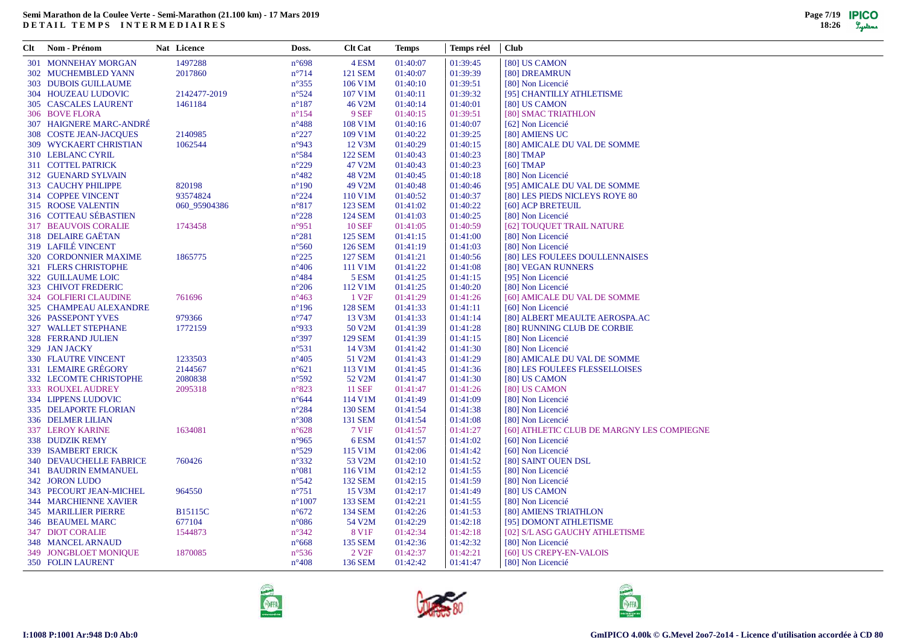| Clt | Nom - Prénom                   | Nat Licence    | Doss.           | <b>Clt Cat</b>    | <b>Temps</b> | Temps réel | <b>Club</b>                                |
|-----|--------------------------------|----------------|-----------------|-------------------|--------------|------------|--------------------------------------------|
|     | <b>301 MONNEHAY MORGAN</b>     | 1497288        | $n^{\circ}698$  | 4 ESM             | 01:40:07     | 01:39:45   | [80] US CAMON                              |
|     | 302 MUCHEMBLED YANN            | 2017860        | $n^{\circ}714$  | <b>121 SEM</b>    | 01:40:07     | 01:39:39   | [80] DREAMRUN                              |
|     | 303 DUBOIS GUILLAUME           |                | $n^{\circ}355$  | 106 V1M           | 01:40:10     | 01:39:51   | [80] Non Licencié                          |
|     | 304 HOUZEAU LUDOVIC            | 2142477-2019   | $n^{\circ}524$  | 107 V1M           | 01:40:11     | 01:39:32   | [95] CHANTILLY ATHLETISME                  |
|     | 305 CASCALES LAURENT           | 1461184        | $n^{\circ}187$  | 46 V2M            | 01:40:14     | 01:40:01   | [80] US CAMON                              |
|     | 306 BOVE FLORA                 |                | $n^{\circ}154$  | 9 SEF             | 01:40:15     | 01:39:51   | [80] SMAC TRIATHLON                        |
|     | 307 HAIGNERE MARC-ANDRÉ        |                | $n^{\circ}488$  | 108 V1M           | 01:40:16     | 01:40:07   | [62] Non Licencié                          |
|     | 308 COSTE JEAN-JACQUES         | 2140985        | $n^{\circ}227$  | 109 V1M           | 01:40:22     | 01:39:25   | [80] AMIENS UC                             |
|     | 309 WYCKAERT CHRISTIAN         | 1062544        | $n^{\circ}943$  | 12 V3M            | 01:40:29     | 01:40:15   | [80] AMICALE DU VAL DE SOMME               |
|     | 310 LEBLANC CYRIL              |                | $n^{\circ}584$  | <b>122 SEM</b>    | 01:40:43     | 01:40:23   | $[80]$ TMAP                                |
|     | 311 COTTEL PATRICK             |                | $n^{\circ}229$  | 47 V2M            | 01:40:43     | 01:40:23   | $[60]$ TMAP                                |
|     | 312 GUENARD SYLVAIN            |                | $n^{\circ}482$  | 48 V2M            | 01:40:45     | 01:40:18   | [80] Non Licencié                          |
|     | 313 CAUCHY PHILIPPE            | 820198         | $n^{\circ}190$  | 49 V2M            | 01:40:48     | 01:40:46   | [95] AMICALE DU VAL DE SOMME               |
|     | 314 COPPEE VINCENT             | 93574824       | $n^{\circ}224$  | 110 V1M           | 01:40:52     | 01:40:37   | [80] LES PIEDS NICLEYS ROYE 80             |
|     | 315 ROOSE VALENTIN             | 060_95904386   | $n^{\circ}817$  | <b>123 SEM</b>    | 01:41:02     | 01:40:22   | [60] ACP BRETEUIL                          |
|     | 316 COTTEAU SÉBASTIEN          |                | $n^{\circ}228$  | <b>124 SEM</b>    | 01:41:03     | 01:40:25   | [80] Non Licencié                          |
|     | <b>317 BEAUVOIS CORALIE</b>    | 1743458        | $n^{\circ}951$  | <b>10 SEF</b>     | 01:41:05     | 01:40:59   | [62] TOUQUET TRAIL NATURE                  |
|     | 318 DELAIRE GAËTAN             |                | $n^{\circ}281$  | <b>125 SEM</b>    | 01:41:15     | 01:41:00   | [80] Non Licencié                          |
|     | 319 LAFILÉ VINCENT             |                | $n^{\circ}560$  | <b>126 SEM</b>    | 01:41:19     | 01:41:03   | [80] Non Licencié                          |
|     | 320 CORDONNIER MAXIME          | 1865775        | $n^{\circ}225$  | <b>127 SEM</b>    | 01:41:21     | 01:40:56   | [80] LES FOULEES DOULLENNAISES             |
|     | 321 FLERS CHRISTOPHE           |                | $n^{\circ}406$  | 111 V1M           | 01:41:22     | 01:41:08   | [80] VEGAN RUNNERS                         |
|     | 322 GUILLAUME LOIC             |                | $n^{\circ}484$  | 5 ESM             | 01:41:25     | 01:41:15   | [95] Non Licencié                          |
|     | 323 CHIVOT FREDERIC            |                | $n^{\circ}206$  | 112 V1M           | 01:41:25     | 01:40:20   | [80] Non Licencié                          |
|     | 324 GOLFIERI CLAUDINE          | 761696         | $n^{\circ}463$  | 1 V <sub>2F</sub> | 01:41:29     | 01:41:26   | [60] AMICALE DU VAL DE SOMME               |
|     | 325 CHAMPEAU ALEXANDRE         |                | $n^{\circ}196$  | <b>128 SEM</b>    | 01:41:33     | 01:41:11   | [60] Non Licencié                          |
|     | <b>326 PASSEPONT YVES</b>      | 979366         | $n^{\circ}747$  | 13 V3M            | 01:41:33     | 01:41:14   | [80] ALBERT MEAULTE AEROSPA.AC             |
|     | <b>327 WALLET STEPHANE</b>     | 1772159        | $n^{\circ}933$  | 50 V2M            | 01:41:39     | 01:41:28   | [80] RUNNING CLUB DE CORBIE                |
|     | 328 FERRAND JULIEN             |                | $n^{\circ}397$  | <b>129 SEM</b>    | 01:41:39     | 01:41:15   | [80] Non Licencié                          |
|     | 329 JAN JACKY                  |                | $n^{\circ}531$  | 14 V3M            | 01:41:42     | 01:41:30   | [80] Non Licencié                          |
|     | 330 FLAUTRE VINCENT            | 1233503        | $n^{\circ}405$  | 51 V2M            | 01:41:43     | 01:41:29   | [80] AMICALE DU VAL DE SOMME               |
|     | 331 LEMAIRE GRÉGORY            | 2144567        | $n^{\circ}621$  | 113 V1M           | 01:41:45     | 01:41:36   | [80] LES FOULEES FLESSELLOISES             |
|     | 332 LECOMTE CHRISTOPHE         | 2080838        | $n^{\circ}592$  | 52 V2M            | 01:41:47     | 01:41:30   | [80] US CAMON                              |
|     | 333 ROUXEL AUDREY              | 2095318        | $n^{\circ}823$  | <b>11 SEF</b>     | 01:41:47     | 01:41:26   | [80] US CAMON                              |
|     | 334 LIPPENS LUDOVIC            |                | $n^{\circ}644$  | 114 V1M           | 01:41:49     | 01:41:09   | [80] Non Licencié                          |
|     | <b>335 DELAPORTE FLORIAN</b>   |                | $n^{\circ}284$  | <b>130 SEM</b>    | 01:41:54     | 01:41:38   | [80] Non Licencié                          |
|     | 336 DELMER LILIAN              |                | $n^{\circ}308$  | 131 SEM           | 01:41:54     | 01:41:08   | [80] Non Licencié                          |
|     | 337 LEROY KARINE               | 1634081        | $n^{\circ}628$  | 7 V1F             | 01:41:57     | 01:41:27   | [60] ATHLETIC CLUB DE MARGNY LES COMPIEGNE |
|     | 338 DUDZIK REMY                |                | $n^{\circ}965$  | 6ESM              | 01:41:57     | 01:41:02   | [60] Non Licencié                          |
|     | 339 ISAMBERT ERICK             |                | $n^{\circ}529$  | 115 V1M           | 01:42:06     | 01:41:42   | [60] Non Licencié                          |
|     | <b>340 DEVAUCHELLE FABRICE</b> | 760426         | $n^{\circ}332$  | 53 V2M            | 01:42:10     | 01:41:52   | [80] SAINT OUEN DSL                        |
|     | <b>341 BAUDRIN EMMANUEL</b>    |                | $n^{\circ}081$  | 116 V1M           | 01:42:12     | 01:41:55   | [80] Non Licencié                          |
|     | 342 JORON LUDO                 |                | $n^{\circ}542$  | <b>132 SEM</b>    | 01:42:15     | 01:41:59   | [80] Non Licencié                          |
|     | 343 PECOURT JEAN-MICHEL        | 964550         | $n^{\circ}751$  | 15 V3M            | 01:42:17     | 01:41:49   | [80] US CAMON                              |
|     | <b>344 MARCHIENNE XAVIER</b>   |                | $n^{\circ}1007$ | 133 SEM           | 01:42:21     | 01:41:55   | [80] Non Licencié                          |
|     | <b>345 MARILLIER PIERRE</b>    | <b>B15115C</b> | $n^{\circ}672$  | <b>134 SEM</b>    | 01:42:26     | 01:41:53   | [80] AMIENS TRIATHLON                      |
|     | 346 BEAUMEL MARC               | 677104         | $n^{\circ}086$  | 54 V2M            | 01:42:29     | 01:42:18   | [95] DOMONT ATHLETISME                     |
|     | 347 DIOT CORALIE               | 1544873        | $n^{\circ}342$  | 8 V1F             | 01:42:34     | 01:42:18   | [02] S/L ASG GAUCHY ATHLETISME             |
|     | 348 MANCEL ARNAUD              |                | $n^{\circ}668$  | 135 SEM           | 01:42:36     | 01:42:32   | [80] Non Licencié                          |
|     | 349 JONGBLOET MONIOUE          | 1870085        | $n^{\circ}$ 536 | 2 V <sub>2F</sub> | 01:42:37     | 01:42:21   | [60] US CREPY-EN-VALOIS                    |
|     | 350 FOLIN LAURENT              |                | $n^{\circ}408$  | 136 SEM           | 01:42:42     | 01:41:47   | [80] Non Licencié                          |





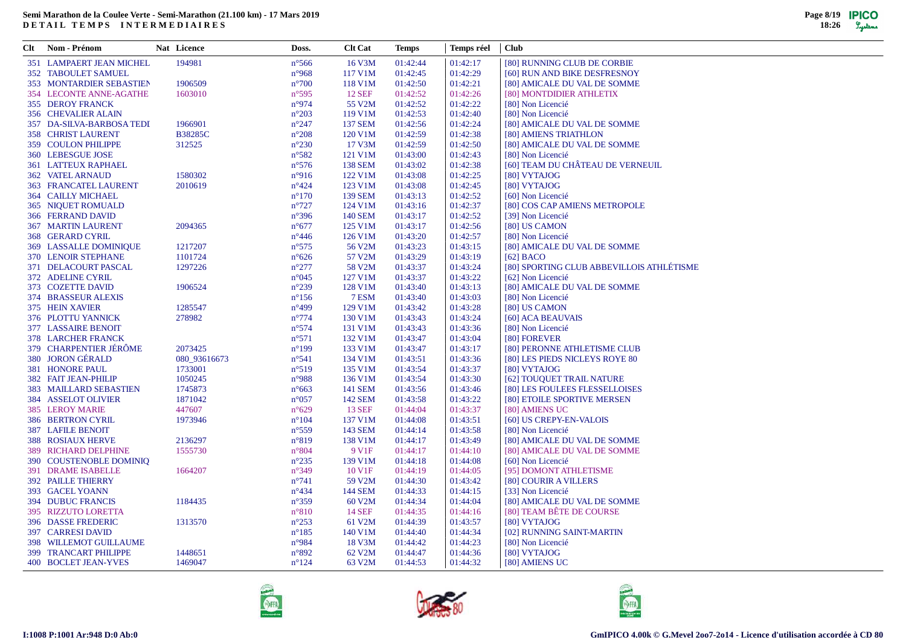| Clt Nom - Prénom                | Nat Licence    | Doss.                            | <b>Clt Cat</b> | Temps                | Temps réel | <b>Club</b>                               |
|---------------------------------|----------------|----------------------------------|----------------|----------------------|------------|-------------------------------------------|
| 351 LAMPAERT JEAN MICHEL        | 194981         | $n^{\circ}$ 566                  | 16 V3M         | 01:42:44             | 01:42:17   | [80] RUNNING CLUB DE CORBIE               |
| <b>352 TABOULET SAMUEL</b>      |                | $n^{\circ}968$                   | 117 V1M        | 01:42:45             | 01:42:29   | [60] RUN AND BIKE DESFRESNOY              |
| <b>353 MONTARDIER SEBASTIEN</b> | 1906509        | $n^{\circ}700$                   | 118 V1M        | 01:42:50             | 01:42:21   | [80] AMICALE DU VAL DE SOMME              |
| 354 LECONTE ANNE-AGATHE         | 1603010        | $n^{\circ}595$                   | <b>12 SEF</b>  | 01:42:52             | 01:42:26   | [80] MONTDIDIER ATHLETIX                  |
| <b>355 DEROY FRANCK</b>         |                | $n^{\circ}974$                   | 55 V2M         | 01:42:52             | 01:42:22   | [80] Non Licencié                         |
| 356 CHEVALIER ALAIN             |                | $n^{\circ}203$                   | 119 V1M        | 01:42:53             | 01:42:40   | [80] Non Licencié                         |
| 357 DA-SILVA-BARBOSA TEDI       | 1966901        | $n^{\circ}247$                   | <b>137 SEM</b> | 01:42:56             | 01:42:24   | [80] AMICALE DU VAL DE SOMME              |
| 358 CHRIST LAURENT              | <b>B38285C</b> | $n^{\circ}208$                   | 120 V1M        | 01:42:59             | 01:42:38   | [80] AMIENS TRIATHLON                     |
| 359 COULON PHILIPPE             | 312525         | $n^{\circ}230$                   | 17 V3M         | 01:42:59             | 01:42:50   | [80] AMICALE DU VAL DE SOMME              |
| 360 LEBESGUE JOSE               |                | $n^{\circ}582$                   | 121 V1M        | 01:43:00             | 01:42:43   | [80] Non Licencié                         |
| 361 LATTEUX RAPHAEL             |                | $n^{\circ}576$                   | <b>138 SEM</b> | 01:43:02             | 01:42:38   | [60] TEAM DU CHÂTEAU DE VERNEUIL          |
| 362 VATEL ARNAUD                | 1580302        | $n^{\circ}916$                   | 122 V1M        | 01:43:08             | 01:42:25   | [80] VYTAJOG                              |
| 363 FRANCATEL LAURENT           | 2010619        | $n^{\circ}424$                   | 123 V1M        | 01:43:08             | 01:42:45   | [80] VYTAJOG                              |
| <b>364 CAILLY MICHAEL</b>       |                | $n^{\circ}170$                   | 139 SEM        | 01:43:13             | 01:42:52   | [60] Non Licencié                         |
| <b>365 NIQUET ROMUALD</b>       |                | $n^{\circ}727$                   | 124 V1M        | 01:43:16             | 01:42:37   | [80] COS CAP AMIENS METROPOLE             |
| 366 FERRAND DAVID               |                | $n^{\circ}396$                   | 140 SEM        | 01:43:17             | 01:42:52   | [39] Non Licencié                         |
| <b>367 MARTIN LAURENT</b>       | 2094365        | $n^{\circ}677$                   | 125 V1M        | 01:43:17             | 01:42:56   | [80] US CAMON                             |
|                                 |                |                                  | 126 V1M        |                      | 01:42:57   |                                           |
| 368 GERARD CYRIL                |                | $n^{\circ}446$<br>$n^{\circ}575$ | 56 V2M         | 01:43:20<br>01:43:23 | 01:43:15   | [80] Non Licencié                         |
| 369 LASSALLE DOMINIQUE          | 1217207        |                                  | 57 V2M         |                      |            | [80] AMICALE DU VAL DE SOMME              |
| 370 LENOIR STEPHANE             | 1101724        | $n^{\circ}626$                   |                | 01:43:29             | 01:43:19   | $[62]$ BACO                               |
| 371 DELACOURT PASCAL            | 1297226        | $n^{\circ}277$                   | 58 V2M         | 01:43:37             | 01:43:24   | [80] SPORTING CLUB ABBEVILLOIS ATHLÉTISME |
| 372 ADELINE CYRIL               |                | $n^{\circ}045$                   | 127 V1M        | 01:43:37             | 01:43:22   | [62] Non Licencié                         |
| 373 COZETTE DAVID               | 1906524        | $n^{\circ}239$                   | 128 V1M        | 01:43:40             | 01:43:13   | [80] AMICALE DU VAL DE SOMME              |
| 374 BRASSEUR ALEXIS             |                | $n^{\circ}156$                   | 7 ESM          | 01:43:40             | 01:43:03   | [80] Non Licencié                         |
| 375 HEIN XAVIER                 | 1285547        | $n^{\circ}499$                   | 129 V1M        | 01:43:42             | 01:43:28   | [80] US CAMON                             |
| 376 PLOTTU YANNICK              | 278982         | $n^{\circ}774$                   | 130 V1M        | 01:43:43             | 01:43:24   | [60] ACA BEAUVAIS                         |
| 377 LASSAIRE BENOIT             |                | $n^{\circ}574$                   | 131 V1M        | 01:43:43             | 01:43:36   | [80] Non Licencié                         |
| 378 LARCHER FRANCK              |                | $n^{\circ}571$                   | 132 V1M        | 01:43:47             | 01:43:04   | [80] FOREVER                              |
| 379 CHARPENTIER JÉRÔME          | 2073425        | $n^{\circ}199$                   | 133 V1M        | 01:43:47             | 01:43:17   | [80] PERONNE ATHLETISME CLUB              |
| 380 JORON GÉRALD                | 080_93616673   | $n^{\circ}541$                   | 134 V1M        | 01:43:51             | 01:43:36   | [80] LES PIEDS NICLEYS ROYE 80            |
| 381 HONORE PAUL                 | 1733001        | $n^{\circ}519$                   | 135 V1M        | 01:43:54             | 01:43:37   | [80] VYTAJOG                              |
| 382 FAIT JEAN-PHILIP            | 1050245        | n°988                            | 136 V1M        | 01:43:54             | 01:43:30   | [62] TOUQUET TRAIL NATURE                 |
| 383 MAILLARD SEBASTIEN          | 1745873        | $n^{\circ}663$                   | 141 SEM        | 01:43:56             | 01:43:46   | [80] LES FOULEES FLESSELLOISES            |
| 384 ASSELOT OLIVIER             | 1871042        | $n^{\circ}057$                   | 142 SEM        | 01:43:58             | 01:43:22   | [80] ETOILE SPORTIVE MERSEN               |
| <b>385 LEROY MARIE</b>          | 447607         | $n^{\circ}629$                   | <b>13 SEF</b>  | 01:44:04             | 01:43:37   | [80] AMIENS UC                            |
| <b>386 BERTRON CYRIL</b>        | 1973946        | $n^{\circ}104$                   | 137 V1M        | 01:44:08             | 01:43:51   | [60] US CREPY-EN-VALOIS                   |
| <b>387 LAFILE BENOIT</b>        |                | $n^{\circ}559$                   | 143 SEM        | 01:44:14             | 01:43:58   | [80] Non Licencié                         |
| <b>388 ROSIAUX HERVE</b>        | 2136297        | $n^{\circ}819$                   | 138 V1M        | 01:44:17             | 01:43:49   | [80] AMICALE DU VAL DE SOMME              |
| 389 RICHARD DELPHINE            | 1555730        | $n^{\circ}804$                   | 9 V1F          | 01:44:17             | 01:44:10   | [80] AMICALE DU VAL DE SOMME              |
| 390 COUSTENOBLE DOMINIQ         |                | $n^{\circ}235$                   | 139 V1M        | 01:44:18             | 01:44:08   | [60] Non Licencié                         |
| <b>391 DRAME ISABELLE</b>       | 1664207        | $n^{\circ}349$                   | 10 V1F         | 01:44:19             | 01:44:05   | [95] DOMONT ATHLETISME                    |
| <b>392 PAILLE THIERRY</b>       |                | $n^{\circ}741$                   | 59 V2M         | 01:44:30             | 01:43:42   | [80] COURIR A VILLERS                     |
| 393 GACEL YOANN                 |                | $n^{\circ}434$                   | 144 SEM        | 01:44:33             | 01:44:15   | [33] Non Licencié                         |
| <b>394 DUBUC FRANCIS</b>        | 1184435        | $n^{\circ}359$                   | 60 V2M         | 01:44:34             | 01:44:04   | [80] AMICALE DU VAL DE SOMME              |
| 395 RIZZUTO LORETTA             |                | $n^{\circ}810$                   | 14 SEF         | 01:44:35             | 01:44:16   | [80] TEAM BÊTE DE COURSE                  |
| 396 DASSE FREDERIC              | 1313570        | $n^{\circ}253$                   | 61 V2M         | 01:44:39             | 01:43:57   | [80] VYTAJOG                              |
| 397 CARRESI DAVID               |                | $n^{\circ}185$                   | 140 V1M        | 01:44:40             | 01:44:34   | [02] RUNNING SAINT-MARTIN                 |
| 398 WILLEMOT GUILLAUME          |                | $n^{\circ}984$                   | 18 V3M         | 01:44:42             | 01:44:23   | [80] Non Licencié                         |
| 399 TRANCART PHILIPPE           | 1448651        | $n^{\circ}892$                   | 62 V2M         | 01:44:47             | 01:44:36   | [80] VYTAJOG                              |
| 400 BOCLET JEAN-YVES            | 1469047        | $n^{\circ}124$                   | 63 V2M         | 01:44:53             | 01:44:32   | [80] AMIENS UC                            |
|                                 |                |                                  |                |                      |            |                                           |





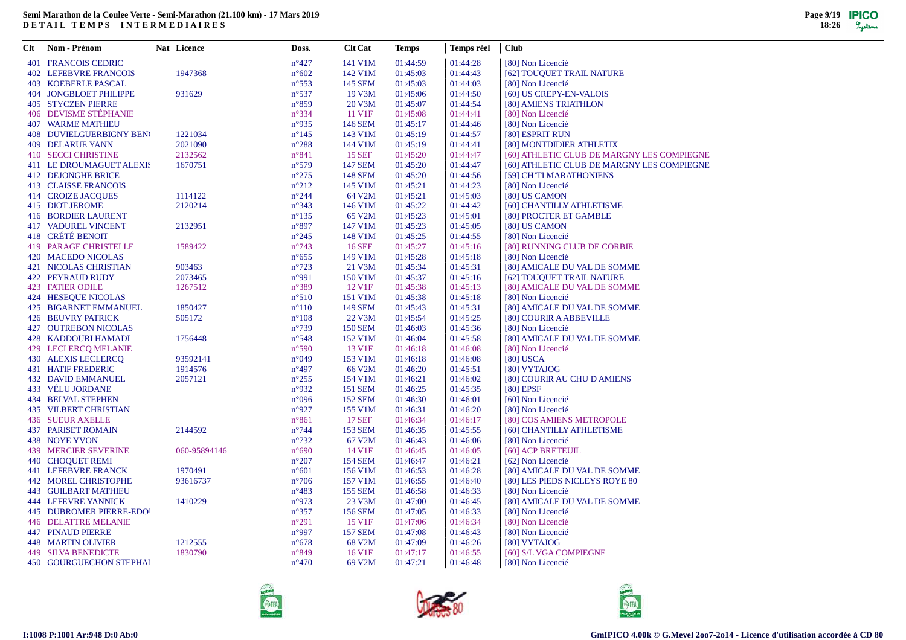| Clt Nom - Prénom             | Nat Licence  | Doss.                            | <b>Clt Cat</b> | <b>Temps</b>         | Temps réel           | <b>Club</b>                                |
|------------------------------|--------------|----------------------------------|----------------|----------------------|----------------------|--------------------------------------------|
| <b>401 FRANCOIS CEDRIC</b>   |              | $n^{\circ}427$                   | 141 V1M        | 01:44:59             | 01:44:28             | [80] Non Licencié                          |
| <b>402 LEFEBVRE FRANCOIS</b> | 1947368      | $n^{\circ}602$                   | 142 V1M        | 01:45:03             | 01:44:43             | [62] TOUQUET TRAIL NATURE                  |
| 403 KOEBERLE PASCAL          |              | $n^{\circ}$ 553                  | 145 SEM        | 01:45:03             | 01:44:03             | [80] Non Licencié                          |
| 404 JONGBLOET PHILIPPE       | 931629       | $n^{\circ}537$                   | 19 V3M         | 01:45:06             | 01:44:50             | [60] US CREPY-EN-VALOIS                    |
| <b>405 STYCZEN PIERRE</b>    |              | $n^{\circ}859$                   | 20 V3M         | 01:45:07             | 01:44:54             | [80] AMIENS TRIATHLON                      |
| 406 DEVISME STÉPHANIE        |              | $n^{\circ}334$                   | 11 V1F         | 01:45:08             | 01:44:41             | [80] Non Licencié                          |
| <b>407 WARME MATHIEU</b>     |              | n°935                            | 146 SEM        | 01:45:17             | 01:44:46             | [80] Non Licencié                          |
| 408 DUVIELGUERBIGNY BEN      | 1221034      | $n^{\circ}145$                   | 143 V1M        | 01:45:19             | 01:44:57             | [80] ESPRIT RUN                            |
| <b>409 DELARUE YANN</b>      | 2021090      | $n^{\circ}288$                   | 144 V1M        | 01:45:19             | 01:44:41             | [80] MONTDIDIER ATHLETIX                   |
| 410 SECCI CHRISTINE          | 2132562      | $n^{\circ}841$                   | <b>15 SEF</b>  | 01:45:20             | 01:44:47             | [60] ATHLETIC CLUB DE MARGNY LES COMPIEGNE |
| 411 LE DROUMAGUET ALEXIS     | 1670751      | $n^{\circ}579$                   | <b>147 SEM</b> | 01:45:20             | 01:44:47             | [60] ATHLETIC CLUB DE MARGNY LES COMPIEGNE |
| <b>412 DEJONGHE BRICE</b>    |              | $n^{\circ}275$                   | <b>148 SEM</b> | 01:45:20             | 01:44:56             | [59] CH'TI MARATHONIENS                    |
| <b>413 CLAISSE FRANCOIS</b>  |              | $n^{\circ}212$                   | 145 V1M        | 01:45:21             | 01:44:23             | [80] Non Licencié                          |
| <b>414 CROIZE JACQUES</b>    | 1114122      | $n^{\circ}244$                   | 64 V2M         | 01:45:21             | 01:45:03             | [80] US CAMON                              |
| 415 DIOT JEROME              | 2120214      | $n^{\circ}343$                   | 146 V1M        | 01:45:22             | 01:44:42             | [60] CHANTILLY ATHLETISME                  |
| <b>416 BORDIER LAURENT</b>   |              | $n^{\circ}$ 135                  | 65 V2M         | 01:45:23             | 01:45:01             | [80] PROCTER ET GAMBLE                     |
| <b>417 VADUREL VINCENT</b>   | 2132951      | $n^{\circ}897$                   | 147 V1M        | 01:45:23             | 01:45:05             | [80] US CAMON                              |
| 418 CRÉTÉ BENOIT             |              | $n^{\circ}245$                   | 148 V1M        | 01:45:25             | 01:44:55             | [80] Non Licencié                          |
| 419 PARAGE CHRISTELLE        | 1589422      | $n^{\circ}743$                   | <b>16 SEF</b>  | 01:45:27             | 01:45:16             | [80] RUNNING CLUB DE CORBIE                |
| 420 MACEDO NICOLAS           |              | $n^{\circ}655$                   | 149 V1M        | 01:45:28             | 01:45:18             | [80] Non Licencié                          |
| <b>421 NICOLAS CHRISTIAN</b> | 903463       | $n^{\circ}723$                   | 21 V3M         | 01:45:34             | 01:45:31             | [80] AMICALE DU VAL DE SOMME               |
| 422 PEYRAUD RUDY             | 2073465      | n°991                            | 150 V1M        | 01:45:37             | 01:45:16             | [62] TOUQUET TRAIL NATURE                  |
| <b>423 FATIER ODILE</b>      | 1267512      | $n^{\circ}389$                   | 12 V1F         | 01:45:38             | 01:45:13             | [80] AMICALE DU VAL DE SOMME               |
| 424 HESEQUE NICOLAS          |              | $n^{\circ}510$                   | 151 V1M        | 01:45:38             | 01:45:18             | [80] Non Licencié                          |
| 425 BIGARNET EMMANUEL        | 1850427      | $n^{\circ}110$                   | <b>149 SEM</b> | 01:45:43             | 01:45:31             | [80] AMICALE DU VAL DE SOMME               |
| <b>426 BEUVRY PATRICK</b>    | 505172       | $n^{\circ}108$                   | 22 V3M         | 01:45:54             | 01:45:25             | [80] COURIR A ABBEVILLE                    |
| <b>427 OUTREBON NICOLAS</b>  |              | $n^{\circ}739$                   | <b>150 SEM</b> | 01:46:03             | 01:45:36             | [80] Non Licencié                          |
| 428 KADDOURI HAMADI          | 1756448      | $n^{\circ}548$                   | 152 V1M        | 01:46:04             | 01:45:58             | [80] AMICALE DU VAL DE SOMME               |
| 429 LECLERCQ MELANIE         |              | $n^{\circ}590$                   | 13 V1F         | 01:46:18             | 01:46:08             | [80] Non Licencié                          |
| 430 ALEXIS LECLERCQ          | 93592141     | $n^{\circ}049$                   | 153 V1M        | 01:46:18             | 01:46:08             | $[80]$ USCA                                |
| <b>431 HATIF FREDERIC</b>    | 1914576      | $n^{\circ}497$                   | 66 V2M         | 01:46:20             | 01:45:51             | [80] VYTAJOG                               |
|                              |              |                                  |                |                      |                      |                                            |
| <b>432 DAVID EMMANUEL</b>    | 2057121      | $n^{\circ}255$<br>$n^{\circ}932$ | 154 V1M        | 01:46:21<br>01:46:25 | 01:46:02             | [80] COURIR AU CHU D AMIENS<br>[80] EPSF   |
| 433 VÉLU JORDANE             |              |                                  | <b>151 SEM</b> |                      | 01:45:35             |                                            |
| <b>434 BELVAL STEPHEN</b>    |              | $n^{\circ}096$                   | <b>152 SEM</b> | 01:46:30             | 01:46:01             | [60] Non Licencié                          |
| <b>435 VILBERT CHRISTIAN</b> |              | n°927                            | 155 V1M        | 01:46:31             | 01:46:20             | [80] Non Licencié                          |
| <b>436 SUEUR AXELLE</b>      |              | $n^{\circ}861$                   | <b>17 SEF</b>  | 01:46:34             | 01:46:17<br>01:45:55 | [80] COS AMIENS METROPOLE                  |
| <b>437 PARISET ROMAIN</b>    | 2144592      | $n^{\circ}$ 744                  | <b>153 SEM</b> | 01:46:35             |                      | [60] CHANTILLY ATHLETISME                  |
| 438 NOYE YVON                |              | $n^{\circ}732$                   | 67 V2M         | 01:46:43             | 01:46:06             | [80] Non Licencié                          |
| 439 MERCIER SEVERINE         | 060-95894146 | $n^{\circ}690$                   | 14 V1F         | 01:46:45             | 01:46:05             | [60] ACP BRETEUIL                          |
| 440 CHOQUET REMI             |              | $n^{\circ}207$                   | <b>154 SEM</b> | 01:46:47             | 01:46:21             | [62] Non Licencié                          |
| <b>441 LEFEBVRE FRANCK</b>   | 1970491      | $n^{\circ}601$                   | 156 V1M        | 01:46:53             | 01:46:28             | [80] AMICALE DU VAL DE SOMME               |
| <b>442 MOREL CHRISTOPHE</b>  | 93616737     | $n^{\circ}706$                   | 157 V1M        | 01:46:55             | 01:46:40             | [80] LES PIEDS NICLEYS ROYE 80             |
| <b>443 GUILBART MATHIEU</b>  |              | $n^{\circ}483$                   | <b>155 SEM</b> | 01:46:58             | 01:46:33             | [80] Non Licencié                          |
| <b>444 LEFEVRE YANNICK</b>   | 1410229      | n°973                            | 23 V3M         | 01:47:00             | 01:46:45             | [80] AMICALE DU VAL DE SOMME               |
| 445 DUBROMER PIERRE-EDO      |              | $n^{\circ}357$                   | <b>156 SEM</b> | 01:47:05             | 01:46:33             | [80] Non Licencié                          |
| <b>446 DELATTRE MELANIE</b>  |              | $n^{\circ}291$                   | 15 V1F         | 01:47:06             | 01:46:34             | [80] Non Licencié                          |
| <b>447 PINAUD PIERRE</b>     |              | n°997                            | <b>157 SEM</b> | 01:47:08             | 01:46:43             | [80] Non Licencié                          |
| <b>448 MARTIN OLIVIER</b>    | 1212555      | $n^{\circ}678$                   | 68 V2M         | 01:47:09             | 01:46:26             | [80] VYTAJOG                               |
| <b>449 SILVA BENEDICTE</b>   | 1830790      | $n^{\circ}849$                   | 16 V1F         | 01:47:17             | 01:46:55             | [60] S/L VGA COMPIEGNE                     |
| 450 GOURGUECHON STEPHAI      |              | $n^{\circ}470$                   | 69 V2M         | 01:47:21             | 01:46:48             | [80] Non Licencié                          |





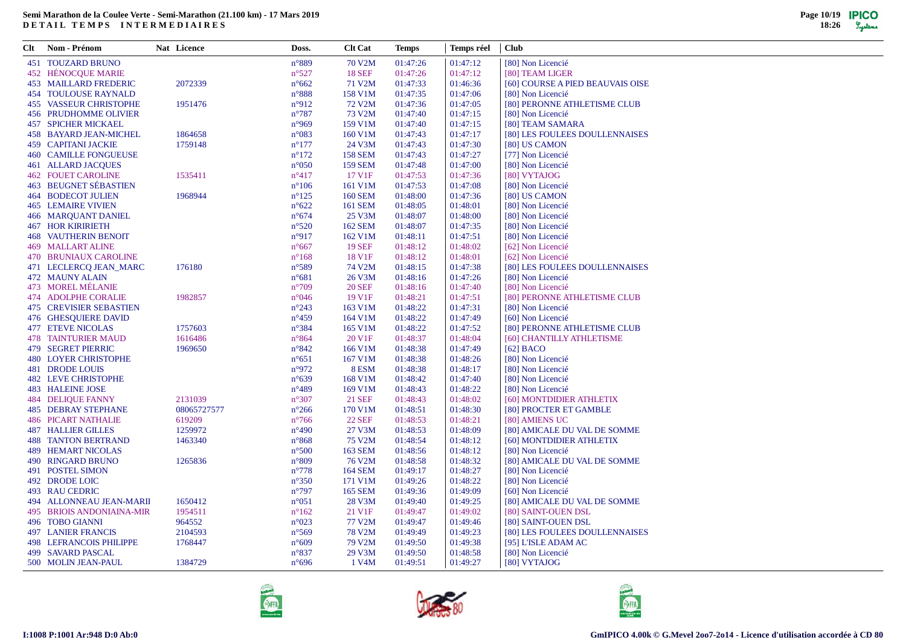| Clt | Nom - Prénom                   | Nat Licence | Doss.          | <b>Clt Cat</b>     | Temps    | Temps réel | <b>Club</b>                      |
|-----|--------------------------------|-------------|----------------|--------------------|----------|------------|----------------------------------|
|     | <b>451 TOUZARD BRUNO</b>       |             | $n^{\circ}889$ | 70 V2M             | 01:47:26 | 01:47:12   | [80] Non Licencié                |
|     | <b>452 HÉNOCQUE MARIE</b>      |             | $n^{\circ}527$ | <b>18 SEF</b>      | 01:47:26 | 01:47:12   | [80] TEAM LIGER                  |
|     | <b>453 MAILLARD FREDERIC</b>   | 2072339     | $n^{\circ}662$ | 71 V2M             | 01:47:33 | 01:46:36   | [60] COURSE A PIED BEAUVAIS OISE |
|     | <b>454 TOULOUSE RAYNALD</b>    |             | $n^{\circ}888$ | 158 V1M            | 01:47:35 | 01:47:06   | [80] Non Licencié                |
|     | <b>455 VASSEUR CHRISTOPHE</b>  | 1951476     | n°912          | 72 V2M             | 01:47:36 | 01:47:05   | [80] PERONNE ATHLETISME CLUB     |
|     | <b>456 PRUDHOMME OLIVIER</b>   |             | $n^{\circ}787$ | 73 V2M             | 01:47:40 | 01:47:15   | [80] Non Licencié                |
|     | <b>457 SPICHER MICKAEL</b>     |             | n°969          | 159 V1M            | 01:47:40 | 01:47:15   | [80] TEAM SAMARA                 |
|     | 458 BAYARD JEAN-MICHEL         | 1864658     | $n^{\circ}083$ | 160 V1M            | 01:47:43 | 01:47:17   | [80] LES FOULEES DOULLENNAISES   |
|     | 459 CAPITANI JACKIE            | 1759148     | $n^{\circ}177$ | 24 V3M             | 01:47:43 | 01:47:30   | [80] US CAMON                    |
|     | <b>460 CAMILLE FONGUEUSE</b>   |             | $n^{\circ}172$ | <b>158 SEM</b>     | 01:47:43 | 01:47:27   | [77] Non Licencié                |
|     | <b>461 ALLARD JACQUES</b>      |             | $n^{\circ}050$ | <b>159 SEM</b>     | 01:47:48 | 01:47:00   | [80] Non Licencié                |
|     | <b>462 FOUET CAROLINE</b>      | 1535411     | $n^{\circ}417$ | 17 V1F             | 01:47:53 | 01:47:36   | [80] VYTAJOG                     |
|     | 463 BEUGNET SÉBASTIEN          |             | $n^{\circ}106$ | 161 V1M            | 01:47:53 | 01:47:08   | [80] Non Licencié                |
|     | <b>464 BODECOT JULIEN</b>      | 1968944     | $n^{\circ}125$ | <b>160 SEM</b>     | 01:48:00 | 01:47:36   | [80] US CAMON                    |
|     | <b>465 LEMAIRE VIVIEN</b>      |             | $n^{\circ}622$ | <b>161 SEM</b>     | 01:48:05 | 01:48:01   | [80] Non Licencié                |
|     | <b>466 MARQUANT DANIEL</b>     |             | $n^{\circ}674$ | 25 V3M             | 01:48:07 | 01:48:00   | [80] Non Licencié                |
|     | <b>467 HOR KIRIRIETH</b>       |             | $n^{\circ}520$ | <b>162 SEM</b>     | 01:48:07 | 01:47:35   | [80] Non Licencié                |
|     | <b>468 VAUTHERIN BENOIT</b>    |             | n°917          | 162 V1M            | 01:48:11 | 01:47:51   | [80] Non Licencié                |
|     | <b>469 MALLART ALINE</b>       |             | $n^{\circ}667$ | <b>19 SEF</b>      | 01:48:12 | 01:48:02   | [62] Non Licencié                |
|     | 470 BRUNIAUX CAROLINE          |             | $n^{\circ}168$ | 18 V1F             | 01:48:12 | 01:48:01   | [62] Non Licencié                |
|     | 471 LECLERCQ JEAN_MARC         | 176180      | $n^{\circ}589$ | 74 V2M             | 01:48:15 | 01:47:38   | [80] LES FOULEES DOULLENNAISES   |
|     | 472 MAUNY ALAIN                |             | $n^{\circ}681$ | 26 V3M             | 01:48:16 | 01:47:26   | [80] Non Licencié                |
|     | 473 MOREL MÉLANIE              |             | $n^{\circ}709$ | <b>20 SEF</b>      | 01:48:16 | 01:47:40   | [80] Non Licencié                |
|     | 474 ADOLPHE CORALIE            | 1982857     | $n^{\circ}046$ | 19 V1F             | 01:48:21 | 01:47:51   | [80] PERONNE ATHLETISME CLUB     |
|     | <b>475 CREVISIER SEBASTIEN</b> |             | $n^{\circ}243$ | 163 V1M            | 01:48:22 | 01:47:31   | [80] Non Licencié                |
|     | 476 GHESQUIERE DAVID           |             | $n^{\circ}459$ | 164 V1M            | 01:48:22 | 01:47:49   | [60] Non Licencié                |
|     | <b>477 ETEVE NICOLAS</b>       | 1757603     | $n^{\circ}384$ | 165 V1M            | 01:48:22 | 01:47:52   | [80] PERONNE ATHLETISME CLUB     |
|     | <b>478 TAINTURIER MAUD</b>     | 1616486     | $n^{\circ}864$ | 20 V1F             | 01:48:37 | 01:48:04   | [60] CHANTILLY ATHLETISME        |
|     | <b>479 SEGRET PIERRIC</b>      | 1969650     | $n^{\circ}842$ | 166 V1M            | 01:48:38 | 01:47:49   | $[62]$ BACO                      |
|     | <b>480 LOYER CHRISTOPHE</b>    |             | $n^{\circ}651$ | 167 V1M            | 01:48:38 | 01:48:26   | [80] Non Licencié                |
|     | 481 DRODE LOUIS                |             | $n^{\circ}972$ | 8 ESM              | 01:48:38 | 01:48:17   | [80] Non Licencié                |
|     | <b>482 LEVE CHRISTOPHE</b>     |             | $n^{\circ}639$ | 168 V1M            | 01:48:42 | 01:47:40   | [80] Non Licencié                |
|     | <b>483 HALEINE JOSE</b>        |             | $n^{\circ}489$ | 169 V1M            | 01:48:43 | 01:48:22   | [80] Non Licencié                |
|     | <b>484 DELIQUE FANNY</b>       | 2131039     | $n^{\circ}307$ | 21 SEF             | 01:48:43 | 01:48:02   | [60] MONTDIDIER ATHLETIX         |
|     | <b>485 DEBRAY STEPHANE</b>     | 08065727577 | $n^{\circ}266$ | 170 V1M            | 01:48:51 | 01:48:30   | [80] PROCTER ET GAMBLE           |
|     | <b>486 PICART NATHALIE</b>     | 619209      | $n^{\circ}766$ | <b>22 SEF</b>      | 01:48:53 | 01:48:21   | [80] AMIENS UC                   |
|     | <b>487 HALLIER GILLES</b>      | 1259972     | $n^{\circ}490$ | 27 V3M             | 01:48:53 | 01:48:09   | [80] AMICALE DU VAL DE SOMME     |
|     | <b>488 TANTON BERTRAND</b>     | 1463340     | $n^{\circ}868$ | 75 V2M             | 01:48:54 | 01:48:12   | [60] MONTDIDIER ATHLETIX         |
|     | <b>489 HEMART NICOLAS</b>      |             | $n^{\circ}500$ | <b>163 SEM</b>     | 01:48:56 | 01:48:12   | [80] Non Licencié                |
|     | 490 RINGARD BRUNO              | 1265836     | $n^{\circ}809$ | 76 V2M             | 01:48:58 | 01:48:32   | [80] AMICALE DU VAL DE SOMME     |
|     | 491 POSTEL SIMON               |             | $n^{\circ}778$ | <b>164 SEM</b>     | 01:49:17 | 01:48:27   | [80] Non Licencié                |
|     | 492 DRODE LOIC                 |             | $n^{\circ}350$ | 171 V1M            | 01:49:26 | 01:48:22   | [80] Non Licencié                |
|     | 493 RAU CEDRIC                 |             | $n^{\circ}797$ | <b>165 SEM</b>     | 01:49:36 | 01:49:09   | [60] Non Licencié                |
|     | 494 ALLONNEAU JEAN-MARII       | 1650412     | $n^{\circ}051$ | 28 V3M             | 01:49:40 | 01:49:25   | [80] AMICALE DU VAL DE SOMME     |
|     | 495 BRIOIS ANDONIAINA-MIR      | 1954511     | $n^{\circ}162$ | 21 V1F             | 01:49:47 | 01:49:02   | [80] SAINT-OUEN DSL              |
|     | 496 TOBO GIANNI                | 964552      | $n^{\circ}023$ | 77 V2M             | 01:49:47 | 01:49:46   | [80] SAINT-OUEN DSL              |
|     | <b>497 LANIER FRANCIS</b>      | 2104593     | $n^{\circ}569$ | 78 V2M             | 01:49:49 | 01:49:23   | [80] LES FOULEES DOULLENNAISES   |
|     | <b>498 LEFRANCOIS PHILIPPE</b> | 1768447     | $n^{\circ}609$ | 79 V2M             | 01:49:50 | 01:49:38   | [95] L'ISLE ADAM AC              |
|     | 499 SAVARD PASCAL              |             | $n^{\circ}837$ | 29 V3M             | 01:49:50 | 01:48:58   | [80] Non Licencié                |
|     | 500 MOLIN JEAN-PAUL            | 1384729     | $n^{\circ}696$ | 1 V <sub>4</sub> M | 01:49:51 | 01:49:27   | [80] VYTAJOG                     |





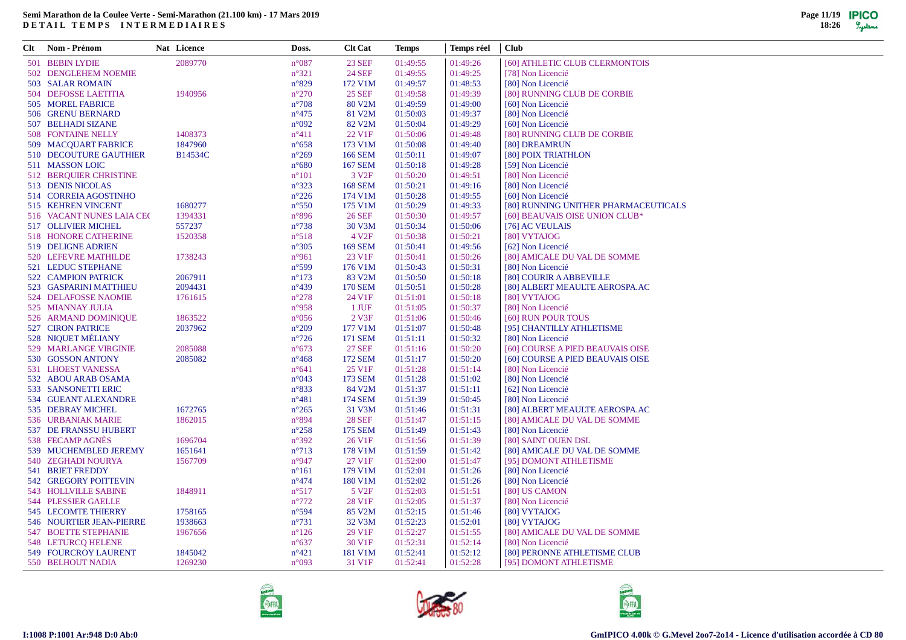| Clt Nom - Prénom              | Nat Licence    | Doss.                            | <b>Clt Cat</b>     | Temps    | Temps réel | <b>Club</b>                                                    |
|-------------------------------|----------------|----------------------------------|--------------------|----------|------------|----------------------------------------------------------------|
| 501 BEBIN LYDIE               | 2089770        | $n^{\circ}087$                   | <b>23 SEF</b>      | 01:49:55 | 01:49:26   | [60] ATHLETIC CLUB CLERMONTOIS                                 |
| 502 DENGLEHEM NOEMIE          |                | $n^{\circ}321$                   | <b>24 SEF</b>      | 01:49:55 | 01:49:25   | [78] Non Licencié                                              |
| 503 SALAR ROMAIN              |                | $n^{\circ}829$                   | 172 V1M            | 01:49:57 | 01:48:53   | [80] Non Licencié                                              |
| 504 DEFOSSE LAETITIA          | 1940956        | $n^{\circ}270$                   | <b>25 SEF</b>      | 01:49:58 | 01:49:39   | [80] RUNNING CLUB DE CORBIE                                    |
| 505 MOREL FABRICE             |                | $n^{\circ}708$                   | 80 V2M             | 01:49:59 | 01:49:00   | [60] Non Licencié                                              |
| 506 GRENU BERNARD             |                | $n^{\circ}475$                   | 81 V2M             | 01:50:03 | 01:49:37   | [80] Non Licencié                                              |
| 507 BELHADI SIZANE            |                | $n^{\circ}092$                   | 82 V2M             | 01:50:04 | 01:49:29   | [60] Non Licencié                                              |
| <b>508 FONTAINE NELLY</b>     | 1408373        | $n^{\circ}411$                   | 22 V <sub>1F</sub> | 01:50:06 | 01:49:48   | [80] RUNNING CLUB DE CORBIE                                    |
| 509 MACOUART FABRICE          | 1847960        | $n^{\circ}658$                   | 173 V1M            | 01:50:08 | 01:49:40   | [80] DREAMRUN                                                  |
| 510 DECOUTURE GAUTHIER        | <b>B14534C</b> | $n^{\circ}269$                   | 166 SEM            | 01:50:11 | 01:49:07   | [80] POIX TRIATHLON                                            |
| 511 MASSON LOIC               |                | $n^{\circ}680$                   | 167 SEM            | 01:50:18 | 01:49:28   | [59] Non Licencié                                              |
| <b>512 BEROUIER CHRISTINE</b> |                | $n^{\circ}101$                   | 3 V <sub>2F</sub>  | 01:50:20 | 01:49:51   | [80] Non Licencié                                              |
| 513 DENIS NICOLAS             |                | $n^{\circ}323$                   | <b>168 SEM</b>     | 01:50:21 | 01:49:16   | [80] Non Licencié                                              |
| 514 CORREIA AGOSTINHO         |                | $n^{\circ}226$                   | 174 V1M            | 01:50:28 | 01:49:55   | [60] Non Licencié                                              |
| 515 KEHREN VINCENT            | 1680277        | $n^{\circ}550$                   | 175 V1M            | 01:50:29 | 01:49:33   | [80] RUNNING UNITHER PHARMACEUTICALS                           |
| 516 VACANT NUNES LAIA CEO     | 1394331        | $n^{\circ}896$                   | <b>26 SEF</b>      | 01:50:30 | 01:49:57   | [60] BEAUVAIS OISE UNION CLUB*                                 |
| 517 OLLIVIER MICHEL           | 557237         | $n^{\circ}738$                   | 30 V3M             | 01:50:34 | 01:50:06   | [76] AC VEULAIS                                                |
| 518 HONORE CATHERINE          | 1520358        | $n^{\circ}518$                   | 4 V <sub>2F</sub>  | 01:50:38 | 01:50:21   | [80] VYTAJOG                                                   |
| 519 DELIGNE ADRIEN            |                | $n^{\circ}305$                   | <b>169 SEM</b>     | 01:50:41 | 01:49:56   | [62] Non Licencié                                              |
| 520 LEFEVRE MATHILDE          | 1738243        | $n^{\circ}961$                   | 23 V <sub>1F</sub> | 01:50:41 | 01:50:26   | [80] AMICALE DU VAL DE SOMME                                   |
| 521 LEDUC STEPHANE            |                | $n^{\circ}599$                   | 176 V1M            | 01:50:43 | 01:50:31   | [80] Non Licencié                                              |
| <b>522 CAMPION PATRICK</b>    | 2067911        | $n^{\circ}173$                   | 83 V2M             | 01:50:50 | 01:50:18   | [80] COURIR A ABBEVILLE                                        |
| 523 GASPARINI MATTHIEU        | 2094431        | $n^{\circ}439$                   | <b>170 SEM</b>     | 01:50:51 | 01:50:28   | [80] ALBERT MEAULTE AEROSPA.AC                                 |
| 524 DELAFOSSE NAOMIE          | 1761615        | $n^{\circ}278$                   | 24 V1F             | 01:51:01 | 01:50:18   | [80] VYTAJOG                                                   |
| 525 MIANNAY JULIA             |                | $n^{\circ}958$                   | 1 JUF              | 01:51:05 | 01:50:37   | [80] Non Licencié                                              |
| 526 ARMAND DOMINIQUE          | 1863522        | $n^{\circ}056$                   | 2 V3F              | 01:51:06 | 01:50:46   | [60] RUN POUR TOUS                                             |
| <b>527 CIRON PATRICE</b>      | 2037962        | $n^{\circ}209$                   | 177 V1M            | 01:51:07 | 01:50:48   | [95] CHANTILLY ATHLETISME                                      |
| 528 NIQUET MÉLIANY            |                | $n^{\circ}726$                   | 171 SEM            | 01:51:11 | 01:50:32   | [80] Non Licencié                                              |
| 529 MARLANGE VIRGINIE         | 2085088        | $n^{\circ}673$                   | <b>27 SEF</b>      | 01:51:16 | 01:50:20   | [60] COURSE A PIED BEAUVAIS OISE                               |
| 530 GOSSON ANTONY             | 2085082        | $n^{\circ}468$                   | 172 SEM            | 01:51:17 | 01:50:20   | [60] COURSE A PIED BEAUVAIS OISE                               |
| 531 LHOEST VANESSA            |                | $n^{\circ}641$                   | 25 V <sub>1F</sub> | 01:51:28 | 01:51:14   | [80] Non Licencié                                              |
| 532 ABOU ARAB OSAMA           |                | $n^{\circ}043$                   | 173 SEM            | 01:51:28 | 01:51:02   | [80] Non Licencié                                              |
| 533 SANSONETTI ERIC           |                | $n^{\circ}833$                   | 84 V2M             | 01:51:37 | 01:51:11   | [62] Non Licencié                                              |
| 534 GUEANT ALEXANDRE          |                | $n^{\circ}481$                   | 174 SEM            | 01:51:39 | 01:50:45   | [80] Non Licencié                                              |
| 535 DEBRAY MICHEL             | 1672765        |                                  | 31 V3M             | 01:51:46 | 01:51:31   |                                                                |
| 536 URBANIAK MARIE            | 1862015        | $n^{\circ}265$<br>$n^{\circ}894$ | <b>28 SEF</b>      | 01:51:47 | 01:51:15   | [80] ALBERT MEAULTE AEROSPA.AC<br>[80] AMICALE DU VAL DE SOMME |
| 537 DE FRANSSU HUBERT         |                | $n^{\circ}258$                   | 175 SEM            | 01:51:49 | 01:51:43   | [80] Non Licencié                                              |
| 538 FECAMP AGNÈS              | 1696704        | $n^{\circ}392$                   | 26 V1F             | 01:51:56 | 01:51:39   | [80] SAINT OUEN DSL                                            |
| 539 MUCHEMBLED JEREMY         | 1651641        | $n^{\circ}713$                   | 178 V1M            | 01:51:59 | 01:51:42   | [80] AMICALE DU VAL DE SOMME                                   |
|                               | 1567709        | $n^{\circ}947$                   |                    |          |            |                                                                |
| 540 ZEGHADI NOURYA            |                |                                  | 27 V1F             | 01:52:00 | 01:51:47   | [95] DOMONT ATHLETISME                                         |
| <b>541 BRIET FREDDY</b>       |                | $n^{\circ}161$                   | 179 V1M            | 01:52:01 | 01:51:26   | [80] Non Licencié                                              |
| 542 GREGORY POITTEVIN         |                | $n^{\circ}474$                   | 180 V1M            | 01:52:02 | 01:51:26   | [80] Non Licencié                                              |
| <b>543 HOLLVILLE SABINE</b>   | 1848911        | $n^{\circ}517$                   | 5 V <sub>2F</sub>  | 01:52:03 | 01:51:51   | [80] US CAMON                                                  |
| 544 PLESSIER GAELLE           |                | $n^{\circ}772$                   | 28 V1F             | 01:52:05 | 01:51:37   | [80] Non Licencié                                              |
| 545 LECOMTE THIERRY           | 1758165        | $n^{\circ}594$                   | 85 V2M             | 01:52:15 | 01:51:46   | [80] VYTAJOG                                                   |
| 546 NOURTIER JEAN-PIERRE      | 1938663        | $n^{\circ}731$                   | 32 V3M             | 01:52:23 | 01:52:01   | [80] VYTAJOG                                                   |
| <b>547 BOETTE STEPHANIE</b>   | 1967656        | $n^{\circ}126$                   | 29 V1F             | 01:52:27 | 01:51:55   | [80] AMICALE DU VAL DE SOMME                                   |
| 548 LETURCQ HELENE            |                | $n^{\circ}637$                   | 30 V1F             | 01:52:31 | 01:52:14   | [80] Non Licencié                                              |
| 549 FOURCROY LAURENT          | 1845042        | $n^{\circ}421$                   | 181 V1M            | 01:52:41 | 01:52:12   | [80] PERONNE ATHLETISME CLUB                                   |
| 550 BELHOUT NADIA             | 1269230        | $n^{\circ}093$                   | 31 V1F             | 01:52:41 | 01:52:28   | [95] DOMONT ATHLETISME                                         |





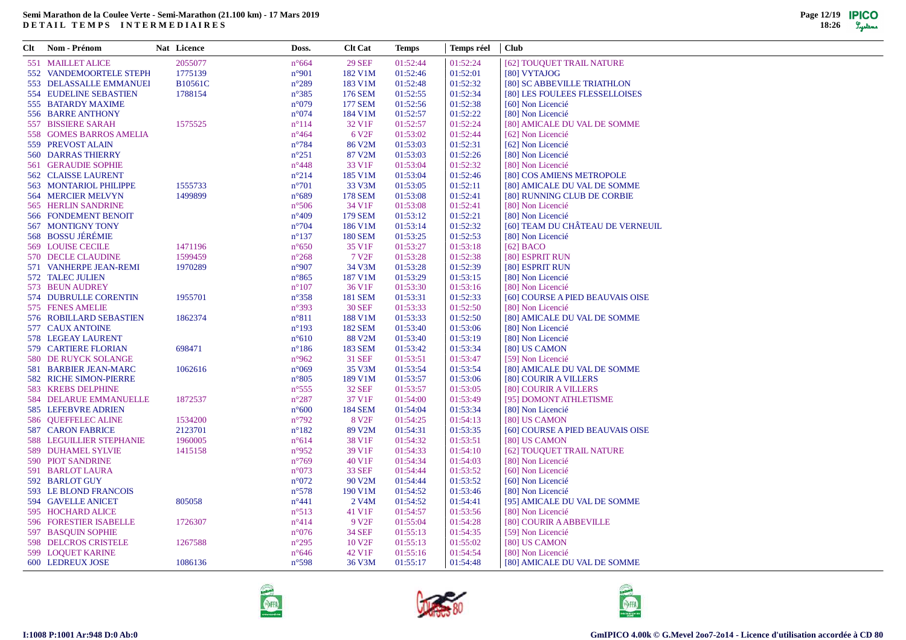| Clt | <b>Nom - Prénom</b>             | Nat Licence    | Doss.           | <b>Clt Cat</b>     | <b>Temps</b> | Temps réel | <b>Club</b>                      |
|-----|---------------------------------|----------------|-----------------|--------------------|--------------|------------|----------------------------------|
|     | 551 MAILLET ALICE               | 2055077        | $n^{\circ}664$  | <b>29 SEF</b>      | 01:52:44     | 01:52:24   | [62] TOUQUET TRAIL NATURE        |
|     | 552 VANDEMOORTELE STEPH         | 1775139        | $n^{\circ}901$  | 182 V1M            | 01:52:46     | 01:52:01   | [80] VYTAJOG                     |
|     | 553 DELASSALLE EMMANUEI         | <b>B10561C</b> | $n^{\circ}289$  | 183 V1M            | 01:52:48     | 01:52:32   | [80] SC ABBEVILLE TRIATHLON      |
|     | <b>554 EUDELINE SEBASTIEN</b>   | 1788154        | $n^{\circ}385$  | 176 SEM            | 01:52:55     | 01:52:34   | [80] LES FOULEES FLESSELLOISES   |
|     | 555 BATARDY MAXIME              |                | $n^{\circ}079$  | 177 SEM            | 01:52:56     | 01:52:38   | [60] Non Licencié                |
|     | 556 BARRE ANTHONY               |                | $n^{\circ}074$  | 184 V1M            | 01:52:57     | 01:52:22   | [80] Non Licencié                |
|     | 557 BISSIERE SARAH              | 1575525        | $n^{\circ}114$  | 32 V1F             | 01:52:57     | 01:52:24   | [80] AMICALE DU VAL DE SOMME     |
|     | 558 GOMES BARROS AMELIA         |                | $n^{\circ}464$  | 6 V <sub>2F</sub>  | 01:53:02     | 01:52:44   | [62] Non Licencié                |
|     | 559 PREVOST ALAIN               |                | $n^{\circ}784$  | 86 V2M             | 01:53:03     | 01:52:31   | [62] Non Licencié                |
|     | <b>560 DARRAS THIERRY</b>       |                | $n^{\circ}251$  | 87 V2M             | 01:53:03     | 01:52:26   | [80] Non Licencié                |
|     | <b>561 GERAUDIE SOPHIE</b>      |                | $n^{\circ}448$  | 33 V1F             | 01:53:04     | 01:52:32   | [80] Non Licencié                |
|     | <b>562 CLAISSE LAURENT</b>      |                | $n^{\circ}214$  | 185 V1M            | 01:53:04     | 01:52:46   | [80] COS AMIENS METROPOLE        |
|     | 563 MONTARIOL PHILIPPE          | 1555733        | $n^{\circ}701$  | 33 V3M             | 01:53:05     | 01:52:11   | [80] AMICALE DU VAL DE SOMME     |
|     | 564 MERCIER MELVYN              | 1499899        | $n^{\circ}689$  | <b>178 SEM</b>     | 01:53:08     | 01:52:41   | [80] RUNNING CLUB DE CORBIE      |
|     | 565 HERLIN SANDRINE             |                | $n^{\circ}506$  | 34 V1F             | 01:53:08     | 01:52:41   | [80] Non Licencié                |
|     | 566 FONDEMENT BENOIT            |                | $n^{\circ}409$  | <b>179 SEM</b>     | 01:53:12     | 01:52:21   | [80] Non Licencié                |
|     | 567 MONTIGNY TONY               |                | $n^{\circ}704$  | 186 V1M            | 01:53:14     | 01:52:32   | [60] TEAM DU CHÂTEAU DE VERNEUIL |
|     | 568 BOSSU JÉRÉMIE               |                | $n^{\circ}137$  | <b>180 SEM</b>     | 01:53:25     | 01:52:53   | [80] Non Licencié                |
|     | 569 LOUISE CECILE               | 1471196        | $n^{\circ}650$  | 35 V1F             | 01:53:27     | 01:53:18   | $[62]$ BACO                      |
|     | 570 DECLE CLAUDINE              | 1599459        | $n^{\circ}268$  | 7 V <sub>2F</sub>  | 01:53:28     | 01:52:38   | [80] ESPRIT RUN                  |
|     | 571 VANHERPE JEAN-REMI          | 1970289        | n°907           | 34 V3M             | 01:53:28     | 01:52:39   | [80] ESPRIT RUN                  |
|     | 572 TALEC JULIEN                |                | $n^{\circ}865$  | 187 V1M            | 01:53:29     | 01:53:15   | [80] Non Licencié                |
|     | 573 BEUN AUDREY                 |                | $n^{\circ}107$  | 36 V1F             | 01:53:30     | 01:53:16   | [80] Non Licencié                |
|     | 574 DUBRULLE CORENTIN           | 1955701        | $n^{\circ}358$  | <b>181 SEM</b>     | 01:53:31     | 01:52:33   | [60] COURSE A PIED BEAUVAIS OISE |
|     | 575 FENES AMELIE                |                | $n^{\circ}393$  | <b>30 SEF</b>      | 01:53:33     | 01:52:50   | [80] Non Licencié                |
|     | 576 ROBILLARD SEBASTIEN         | 1862374        | $n^{\circ}811$  | 188 V1M            | 01:53:33     | 01:52:50   | [80] AMICALE DU VAL DE SOMME     |
|     | 577 CAUX ANTOINE                |                | $n^{\circ}193$  | 182 SEM            | 01:53:40     | 01:53:06   | [80] Non Licencié                |
|     |                                 |                |                 | 88 V2M             | 01:53:40     |            |                                  |
|     | 578 LEGEAY LAURENT              | 698471         | $n^{\circ}610$  |                    |              | 01:53:19   | [80] Non Licencié                |
|     | 579 CARTIERE FLORIAN            |                | $n^{\circ}186$  | 183 SEM            | 01:53:42     | 01:53:34   | [80] US CAMON                    |
|     | 580 DE RUYCK SOLANGE            |                | $n^{\circ}962$  | 31 SEF             | 01:53:51     | 01:53:47   | [59] Non Licencié                |
|     | 581 BARBIER JEAN-MARC           | 1062616        | $n^{\circ}069$  | 35 V3M             | 01:53:54     | 01:53:54   | [80] AMICALE DU VAL DE SOMME     |
|     | 582 RICHE SIMON-PIERRE          |                | $n^{\circ}805$  | 189 V1M            | 01:53:57     | 01:53:06   | [80] COURIR A VILLERS            |
|     | 583 KREBS DELPHINE              |                | $n^{\circ}$ 555 | 32 SEF             | 01:53:57     | 01:53:05   | [80] COURIR A VILLERS            |
|     | <b>584 DELARUE EMMANUELLE</b>   | 1872537        | $n^{\circ}287$  | 37 V1F             | 01:54:00     | 01:53:49   | [95] DOMONT ATHLETISME           |
|     | 585 LEFEBVRE ADRIEN             |                | $n^{\circ}600$  | <b>184 SEM</b>     | 01:54:04     | 01:53:34   | [80] Non Licencié                |
|     | 586 QUEFFELEC ALINE             | 1534200        | $n^{\circ}792$  | 8 V <sub>2F</sub>  | 01:54:25     | 01:54:13   | [80] US CAMON                    |
|     | <b>587 CARON FABRICE</b>        | 2123701        | $n^{\circ}182$  | 89 V2M             | 01:54:31     | 01:53:35   | [60] COURSE A PIED BEAUVAIS OISE |
|     | <b>588 LEGUILLIER STEPHANIE</b> | 1960005        | $n^{\circ}614$  | 38 V1F             | 01:54:32     | 01:53:51   | [80] US CAMON                    |
|     | 589 DUHAMEL SYLVIE              | 1415158        | $n^{\circ}952$  | 39 V1F             | 01:54:33     | 01:54:10   | [62] TOUQUET TRAIL NATURE        |
|     | 590 PIOT SANDRINE               |                | $n^{\circ}769$  | 40 V1F             | 01:54:34     | 01:54:03   | [80] Non Licencié                |
|     | 591 BARLOT LAURA                |                | $n^{\circ}073$  | <b>33 SEF</b>      | 01:54:44     | 01:53:52   | [60] Non Licencié                |
|     | 592 BARLOT GUY                  |                | $n^{\circ}072$  | 90 V2M             | 01:54:44     | 01:53:52   | [60] Non Licencié                |
|     | 593 LE BLOND FRANCOIS           |                | $n^{\circ}578$  | 190 V1M            | 01:54:52     | 01:53:46   | [80] Non Licencié                |
|     | 594 GAVELLE ANICET              | 805058         | $n^{\circ}441$  | 2 V <sub>4</sub> M | 01:54:52     | 01:54:41   | [95] AMICALE DU VAL DE SOMME     |
|     | 595 HOCHARD ALICE               |                | $n^{\circ}513$  | 41 V1F             | 01:54:57     | 01:53:56   | [80] Non Licencié                |
|     | 596 FORESTIER ISABELLE          | 1726307        | $n^{\circ}414$  | 9 V <sub>2F</sub>  | 01:55:04     | 01:54:28   | [80] COURIR A ABBEVILLE          |
|     | 597 BASQUIN SOPHIE              |                | $n^{\circ}076$  | <b>34 SEF</b>      | 01:55:13     | 01:54:35   | [59] Non Licencié                |
|     | 598 DELCROS CRISTELE            | 1267588        | $n^{\circ}295$  | 10 V <sub>2F</sub> | 01:55:13     | 01:55:02   | [80] US CAMON                    |
|     | 599 LOQUET KARINE               |                | $n^{\circ}646$  | 42 V1F             | 01:55:16     | 01:54:54   | [80] Non Licencié                |
|     | 600 LEDREUX JOSE                | 1086136        | $n^{\circ}598$  | 36 V3M             | 01:55:17     | 01:54:48   | [80] AMICALE DU VAL DE SOMME     |





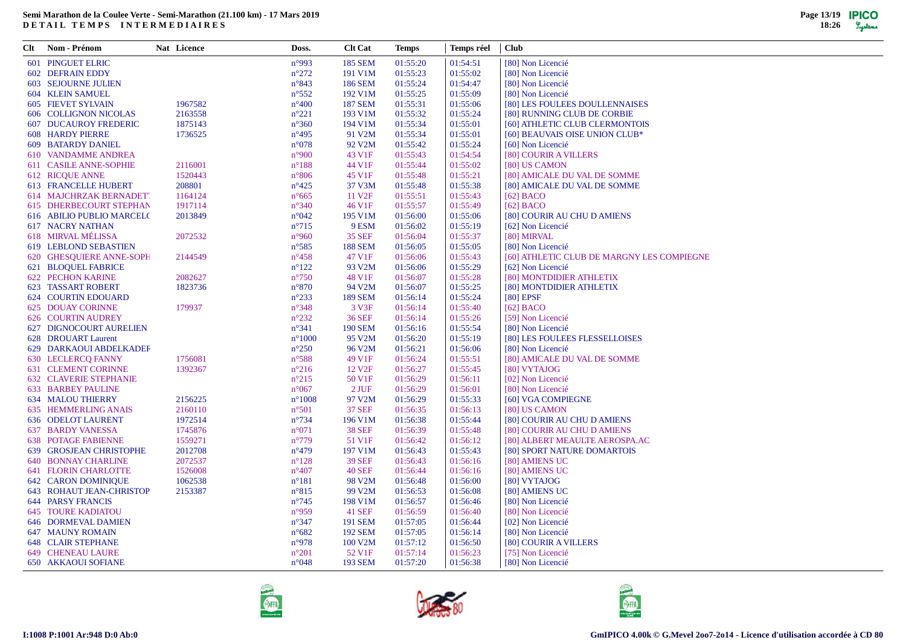| Clt | Nom - Prénom                    | Nat Licence | Doss.           | <b>Clt Cat</b>      | <b>Temps</b> | Temps réel | <b>Club</b>                                |
|-----|---------------------------------|-------------|-----------------|---------------------|--------------|------------|--------------------------------------------|
|     | <b>601 PINGUET ELRIC</b>        |             | n°993           | <b>185 SEM</b>      | 01:55:20     | 01:54:51   | [80] Non Licencié                          |
|     | 602 DEFRAIN EDDY                |             | $n^{\circ}272$  | 191 V1M             | 01:55:23     | 01:55:02   | [80] Non Licencié                          |
|     | <b>603 SEJOURNE JULIEN</b>      |             | $n^{\circ}843$  | <b>186 SEM</b>      | 01:55:24     | 01:54:47   | [80] Non Licencié                          |
|     | <b>604 KLEIN SAMUEL</b>         |             | $n^{\circ}552$  | 192 V1M             | 01:55:25     | 01:55:09   | [80] Non Licencié                          |
|     | <b>605 FIEVET SYLVAIN</b>       | 1967582     | $n^{\circ}400$  | <b>187 SEM</b>      | 01:55:31     | 01:55:06   | [80] LES FOULEES DOULLENNAISES             |
|     | <b>606 COLLIGNON NICOLAS</b>    | 2163558     | $n^{\circ}221$  | 193 V1M             | 01:55:32     | 01:55:24   | [80] RUNNING CLUB DE CORBIE                |
|     | <b>607 DUCAUROY FREDERIC</b>    | 1875143     | $n^{\circ}360$  | 194 V1M             | 01:55:34     | 01:55:01   | [60] ATHLETIC CLUB CLERMONTOIS             |
|     | <b>608 HARDY PIERRE</b>         | 1736525     | $n^{\circ}495$  | 91 V2M              | 01:55:34     | 01:55:01   | [60] BEAUVAIS OISE UNION CLUB*             |
|     | <b>609 BATARDY DANIEL</b>       |             | $n^{\circ}078$  | 92 V <sub>2</sub> M | 01:55:42     | 01:55:24   | [60] Non Licencié                          |
|     | 610 VANDAMME ANDREA             |             | n°900           | 43 V1F              | 01:55:43     | 01:54:54   | [80] COURIR A VILLERS                      |
|     | 611 CASILE ANNE-SOPHIE          | 2116001     | $n^{\circ}188$  | 44 V1F              | 01:55:44     | 01:55:02   | [80] US CAMON                              |
|     | <b>612 RICQUE ANNE</b>          | 1520443     | $n^{\circ}806$  | 45 V1F              | 01:55:48     | 01:55:21   | [80] AMICALE DU VAL DE SOMME               |
|     | 613 FRANCELLE HUBERT            | 208801      | $n^{\circ}425$  | 37 V3M              | 01:55:48     | 01:55:38   | [80] AMICALE DU VAL DE SOMME               |
|     | 614 MAJCHRZAK BERNADET.         | 1164124     | $n^{\circ}665$  | 11 V <sub>2F</sub>  | 01:55:51     | 01:55:43   | $[62]$ BACO                                |
|     | <b>615 DHERBECOURT STEPHAN</b>  | 1917114     | $n^{\circ}340$  | 46 V1F              | 01:55:57     | 01:55:49   | $[62]$ BACO                                |
|     | 616 ABILIO PUBLIO MARCELO       | 2013849     | $n^{\circ}042$  | 195 V1M             | 01:56:00     | 01:55:06   | [80] COURIR AU CHU D AMIENS                |
|     | <b>617 NACRY NATHAN</b>         |             | $n^{\circ}715$  | 9 ESM               | 01:56:02     | 01:55:19   | [62] Non Licencié                          |
|     | 618 MIRVAL MÉLISSA              | 2072532     | $n^{\circ}960$  | 35 SEF              | 01:56:04     | 01:55:37   | [80] MIRVAL                                |
|     | 619 LEBLOND SEBASTIEN           |             | $n^{\circ}585$  | <b>188 SEM</b>      | 01:56:05     | 01:55:05   | [80] Non Licencié                          |
|     | 620 GHESQUIERE ANNE-SOPH        | 2144549     | $n^{\circ}458$  | 47 V1F              | 01:56:06     | 01:55:43   | [60] ATHLETIC CLUB DE MARGNY LES COMPIEGNE |
|     | 621 BLOQUEL FABRICE             |             | $n^{\circ}122$  | 93 V <sub>2</sub> M | 01:56:06     | 01:55:29   | [62] Non Licencié                          |
|     | <b>622 PECHON KARINE</b>        | 2082627     | $n^{\circ}750$  | 48 V1F              | 01:56:07     | 01:55:28   | [80] MONTDIDIER ATHLETIX                   |
|     | <b>623 TASSART ROBERT</b>       | 1823736     | $n^{\circ}870$  | 94 V2M              | 01:56:07     | 01:55:25   | [80] MONTDIDIER ATHLETIX                   |
|     | <b>624 COURTIN EDOUARD</b>      |             | $n^{\circ}233$  | <b>189 SEM</b>      | 01:56:14     | 01:55:24   | $[80]$ EPSF                                |
|     | <b>625 DOUAY CORINNE</b>        | 179937      | $n^{\circ}348$  | 3 V3F               | 01:56:14     | 01:55:40   | $[62]$ BACO                                |
|     | 626 COURTIN AUDREY              |             | $n^{\circ}232$  | <b>36 SEF</b>       | 01:56:14     | 01:55:26   | [59] Non Licencié                          |
|     | 627 DIGNOCOURT AURELIEN         |             | $n^{\circ}341$  | <b>190 SEM</b>      | 01:56:16     | 01:55:54   | [80] Non Licencié                          |
|     | 628 DROUART Laurent             |             | $n^{\circ}1000$ | 95 V2M              | 01:56:20     | 01:55:19   | [80] LES FOULEES FLESSELLOISES             |
|     | 629 DARKAOUI ABDELKADEF         |             | $n^{\circ}250$  | 96 V2M              | 01:56:21     | 01:56:06   | [80] Non Licencié                          |
|     | 630 LECLERCQ FANNY              | 1756081     | $n^{\circ}588$  | 49 V1F              | 01:56:24     | 01:55:51   | [80] AMICALE DU VAL DE SOMME               |
|     | 631 CLEMENT CORINNE             | 1392367     | $n^{\circ}216$  | 12 V <sub>2F</sub>  | 01:56:27     | 01:55:45   | [80] VYTAJOG                               |
|     | <b>632 CLAVERIE STEPHANIE</b>   |             | $n^{\circ}215$  | 50 V1F              | 01:56:29     | 01:56:11   | [02] Non Licencié                          |
|     | <b>633 BARBEY PAULINE</b>       |             | $n^{\circ}067$  | 2 JUF               | 01:56:29     | 01:56:01   | [80] Non Licencié                          |
|     | <b>634 MALOU THIERRY</b>        | 2156225     | $n^{\circ}1008$ | 97 V2M              | 01:56:29     | 01:55:33   | [60] VGA COMPIEGNE                         |
|     | 635 HEMMERLING ANAIS            | 2160110     | $n^{\circ}501$  | <b>37 SEF</b>       | 01:56:35     | 01:56:13   | [80] US CAMON                              |
|     | 636 ODELOT LAURENT              | 1972514     | $n^{\circ}$ 734 | 196 V1M             | 01:56:38     | 01:55:44   | [80] COURIR AU CHU D AMIENS                |
|     | <b>637 BARDY VANESSA</b>        | 1745876     | $n^{\circ}071$  | <b>38 SEF</b>       | 01:56:39     | 01:55:48   | [80] COURIR AU CHU D AMIENS                |
|     | <b>638 POTAGE FABIENNE</b>      | 1559271     | $n^{\circ}779$  | 51 V1F              | 01:56:42     | 01:56:12   | [80] ALBERT MEAULTE AEROSPA.AC             |
|     | 639 GROSJEAN CHRISTOPHE         | 2012708     | $n^{\circ}479$  | 197 V1M             | 01:56:43     | 01:55:43   | [80] SPORT NATURE DOMARTOIS                |
|     | <b>640 BONNAY CHARLINE</b>      | 2072537     | $n^{\circ}128$  | 39 SEF              | 01:56:43     | 01:56:16   | [80] AMIENS UC                             |
|     | <b>641 FLORIN CHARLOTTE</b>     | 1526008     | $n^{\circ}407$  | <b>40 SEF</b>       | 01:56:44     | 01:56:16   | [80] AMIENS UC                             |
|     | <b>642 CARON DOMINIQUE</b>      | 1062538     | $n^{\circ}181$  | 98 V2M              | 01:56:48     | 01:56:00   | [80] VYTAJOG                               |
|     | <b>643 ROHAUT JEAN-CHRISTOP</b> | 2153387     | $n^{\circ}815$  | 99 V2M              | 01:56:53     | 01:56:08   | [80] AMIENS UC                             |
|     | <b>644 PARSY FRANCIS</b>        |             | $n^{\circ}745$  | 198 V1M             | 01:56:57     | 01:56:46   | [80] Non Licencié                          |
|     | <b>645 TOURE KADIATOU</b>       |             | $n^{\circ}959$  | <b>41 SEF</b>       | 01:56:59     | 01:56:40   | [80] Non Licencié                          |
|     | <b>646 DORMEVAL DAMIEN</b>      |             | $n^{\circ}347$  | <b>191 SEM</b>      | 01:57:05     | 01:56:44   | [02] Non Licencié                          |
|     | <b>647 MAUNY ROMAIN</b>         |             | $n^{\circ}682$  | <b>192 SEM</b>      | 01:57:05     | 01:56:14   | [80] Non Licencié                          |
|     | <b>648 CLAIR STEPHANE</b>       |             | n°978           | 100 V2M             | 01:57:12     | 01:56:50   | [80] COURIR A VILLERS                      |
|     | <b>649 CHENEAU LAURE</b>        |             | $n^{\circ}201$  | 52 V1F              | 01:57:14     | 01:56:23   | [75] Non Licencié                          |
|     | <b>650 AKKAOUI SOFIANE</b>      |             | $n^{\circ}048$  | <b>193 SEM</b>      | 01:57:20     | 01:56:38   | [80] Non Licencié                          |





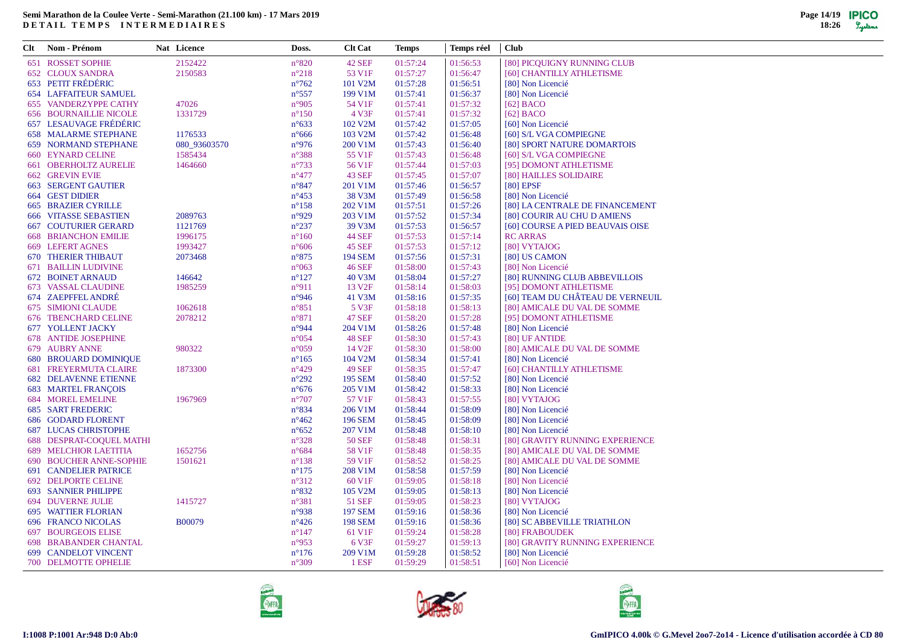| Clt | Nom - Prénom                  | Nat Licence   | Doss.           | <b>Clt Cat</b>       | <b>Temps</b> | Temps réel | <b>Club</b>                      |
|-----|-------------------------------|---------------|-----------------|----------------------|--------------|------------|----------------------------------|
|     | <b>651 ROSSET SOPHIE</b>      | 2152422       | $n^{\circ}820$  | 42 SEF               | 01:57:24     | 01:56:53   | [80] PICQUIGNY RUNNING CLUB      |
|     | <b>652 CLOUX SANDRA</b>       | 2150583       | $n^{\circ}218$  | 53 V1F               | 01:57:27     | 01:56:47   | [60] CHANTILLY ATHLETISME        |
|     | 653 PETIT FRÉDÉRIC            |               | $n^{\circ}762$  | 101 V2M              | 01:57:28     | 01:56:51   | [80] Non Licencié                |
|     | <b>654 LAFFAITEUR SAMUEL</b>  |               | $n^{\circ}$ 557 | 199 V1M              | 01:57:41     | 01:56:37   | [80] Non Licencié                |
|     | 655 VANDERZYPPE CATHY         | 47026         | $n^{\circ}905$  | 54 V1F               | 01:57:41     | 01:57:32   | $[62]$ BACO                      |
|     | <b>656 BOURNAILLIE NICOLE</b> | 1331729       | $n^{\circ}150$  | 4 V3F                | 01:57:41     | 01:57:32   | $[62]$ BACO                      |
|     | 657 LESAUVAGE FRÉDÉRIC        |               | $n^{\circ}633$  | 102 V2M              | 01:57:42     | 01:57:05   | [60] Non Licencié                |
|     | <b>658 MALARME STEPHANE</b>   | 1176533       | $n^{\circ}666$  | 103 V <sub>2</sub> M | 01:57:42     | 01:56:48   | [60] S/L VGA COMPIEGNE           |
|     | 659 NORMAND STEPHANE          | 080_93603570  | $n^{\circ}976$  | 200 V1M              | 01:57:43     | 01:56:40   | [80] SPORT NATURE DOMARTOIS      |
|     | 660 EYNARD CELINE             | 1585434       | $n^{\circ}388$  | 55 V1F               | 01:57:43     | 01:56:48   | [60] S/L VGA COMPIEGNE           |
|     | 661 OBERHOLTZ AURELIE         | 1464660       | $n^{\circ}733$  | 56 V1F               | 01:57:44     | 01:57:03   | [95] DOMONT ATHLETISME           |
|     | 662 GREVIN EVIE               |               | $n^{\circ}477$  | 43 SEF               | 01:57:45     | 01:57:07   | [80] HAILLES SOLIDAIRE           |
|     | <b>663 SERGENT GAUTIER</b>    |               | $n^{\circ}847$  | 201 V1M              | 01:57:46     | 01:56:57   | $[80]$ EPSF                      |
|     | 664 GEST DIDIER               |               | $n^{\circ}453$  | 38 V3M               | 01:57:49     | 01:56:58   | [80] Non Licencié                |
|     | <b>665 BRAZIER CYRILLE</b>    |               | $n^{\circ}158$  | 202 V1M              | 01:57:51     | 01:57:26   | [80] LA CENTRALE DE FINANCEMENT  |
|     | <b>666 VITASSE SEBASTIEN</b>  | 2089763       | $n^{\circ}929$  | 203 V1M              | 01:57:52     | 01:57:34   | [80] COURIR AU CHU D AMIENS      |
|     | <b>667 COUTURIER GERARD</b>   | 1121769       | $n^{\circ}237$  | 39 V3M               | 01:57:53     | 01:56:57   | [60] COURSE A PIED BEAUVAIS OISE |
|     | <b>668 BRIANCHON EMILIE</b>   | 1996175       | $n^{\circ}160$  | <b>44 SEF</b>        | 01:57:53     | 01:57:14   | <b>RC ARRAS</b>                  |
|     | <b>669 LEFERT AGNES</b>       | 1993427       | $n^{\circ}606$  | <b>45 SEF</b>        | 01:57:53     | 01:57:12   | [80] VYTAJOG                     |
|     | <b>670 THERIER THIBAUT</b>    | 2073468       | $n^{\circ}875$  | <b>194 SEM</b>       | 01:57:56     | 01:57:31   | [80] US CAMON                    |
|     | <b>671 BAILLIN LUDIVINE</b>   |               | $n^{\circ}063$  | <b>46 SEF</b>        | 01:58:00     | 01:57:43   | [80] Non Licencié                |
|     | <b>672 BOINET ARNAUD</b>      | 146642        | $n^{\circ}127$  | 40 V3M               | 01:58:04     | 01:57:27   | [80] RUNNING CLUB ABBEVILLOIS    |
|     | 673 VASSAL CLAUDINE           | 1985259       | n°911           | 13 V <sub>2F</sub>   | 01:58:14     | 01:58:03   | [95] DOMONT ATHLETISME           |
|     | 674 ZAEPFFEL ANDRÉ            |               | $n^{\circ}946$  | 41 V3M               | 01:58:16     | 01:57:35   | [60] TEAM DU CHÂTEAU DE VERNEUIL |
|     | 675 SIMIONI CLAUDE            | 1062618       | $n^{\circ}851$  | 5 V3F                | 01:58:18     | 01:58:13   | [80] AMICALE DU VAL DE SOMME     |
|     | 676 TBENCHARD CELINE          | 2078212       | $n^{\circ}871$  | <b>47 SEF</b>        | 01:58:20     | 01:57:28   | [95] DOMONT ATHLETISME           |
|     | 677 YOLLENT JACKY             |               | n°944           | 204 V1M              | 01:58:26     | 01:57:48   | [80] Non Licencié                |
|     | 678 ANTIDE JOSEPHINE          |               | $n^{\circ}054$  | <b>48 SEF</b>        | 01:58:30     | 01:57:43   | [80] UF ANTIDE                   |
|     | 679 AUBRY ANNE                | 980322        | $n^{\circ}059$  | 14 V <sub>2F</sub>   | 01:58:30     | 01:58:00   | [80] AMICALE DU VAL DE SOMME     |
|     | <b>680 BROUARD DOMINIQUE</b>  |               | $n^{\circ}165$  | 104 V2M              | 01:58:34     | 01:57:41   | [80] Non Licencié                |
|     | <b>681 FREYERMUTA CLAIRE</b>  | 1873300       | $n^{\circ}429$  | <b>49 SEF</b>        | 01:58:35     | 01:57:47   | [60] CHANTILLY ATHLETISME        |
|     | <b>682 DELAVENNE ETIENNE</b>  |               | $n^{\circ}292$  | <b>195 SEM</b>       | 01:58:40     | 01:57:52   | [80] Non Licencié                |
|     | <b>683 MARTEL FRANÇOIS</b>    |               | $n^{\circ}676$  | 205 V1M              | 01:58:42     | 01:58:33   | [80] Non Licencié                |
|     | <b>684 MOREL EMELINE</b>      | 1967969       | $n^{\circ}707$  | 57 V1F               | 01:58:43     | 01:57:55   | [80] VYTAJOG                     |
|     | <b>685 SART FREDERIC</b>      |               | $n^{\circ}834$  | 206 V1M              | 01:58:44     | 01:58:09   | [80] Non Licencié                |
|     | <b>686 GODARD FLORENT</b>     |               | $n^{\circ}462$  | <b>196 SEM</b>       | 01:58:45     | 01:58:09   | [80] Non Licencié                |
|     | <b>687 LUCAS CHRISTOPHE</b>   |               | $n^{\circ}652$  | 207 V1M              | 01:58:48     | 01:58:10   | [80] Non Licencié                |
|     | 688 DESPRAT-COQUEL MATHI      |               | $n^{\circ}328$  | <b>50 SEF</b>        | 01:58:48     | 01:58:31   | [80] GRAVITY RUNNING EXPERIENCE  |
|     | <b>689 MELCHIOR LAETITIA</b>  | 1652756       | $n^{\circ}684$  | 58 V1F               | 01:58:48     | 01:58:35   | [80] AMICALE DU VAL DE SOMME     |
|     | 690 BOUCHER ANNE-SOPHIE       | 1501621       | $n^{\circ}138$  | 59 V1F               | 01:58:52     | 01:58:25   | [80] AMICALE DU VAL DE SOMME     |
|     | <b>691 CANDELIER PATRICE</b>  |               | $n^{\circ}175$  | 208 V1M              | 01:58:58     | 01:57:59   | [80] Non Licencié                |
|     | <b>692 DELPORTE CELINE</b>    |               | $n^{\circ}312$  | 60 V <sub>1F</sub>   | 01:59:05     | 01:58:18   | [80] Non Licencié                |
|     | <b>693 SANNIER PHILIPPE</b>   |               | $n^{\circ}832$  | 105 V2M              | 01:59:05     | 01:58:13   | [80] Non Licencié                |
|     | <b>694 DUVERNE JULIE</b>      | 1415727       | $n^{\circ}381$  | <b>51 SEF</b>        | 01:59:05     | 01:58:23   | [80] VYTAJOG                     |
|     | <b>695 WATTIER FLORIAN</b>    |               | $n^{\circ}938$  | <b>197 SEM</b>       | 01:59:16     | 01:58:36   | [80] Non Licencié                |
|     | 696 FRANCO NICOLAS            | <b>B00079</b> | $n^{\circ}426$  | <b>198 SEM</b>       | 01:59:16     | 01:58:36   | [80] SC ABBEVILLE TRIATHLON      |
|     | <b>697 BOURGEOIS ELISE</b>    |               | $n^{\circ}147$  | 61 V1F               | 01:59:24     | 01:58:28   | [80] FRABOUDEK                   |
|     | <b>698 BRABANDER CHANTAL</b>  |               | $n^{\circ}953$  | 6 V3F                | 01:59:27     | 01:59:13   | [80] GRAVITY RUNNING EXPERIENCE  |
|     | 699 CANDELOT VINCENT          |               | $n^{\circ}176$  | 209 V1M              | 01:59:28     | 01:58:52   | [80] Non Licencié                |
|     | 700 DELMOTTE OPHELIE          |               | $n^{\circ}309$  | 1 ESF                | 01:59:29     | 01:58:51   | [60] Non Licencié                |





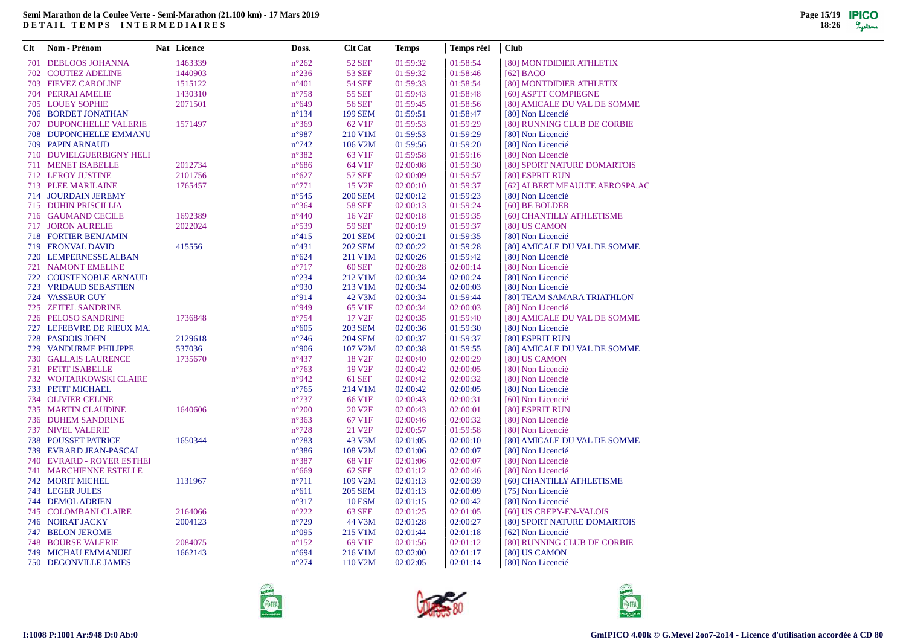| Clt Nom - Prénom              | Nat Licence | Doss.           | <b>Clt Cat</b>       | <b>Temps</b> | Temps réel | <b>Club</b>                    |
|-------------------------------|-------------|-----------------|----------------------|--------------|------------|--------------------------------|
| 701 DEBLOOS JOHANNA           | 1463339     | $n^{\circ}262$  | <b>52 SEF</b>        | 01:59:32     | 01:58:54   | [80] MONTDIDIER ATHLETIX       |
| <b>702 COUTIEZ ADELINE</b>    | 1440903     | $n^{\circ}236$  | <b>53 SEF</b>        | 01:59:32     | 01:58:46   | $[62]$ BACO                    |
| <b>703 FIEVEZ CAROLINE</b>    | 1515122     | $n^{\circ}401$  | <b>54 SEF</b>        | 01:59:33     | 01:58:54   | [80] MONTDIDIER ATHLETIX       |
| 704 PERRAI AMELIE             | 1430310     | $n^{\circ}758$  | <b>55 SEF</b>        | 01:59:43     | 01:58:48   | [60] ASPTT COMPIEGNE           |
| 705 LOUEY SOPHIE              | 2071501     | $n^{\circ}649$  | 56 SEF               | 01:59:45     | 01:58:56   | [80] AMICALE DU VAL DE SOMME   |
| 706 BORDET JONATHAN           |             | $n^{\circ}134$  | <b>199 SEM</b>       | 01:59:51     | 01:58:47   | [80] Non Licencié              |
| 707 DUPONCHELLE VALERIE       | 1571497     | $n^{\circ}369$  | 62 V1F               | 01:59:53     | 01:59:29   | [80] RUNNING CLUB DE CORBIE    |
| <b>708 DUPONCHELLE EMMANU</b> |             | $n^{\circ}987$  | 210 V1M              | 01:59:53     | 01:59:29   | [80] Non Licencié              |
| 709 PAPIN ARNAUD              |             | $n^{\circ}742$  | 106 V <sub>2</sub> M | 01:59:56     | 01:59:20   | [80] Non Licencié              |
| 710 DUVIELGUERBIGNY HELI      |             | $n^{\circ}382$  | 63 V <sub>1F</sub>   | 01:59:58     | 01:59:16   | [80] Non Licencié              |
| 711 MENET ISABELLE            | 2012734     | $n^{\circ}686$  | 64 V1F               | 02:00:08     | 01:59:30   | [80] SPORT NATURE DOMARTOIS    |
| 712 LEROY JUSTINE             | 2101756     | $n^{\circ}627$  | <b>57 SEF</b>        | 02:00:09     | 01:59:57   | [80] ESPRIT RUN                |
| 713 PLEE MARILAINE            | 1765457     | $n^{\circ}771$  | 15 V <sub>2F</sub>   | 02:00:10     | 01:59:37   | [62] ALBERT MEAULTE AEROSPA.AC |
| 714 JOURDAIN JEREMY           |             | $n^{\circ}545$  | <b>200 SEM</b>       | 02:00:12     | 01:59:23   | [80] Non Licencié              |
| 715 DUHIN PRISCILLIA          |             | $n^{\circ}364$  | <b>58 SEF</b>        | 02:00:13     | 01:59:24   | [60] BE BOLDER                 |
| 716 GAUMAND CECILE            | 1692389     | $n^{\circ}440$  | 16 V <sub>2F</sub>   | 02:00:18     | 01:59:35   | [60] CHANTILLY ATHLETISME      |
| <b>717 JORON AURELIE</b>      | 2022024     | $n^{\circ}539$  | <b>59 SEF</b>        | 02:00:19     | 01:59:37   | [80] US CAMON                  |
| <b>718 FORTIER BENJAMIN</b>   |             | $n^{\circ}415$  | <b>201 SEM</b>       | 02:00:21     | 01:59:35   | [80] Non Licencié              |
| 719 FRONVAL DAVID             | 415556      | $n^{\circ}431$  | <b>202 SEM</b>       | 02:00:22     | 01:59:28   | [80] AMICALE DU VAL DE SOMME   |
| 720 LEMPERNESSE ALBAN         |             | $n^{\circ}624$  | 211 V1M              | 02:00:26     | 01:59:42   | [80] Non Licencié              |
| <b>721 NAMONT EMELINE</b>     |             | $n^{\circ}717$  | 60 SEF               | 02:00:28     | 02:00:14   | [80] Non Licencié              |
| 722 COUSTENOBLE ARNAUD        |             | $n^{\circ}234$  | 212 V1M              | 02:00:34     | 02:00:24   | [80] Non Licencié              |
| <b>723 VRIDAUD SEBASTIEN</b>  |             | $n^{\circ}930$  | 213 V1M              | 02:00:34     | 02:00:03   | [80] Non Licencié              |
| 724 VASSEUR GUY               |             | $n^{\circ}914$  | 42 V3M               | 02:00:34     | 01:59:44   | [80] TEAM SAMARA TRIATHLON     |
| 725 ZEITEL SANDRINE           |             | $n^{\circ}949$  | 65 V1F               | 02:00:34     | 02:00:03   | [80] Non Licencié              |
| 726 PELOSO SANDRINE           | 1736848     | $n^{\circ}754$  | 17 V <sub>2F</sub>   | 02:00:35     | 01:59:40   | [80] AMICALE DU VAL DE SOMME   |
| 727 LEFEBVRE DE RIEUX MA      |             | $n^{\circ}605$  | <b>203 SEM</b>       | 02:00:36     | 01:59:30   | [80] Non Licencié              |
| 728 PASDOIS JOHN              | 2129618     | $n^{\circ}$ 746 | <b>204 SEM</b>       | 02:00:37     | 01:59:37   | [80] ESPRIT RUN                |
| 729 VANDURME PHILIPPE         | 537036      | $n^{\circ}906$  | 107 V2M              | 02:00:38     | 01:59:55   | [80] AMICALE DU VAL DE SOMME   |
| <b>730 GALLAIS LAURENCE</b>   | 1735670     | $n^{\circ}437$  | 18 V <sub>2F</sub>   | 02:00:40     | 02:00:29   | [80] US CAMON                  |
| 731 PETIT ISABELLE            |             | $n^{\circ}763$  | 19 V <sub>2F</sub>   | 02:00:42     | 02:00:05   | [80] Non Licencié              |
| 732 WOJTARKOWSKI CLAIRE       |             | $n^{\circ}942$  | <b>61 SEF</b>        | 02:00:42     | 02:00:32   | [80] Non Licencié              |
| 733 PETIT MICHAEL             |             | $n^{\circ}765$  | 214 V1M              | 02:00:42     | 02:00:05   | [80] Non Licencié              |
| 734 OLIVIER CELINE            |             | $n^{\circ}737$  | 66 V1F               | 02:00:43     | 02:00:31   | [60] Non Licencié              |
| <b>735 MARTIN CLAUDINE</b>    | 1640606     | $n^{\circ}200$  | 20 V <sub>2F</sub>   | 02:00:43     | 02:00:01   | [80] ESPRIT RUN                |
| 736 DUHEM SANDRINE            |             | $n^{\circ}363$  | 67 V1F               | 02:00:46     | 02:00:32   | [80] Non Licencié              |
| <b>737 NIVEL VALERIE</b>      |             | $n^{\circ}728$  | 21 V <sub>2F</sub>   | 02:00:57     | 01:59:58   | [80] Non Licencié              |
| <b>738 POUSSET PATRICE</b>    | 1650344     | $n^{\circ}783$  | 43 V3M               | 02:01:05     | 02:00:10   | [80] AMICALE DU VAL DE SOMME   |
| 739 EVRARD JEAN-PASCAL        |             | $n^{\circ}386$  | 108 V2M              | 02:01:06     | 02:00:07   | [80] Non Licencié              |
| 740 EVRARD - ROYER ESTHEI     |             | $n^{\circ}387$  | 68 V <sub>1F</sub>   | 02:01:06     | 02:00:07   | [80] Non Licencié              |
| <b>741 MARCHIENNE ESTELLE</b> |             | $n^{\circ}669$  | <b>62 SEF</b>        | 02:01:12     | 02:00:46   | [80] Non Licencié              |
| <b>742 MORIT MICHEL</b>       | 1131967     | $n^{\circ}711$  | 109 V2M              | 02:01:13     | 02:00:39   | [60] CHANTILLY ATHLETISME      |
| <b>743 LEGER JULES</b>        |             | $n^{\circ}611$  | <b>205 SEM</b>       | 02:01:13     | 02:00:09   | [75] Non Licencié              |
| 744 DEMOL ADRIEN              |             | $n^{\circ}317$  | <b>10 ESM</b>        | 02:01:15     | 02:00:42   | [80] Non Licencié              |
| <b>745 COLOMBANI CLAIRE</b>   | 2164066     | $n^{\circ}222$  | 63 SEF               | 02:01:25     | 02:01:05   | [60] US CREPY-EN-VALOIS        |
| 746 NOIRAT JACKY              | 2004123     | $n^{\circ}729$  | 44 V3M               | 02:01:28     | 02:00:27   | [80] SPORT NATURE DOMARTOIS    |
| 747 BELON JEROME              |             | $n^{\circ}095$  | 215 V1M              | 02:01:44     | 02:01:18   | [62] Non Licencié              |
| <b>748 BOURSE VALERIE</b>     | 2084075     | $n^{\circ}152$  | 69 V1F               | 02:01:56     | 02:01:12   | [80] RUNNING CLUB DE CORBIE    |
| <b>749 MICHAU EMMANUEL</b>    | 1662143     | $n^{\circ}694$  | 216 V1M              | 02:02:00     | 02:01:17   | [80] US CAMON                  |
| <b>750 DEGONVILLE JAMES</b>   |             | $n^{\circ}274$  | 110 V2M              | 02:02:05     | 02:01:14   | [80] Non Licencié              |
|                               |             |                 |                      |              |            |                                |





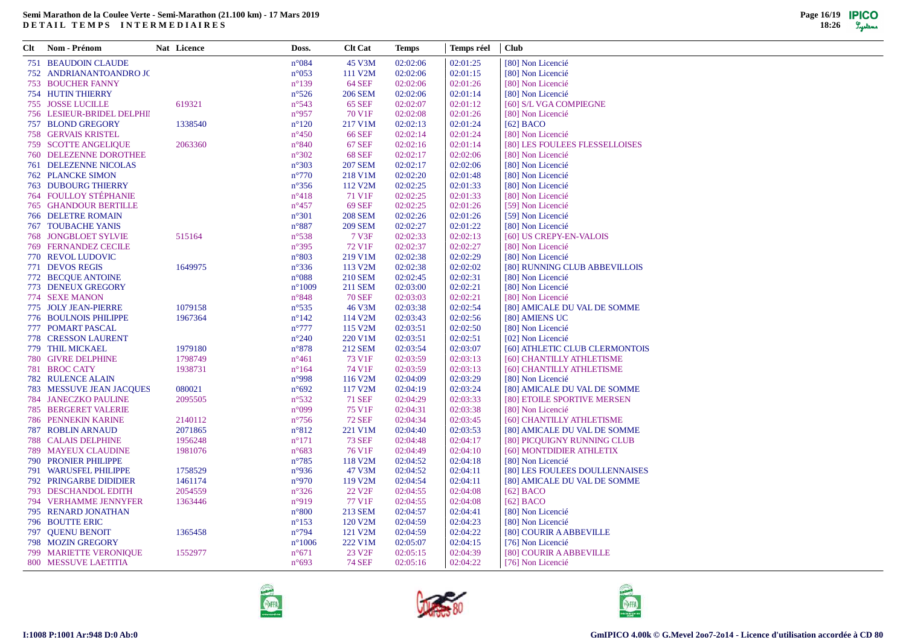| Clt | Nom - Prénom                  | Nat Licence | Doss.           | <b>Clt Cat</b>       | Temps    | Temps réel | <b>Club</b>                    |
|-----|-------------------------------|-------------|-----------------|----------------------|----------|------------|--------------------------------|
|     | <b>751 BEAUDOIN CLAUDE</b>    |             | $n^{\circ}084$  | 45 V3M               | 02:02:06 | 02:01:25   | [80] Non Licencié              |
|     | 752 ANDRIANANTOANDRO JC       |             | $n^{\circ}053$  | 111 V2M              | 02:02:06 | 02:01:15   | [80] Non Licencié              |
|     | <b>753 BOUCHER FANNY</b>      |             | $n^{\circ}139$  | <b>64 SEF</b>        | 02:02:06 | 02:01:26   | [80] Non Licencié              |
|     | <b>754 HUTIN THIERRY</b>      |             | $n^{\circ}526$  | <b>206 SEM</b>       | 02:02:06 | 02:01:14   | [80] Non Licencié              |
|     | <b>755 JOSSE LUCILLE</b>      | 619321      | $n^{\circ}543$  | <b>65 SEF</b>        | 02:02:07 | 02:01:12   | [60] S/L VGA COMPIEGNE         |
|     | 756 LESIEUR-BRIDEL DELPHII    |             | $n^{\circ}957$  | 70 V1F               | 02:02:08 | 02:01:26   | [80] Non Licencié              |
|     | 757 BLOND GREGORY             | 1338540     | $n^{\circ}120$  | 217 V1M              | 02:02:13 | 02:01:24   | $[62]$ BACO                    |
|     | <b>758 GERVAIS KRISTEL</b>    |             | $n^{\circ}450$  | <b>66 SEF</b>        | 02:02:14 | 02:01:24   | [80] Non Licencié              |
|     | <b>759 SCOTTE ANGELIQUE</b>   | 2063360     | $n^{\circ}840$  | <b>67 SEF</b>        | 02:02:16 | 02:01:14   | [80] LES FOULEES FLESSELLOISES |
|     | <b>760 DELEZENNE DOROTHEE</b> |             | $n^{\circ}302$  | <b>68 SEF</b>        | 02:02:17 | 02:02:06   | [80] Non Licencié              |
|     | <b>761 DELEZENNE NICOLAS</b>  |             | $n^{\circ}303$  | <b>207 SEM</b>       | 02:02:17 | 02:02:06   | [80] Non Licencié              |
|     | <b>762 PLANCKE SIMON</b>      |             | $n^{\circ}770$  | 218 V1M              | 02:02:20 | 02:01:48   | [80] Non Licencié              |
|     | <b>763 DUBOURG THIERRY</b>    |             | $n^{\circ}356$  | 112 V <sub>2</sub> M | 02:02:25 | 02:01:33   | [80] Non Licencié              |
|     | <b>764 FOULLOY STÉPHANIE</b>  |             | $n^{\circ}418$  | 71 V1F               | 02:02:25 | 02:01:33   | [80] Non Licencié              |
|     | <b>765 GHANDOUR BERTILLE</b>  |             | $n^{\circ}457$  | <b>69 SEF</b>        | 02:02:25 | 02:01:26   | [59] Non Licencié              |
|     | <b>766 DELETRE ROMAIN</b>     |             | $n^{\circ}301$  | <b>208 SEM</b>       | 02:02:26 | 02:01:26   | [59] Non Licencié              |
|     | <b>767 TOUBACHE YANIS</b>     |             | $n^{\circ}887$  | <b>209 SEM</b>       | 02:02:27 | 02:01:22   | [80] Non Licencié              |
|     | <b>768 JONGBLOET SYLVIE</b>   | 515164      | $n^{\circ}538$  | 7 V3F                | 02:02:33 | 02:02:13   | [60] US CREPY-EN-VALOIS        |
|     | <b>769 FERNANDEZ CECILE</b>   |             | $n^{\circ}395$  | 72 V1F               | 02:02:37 | 02:02:27   | [80] Non Licencié              |
|     | 770 REVOL LUDOVIC             |             | $n^{\circ}803$  | 219 V1M              | 02:02:38 | 02:02:29   | [80] Non Licencié              |
|     | 771 DEVOS REGIS               | 1649975     | $n^{\circ}336$  | 113 V <sub>2</sub> M | 02:02:38 | 02:02:02   | [80] RUNNING CLUB ABBEVILLOIS  |
|     | 772 BECQUE ANTOINE            |             | $n^{\circ}088$  | 210 SEM              | 02:02:45 | 02:02:31   | [80] Non Licencié              |
|     | 773 DENEUX GREGORY            |             | $n^{\circ}1009$ | 211 SEM              | 02:03:00 | 02:02:21   | [80] Non Licencié              |
|     | 774 SEXE MANON                |             | $n^{\circ}848$  | <b>70 SEF</b>        | 02:03:03 | 02:02:21   | [80] Non Licencié              |
|     | 775 JOLY JEAN-PIERRE          | 1079158     | $n^{\circ}535$  | 46 V3M               | 02:03:38 | 02:02:54   | [80] AMICALE DU VAL DE SOMME   |
|     | <b>776 BOULNOIS PHILIPPE</b>  | 1967364     | $n^{\circ}142$  | 114 V2M              | 02:03:43 | 02:02:56   | [80] AMIENS UC                 |
|     | 777 POMART PASCAL             |             | $n^{\circ}777$  | 115 V2M              | 02:03:51 | 02:02:50   | [80] Non Licencié              |
|     | 778 CRESSON LAURENT           |             | $n^{\circ}240$  | 220 V1M              | 02:03:51 | 02:02:51   | [02] Non Licencié              |
|     | 779 THIL MICKAEL              | 1979180     | $n^{\circ}878$  | <b>212 SEM</b>       | 02:03:54 | 02:03:07   | [60] ATHLETIC CLUB CLERMONTOIS |
|     | 780 GIVRE DELPHINE            | 1798749     | $n^{\circ}461$  | 73 V1F               | 02:03:59 | 02:03:13   | [60] CHANTILLY ATHLETISME      |
|     | 781 BROC CATY                 | 1938731     | $n^{\circ}164$  | 74 V1F               | 02:03:59 | 02:03:13   | [60] CHANTILLY ATHLETISME      |
|     | <b>782 RULENCE ALAIN</b>      |             | $n^{\circ}998$  | 116 V2M              | 02:04:09 | 02:03:29   | [80] Non Licencié              |
|     | 783 MESSUVE JEAN JACQUES      | 080021      | $n^{\circ}692$  | 117 V <sub>2</sub> M | 02:04:19 | 02:03:24   | [80] AMICALE DU VAL DE SOMME   |
|     | <b>784 JANECZKO PAULINE</b>   | 2095505     | $n^{\circ}532$  | <b>71 SEF</b>        | 02:04:29 | 02:03:33   | [80] ETOILE SPORTIVE MERSEN    |
|     | <b>785 BERGERET VALERIE</b>   |             | $n^{\circ}099$  | 75 V1F               | 02:04:31 | 02:03:38   | [80] Non Licencié              |
|     | <b>786 PENNEKIN KARINE</b>    | 2140112     | $n^{\circ}756$  | <b>72 SEF</b>        | 02:04:34 | 02:03:45   | [60] CHANTILLY ATHLETISME      |
|     | <b>787 ROBLIN ARNAUD</b>      | 2071865     | $n^{\circ}812$  | 221 V1M              | 02:04:40 | 02:03:53   | [80] AMICALE DU VAL DE SOMME   |
|     | <b>788 CALAIS DELPHINE</b>    | 1956248     | $n^{\circ}171$  | <b>73 SEF</b>        | 02:04:48 | 02:04:17   | [80] PICQUIGNY RUNNING CLUB    |
|     | <b>789 MAYEUX CLAUDINE</b>    | 1981076     | $n^{\circ}683$  | 76 V <sub>1F</sub>   | 02:04:49 | 02:04:10   | [60] MONTDIDIER ATHLETIX       |
|     | <b>790 PRONIER PHILIPPE</b>   |             | $n^{\circ}785$  | 118 V2M              | 02:04:52 | 02:04:18   | [80] Non Licencié              |
|     | 791 WARUSFEL PHILIPPE         | 1758529     | n°936           | 47 V3M               | 02:04:52 | 02:04:11   | [80] LES FOULEES DOULLENNAISES |
|     | 792 PRINGARBE DIDIDIER        | 1461174     | $n^{\circ}970$  | 119 V2M              | 02:04:54 | 02:04:11   | [80] AMICALE DU VAL DE SOMME   |
|     | 793 DESCHANDOL EDITH          | 2054559     | $n^{\circ}326$  | 22 V <sub>2F</sub>   | 02:04:55 | 02:04:08   | $[62]$ BACO                    |
|     | 794 VERHAMME JENNYFER         | 1363446     | $n^{\circ}919$  | 77 V1F               | 02:04:55 | 02:04:08   | [62] BACO                      |
|     | 795 RENARD JONATHAN           |             | $n^{\circ}800$  | 213 SEM              | 02:04:57 | 02:04:41   | [80] Non Licencié              |
|     | 796 BOUTTE ERIC               |             | $n^{\circ}153$  | 120 V2M              | 02:04:59 | 02:04:23   | [80] Non Licencié              |
|     | 797 QUENU BENOIT              | 1365458     | $n^{\circ}794$  | 121 V <sub>2</sub> M | 02:04:59 | 02:04:22   | [80] COURIR A ABBEVILLE        |
|     | 798 MOZIN GREGORY             |             | $n^{\circ}1006$ | 222 V1M              | 02:05:07 | 02:04:15   | [76] Non Licencié              |
|     |                               |             |                 |                      |          |            |                                |
|     | <b>799 MARIETTE VERONIQUE</b> | 1552977     | $n^{\circ}671$  | 23 V <sub>2F</sub>   | 02:05:15 | 02:04:39   | [80] COURIR A ABBEVILLE        |
|     | 800 MESSUVE LAETITIA          |             | $n^{\circ}693$  | <b>74 SEF</b>        | 02:05:16 | 02:04:22   | [76] Non Licencié              |

 $\overline{\phantom{a}}$ 





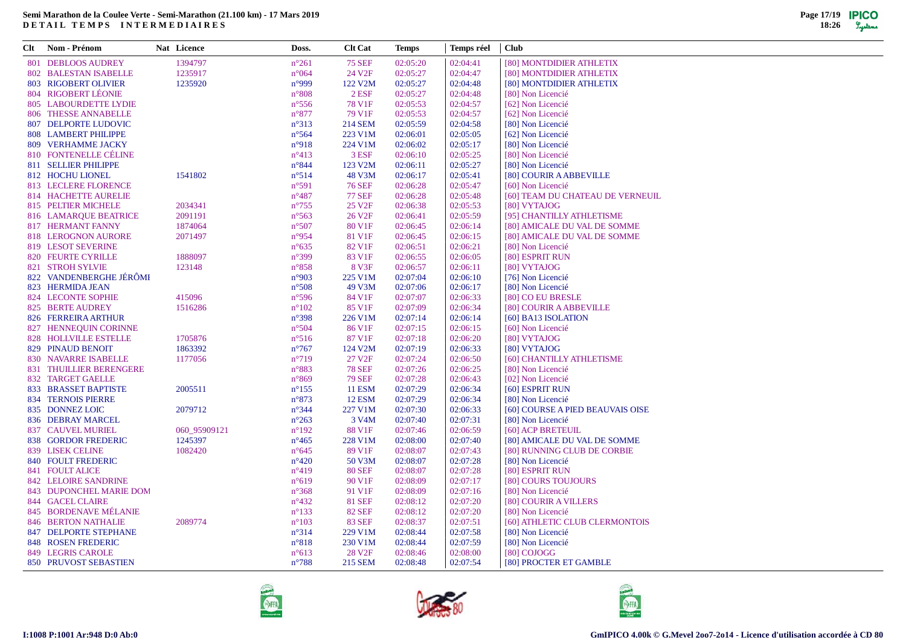| 801 DEBLOOS AUDREY<br>1394797<br><b>75 SEF</b><br>02:04:41<br>$n^{\circ}261$<br>02:05:20<br>[80] MONTDIDIER ATHLETIX<br>1235917<br>24 V2F<br>02:05:27<br>02:04:47<br>802 BALESTAN ISABELLE<br>$n^{\circ}064$<br>[80] MONTDIDIER ATHLETIX<br>803 RIGOBERT OLIVIER<br>1235920<br>n°999<br>122 V2M<br>02:04:48<br>02:05:27<br>[80] MONTDIDIER ATHLETIX<br>804 RIGOBERT LÉONIE<br>$n^{\circ}808$<br>$2$ ESF<br>02:05:27<br>02:04:48<br>[80] Non Licencié<br>805 LABOURDETTE LYDIE<br>78 V1F<br>02:05:53<br>02:04:57<br>[62] Non Licencié<br>$n^{\circ}$ 556<br>79 V1F<br>02:05:53<br>02:04:57<br>806 THESSE ANNABELLE<br>$n^{\circ}877$<br>[62] Non Licencié<br><b>807 DELPORTE LUDOVIC</b><br>$n^{\circ}313$<br>214 SEM<br>02:05:59<br>02:04:58<br>[80] Non Licencié<br>808 LAMBERT PHILIPPE<br>223 V1M<br>$n^{\circ}$ 564<br>02:06:01<br>02:05:05<br>[62] Non Licencié<br>809 VERHAMME JACKY<br>n°918<br>224 V1M<br>02:06:02<br>02:05:17<br>[80] Non Licencié<br>810 FONTENELLE CÉLINE<br>$n^{\circ}413$<br>3 ESF<br>02:06:10<br>02:05:25<br>[80] Non Licencié<br>811 SELLIER PHILIPPE<br>$n^{\circ}844$<br>123 V2M<br>02:06:11<br>02:05:27<br>[80] Non Licencié<br>812 HOCHU LIONEL<br>1541802<br>$n^{\circ}514$<br>48 V3M<br>02:06:17<br>02:05:41<br>[80] COURIR A ABBEVILLE<br>813 LECLERE FLORENCE<br><b>76 SEF</b><br>02:06:28<br>02:05:47<br>[60] Non Licencié<br>$n^{\circ}591$<br>814 HACHETTE AURELIE<br><b>77 SEF</b><br>$n^{\circ}487$<br>02:06:28<br>02:05:48<br>[60] TEAM DU CHATEAU DE VERNEUIL<br>815 PELTIER MICHELE<br>2034341<br>$n^{\circ}755$<br>25 V2F<br>02:06:38<br>02:05:53<br>[80] VYTAJOG<br>816 LAMARQUE BEATRICE<br>2091191<br>$n^{\circ}$ 563<br>26 V <sub>2F</sub><br>02:06:41<br>02:05:59<br>[95] CHANTILLY ATHLETISME<br>817 HERMANT FANNY<br>1874064<br>$n^{\circ}507$<br>80 V1F<br>02:06:45<br>02:06:14<br>[80] AMICALE DU VAL DE SOMME<br>818 LEROGNON AURORE<br>2071497<br>$n^{\circ}954$<br>81 V1F<br>02:06:45<br>02:06:15<br>[80] AMICALE DU VAL DE SOMME<br>82 V1F<br>819 LESOT SEVERINE<br>$n^{\circ}635$<br>02:06:51<br>02:06:21<br>[80] Non Licencié<br>820 FEURTE CYRILLE<br>1888097<br>$n^{\circ}399$<br>83 V1F<br>02:06:55<br>02:06:05<br>[80] ESPRIT RUN<br><b>821 STROH SYLVIE</b><br>123148<br>$n^{\circ}858$<br>8 V3F<br>02:06:57<br>02:06:11<br>[80] VYTAJOG<br>822 VANDENBERGHE JÉRÔMI<br>225 V1M<br>02:07:04<br>02:06:10<br>[76] Non Licencié<br>n°903<br>823 HERMIDA JEAN<br>49 V3M<br>[80] Non Licencié<br>$n^{\circ}508$<br>02:07:06<br>02:06:17<br>824 LECONTE SOPHIE<br>415096<br>84 V1F<br>02:07:07<br>02:06:33<br>[80] CO EU BRESLE<br>$n^{\circ}$ 596<br>825 BERTE AUDREY<br>1516286<br>$n^{\circ}102$<br>85 V1F<br>02:07:09<br>02:06:34<br>[80] COURIR A ABBEVILLE<br>826 FERREIRA ARTHUR<br>$n^{\circ}398$<br>226 V1M<br>02:07:14<br>02:06:14<br>[60] BA13 ISOLATION<br>827 HENNEQUIN CORINNE<br>86 V1F<br>02:07:15<br>02:06:15<br>[60] Non Licencié<br>$n^{\circ}504$<br>828 HOLLVILLE ESTELLE<br>1705876<br>87 V1F<br>02:07:18<br>02:06:20<br>[80] VYTAJOG<br>$n^{\circ}516$<br>829 PINAUD BENOIT<br>1863392<br>$n^{\circ}767$<br>124 V2M<br>02:07:19<br>02:06:33<br>[80] VYTAJOG<br>27 V2F<br>830 NAVARRE ISABELLE<br>1177056<br>$n^{\circ}719$<br>02:07:24<br>02:06:50<br>[60] CHANTILLY ATHLETISME<br><b>78 SEF</b><br>02:07:26<br>831 THUILLIER BERENGERE<br>$n^{\circ}883$<br>02:06:25<br>[80] Non Licencié<br><b>832 TARGET GAELLE</b><br><b>79 SEF</b><br>02:07:28<br>[02] Non Licencié<br>$n^{\circ}869$<br>02:06:43<br>833 BRASSET BAPTISTE<br><b>11 ESM</b><br>02:07:29<br>2005511<br>$n^{\circ}155$<br>02:06:34<br>[60] ESPRIT RUN<br><b>834 TERNOIS PIERRE</b><br><b>12 ESM</b><br>02:07:29<br>02:06:34<br>$n^{\circ}873$<br>[80] Non Licencié<br>835 DONNEZ LOIC<br>$n^{\circ}344$<br>227 V1M<br>02:07:30<br>02:06:33<br>[60] COURSE A PIED BEAUVAIS OISE<br>2079712<br>836 DEBRAY MARCEL<br>$n^{\circ}263$<br>3 V <sub>4</sub> M<br>02:07:40<br>02:07:31<br>[80] Non Licencié<br>837 CAUVEL MURIEL<br>060_95909121<br>$n^{\circ}192$<br>88 V1F<br>02:07:46<br>02:06:59<br>[60] ACP BRETEUIL<br>1245397<br>838 GORDOR FREDERIC<br>$n^{\circ}465$<br>228 V1M<br>02:08:00<br>02:07:40<br>[80] AMICALE DU VAL DE SOMME<br>839 LISEK CELINE<br>1082420<br>89 V1F<br>02:07:43<br>[80] RUNNING CLUB DE CORBIE<br>$n^{\circ}645$<br>02:08:07<br>840 FOULT FREDERIC<br>$n^{\circ}420$<br>50 V3M<br>02:08:07<br>02:07:28<br>[80] Non Licencié<br>841 FOULT ALICE<br>$n^{\circ}419$<br><b>80 SEF</b><br>02:08:07<br>02:07:28<br>[80] ESPRIT RUN<br>[80] COURS TOUJOURS<br><b>842 LELOIRE SANDRINE</b><br>$n^{\circ}619$<br>90 V1F<br>02:08:09<br>02:07:17<br>843 DUPONCHEL MARIE DOM<br>$n^{\circ}368$<br>91 V1F<br>02:08:09<br>02:07:16<br>[80] Non Licencié<br>02:07:20<br>[80] COURIR A VILLERS<br>844 GACEL CLAIRE<br>$n^{\circ}432$<br><b>81 SEF</b><br>02:08:12<br>845 BORDENAVE MÉLANIE<br>$n^{\circ}133$<br><b>82 SEF</b><br>02:07:20<br>02:08:12<br>[80] Non Licencié<br>846 BERTON NATHALIE<br>2089774<br>$n^{\circ}103$<br><b>83 SEF</b><br>02:08:37<br>02:07:51<br>[60] ATHLETIC CLUB CLERMONTOIS<br>847 DELPORTE STEPHANE<br>$n^{\circ}314$<br>229 V1M<br>02:08:44<br>02:07:58<br>[80] Non Licencié<br><b>848 ROSEN FREDERIC</b><br>$n^{\circ}818$<br>230 V1M<br>02:08:44<br>02:07:59<br>[80] Non Licencié<br>849 LEGRIS CAROLE<br>$n^{\circ}613$<br>28 V <sub>2F</sub><br>02:08:46<br>02:08:00<br>[80] COJOGG<br>850 PRUVOST SEBASTIEN<br>$n^{\circ}788$<br>215 SEM<br>02:08:48<br>02:07:54<br>[80] PROCTER ET GAMBLE | Clt | Nom - Prénom | Nat Licence | Doss. | <b>Clt Cat</b> | Temps | Temps réel | <b>Club</b> |
|------------------------------------------------------------------------------------------------------------------------------------------------------------------------------------------------------------------------------------------------------------------------------------------------------------------------------------------------------------------------------------------------------------------------------------------------------------------------------------------------------------------------------------------------------------------------------------------------------------------------------------------------------------------------------------------------------------------------------------------------------------------------------------------------------------------------------------------------------------------------------------------------------------------------------------------------------------------------------------------------------------------------------------------------------------------------------------------------------------------------------------------------------------------------------------------------------------------------------------------------------------------------------------------------------------------------------------------------------------------------------------------------------------------------------------------------------------------------------------------------------------------------------------------------------------------------------------------------------------------------------------------------------------------------------------------------------------------------------------------------------------------------------------------------------------------------------------------------------------------------------------------------------------------------------------------------------------------------------------------------------------------------------------------------------------------------------------------------------------------------------------------------------------------------------------------------------------------------------------------------------------------------------------------------------------------------------------------------------------------------------------------------------------------------------------------------------------------------------------------------------------------------------------------------------------------------------------------------------------------------------------------------------------------------------------------------------------------------------------------------------------------------------------------------------------------------------------------------------------------------------------------------------------------------------------------------------------------------------------------------------------------------------------------------------------------------------------------------------------------------------------------------------------------------------------------------------------------------------------------------------------------------------------------------------------------------------------------------------------------------------------------------------------------------------------------------------------------------------------------------------------------------------------------------------------------------------------------------------------------------------------------------------------------------------------------------------------------------------------------------------------------------------------------------------------------------------------------------------------------------------------------------------------------------------------------------------------------------------------------------------------------------------------------------------------------------------------------------------------------------------------------------------------------------------------------------------------------------------------------------------------------------------------------------------------------------------------------------------------------------------------------------------------------------------------------------------------------------------------------------------------------------------------------------------------------------------------------------------------------------------------------------------------------------------------------------------------------------------------------------------------------------------------------------------------------------------------------------------------------------------------------------------------------------------------------------------------------------------------------------------------------------------------------------------------------------------------------------------------------------------------------------------------------------------------------------------------------------------------------------------------------------------------------------------------------------------------------------------------------------------------------------------------------------------------------------------------------------------------------------------|-----|--------------|-------------|-------|----------------|-------|------------|-------------|
|                                                                                                                                                                                                                                                                                                                                                                                                                                                                                                                                                                                                                                                                                                                                                                                                                                                                                                                                                                                                                                                                                                                                                                                                                                                                                                                                                                                                                                                                                                                                                                                                                                                                                                                                                                                                                                                                                                                                                                                                                                                                                                                                                                                                                                                                                                                                                                                                                                                                                                                                                                                                                                                                                                                                                                                                                                                                                                                                                                                                                                                                                                                                                                                                                                                                                                                                                                                                                                                                                                                                                                                                                                                                                                                                                                                                                                                                                                                                                                                                                                                                                                                                                                                                                                                                                                                                                                                                                                                                                                                                                                                                                                                                                                                                                                                                                                                                                                                                                                                                                                                                                                                                                                                                                                                                                                                                                                                                                                                                                                      |     |              |             |       |                |       |            |             |
|                                                                                                                                                                                                                                                                                                                                                                                                                                                                                                                                                                                                                                                                                                                                                                                                                                                                                                                                                                                                                                                                                                                                                                                                                                                                                                                                                                                                                                                                                                                                                                                                                                                                                                                                                                                                                                                                                                                                                                                                                                                                                                                                                                                                                                                                                                                                                                                                                                                                                                                                                                                                                                                                                                                                                                                                                                                                                                                                                                                                                                                                                                                                                                                                                                                                                                                                                                                                                                                                                                                                                                                                                                                                                                                                                                                                                                                                                                                                                                                                                                                                                                                                                                                                                                                                                                                                                                                                                                                                                                                                                                                                                                                                                                                                                                                                                                                                                                                                                                                                                                                                                                                                                                                                                                                                                                                                                                                                                                                                                                      |     |              |             |       |                |       |            |             |
|                                                                                                                                                                                                                                                                                                                                                                                                                                                                                                                                                                                                                                                                                                                                                                                                                                                                                                                                                                                                                                                                                                                                                                                                                                                                                                                                                                                                                                                                                                                                                                                                                                                                                                                                                                                                                                                                                                                                                                                                                                                                                                                                                                                                                                                                                                                                                                                                                                                                                                                                                                                                                                                                                                                                                                                                                                                                                                                                                                                                                                                                                                                                                                                                                                                                                                                                                                                                                                                                                                                                                                                                                                                                                                                                                                                                                                                                                                                                                                                                                                                                                                                                                                                                                                                                                                                                                                                                                                                                                                                                                                                                                                                                                                                                                                                                                                                                                                                                                                                                                                                                                                                                                                                                                                                                                                                                                                                                                                                                                                      |     |              |             |       |                |       |            |             |
|                                                                                                                                                                                                                                                                                                                                                                                                                                                                                                                                                                                                                                                                                                                                                                                                                                                                                                                                                                                                                                                                                                                                                                                                                                                                                                                                                                                                                                                                                                                                                                                                                                                                                                                                                                                                                                                                                                                                                                                                                                                                                                                                                                                                                                                                                                                                                                                                                                                                                                                                                                                                                                                                                                                                                                                                                                                                                                                                                                                                                                                                                                                                                                                                                                                                                                                                                                                                                                                                                                                                                                                                                                                                                                                                                                                                                                                                                                                                                                                                                                                                                                                                                                                                                                                                                                                                                                                                                                                                                                                                                                                                                                                                                                                                                                                                                                                                                                                                                                                                                                                                                                                                                                                                                                                                                                                                                                                                                                                                                                      |     |              |             |       |                |       |            |             |
|                                                                                                                                                                                                                                                                                                                                                                                                                                                                                                                                                                                                                                                                                                                                                                                                                                                                                                                                                                                                                                                                                                                                                                                                                                                                                                                                                                                                                                                                                                                                                                                                                                                                                                                                                                                                                                                                                                                                                                                                                                                                                                                                                                                                                                                                                                                                                                                                                                                                                                                                                                                                                                                                                                                                                                                                                                                                                                                                                                                                                                                                                                                                                                                                                                                                                                                                                                                                                                                                                                                                                                                                                                                                                                                                                                                                                                                                                                                                                                                                                                                                                                                                                                                                                                                                                                                                                                                                                                                                                                                                                                                                                                                                                                                                                                                                                                                                                                                                                                                                                                                                                                                                                                                                                                                                                                                                                                                                                                                                                                      |     |              |             |       |                |       |            |             |
|                                                                                                                                                                                                                                                                                                                                                                                                                                                                                                                                                                                                                                                                                                                                                                                                                                                                                                                                                                                                                                                                                                                                                                                                                                                                                                                                                                                                                                                                                                                                                                                                                                                                                                                                                                                                                                                                                                                                                                                                                                                                                                                                                                                                                                                                                                                                                                                                                                                                                                                                                                                                                                                                                                                                                                                                                                                                                                                                                                                                                                                                                                                                                                                                                                                                                                                                                                                                                                                                                                                                                                                                                                                                                                                                                                                                                                                                                                                                                                                                                                                                                                                                                                                                                                                                                                                                                                                                                                                                                                                                                                                                                                                                                                                                                                                                                                                                                                                                                                                                                                                                                                                                                                                                                                                                                                                                                                                                                                                                                                      |     |              |             |       |                |       |            |             |
|                                                                                                                                                                                                                                                                                                                                                                                                                                                                                                                                                                                                                                                                                                                                                                                                                                                                                                                                                                                                                                                                                                                                                                                                                                                                                                                                                                                                                                                                                                                                                                                                                                                                                                                                                                                                                                                                                                                                                                                                                                                                                                                                                                                                                                                                                                                                                                                                                                                                                                                                                                                                                                                                                                                                                                                                                                                                                                                                                                                                                                                                                                                                                                                                                                                                                                                                                                                                                                                                                                                                                                                                                                                                                                                                                                                                                                                                                                                                                                                                                                                                                                                                                                                                                                                                                                                                                                                                                                                                                                                                                                                                                                                                                                                                                                                                                                                                                                                                                                                                                                                                                                                                                                                                                                                                                                                                                                                                                                                                                                      |     |              |             |       |                |       |            |             |
|                                                                                                                                                                                                                                                                                                                                                                                                                                                                                                                                                                                                                                                                                                                                                                                                                                                                                                                                                                                                                                                                                                                                                                                                                                                                                                                                                                                                                                                                                                                                                                                                                                                                                                                                                                                                                                                                                                                                                                                                                                                                                                                                                                                                                                                                                                                                                                                                                                                                                                                                                                                                                                                                                                                                                                                                                                                                                                                                                                                                                                                                                                                                                                                                                                                                                                                                                                                                                                                                                                                                                                                                                                                                                                                                                                                                                                                                                                                                                                                                                                                                                                                                                                                                                                                                                                                                                                                                                                                                                                                                                                                                                                                                                                                                                                                                                                                                                                                                                                                                                                                                                                                                                                                                                                                                                                                                                                                                                                                                                                      |     |              |             |       |                |       |            |             |
|                                                                                                                                                                                                                                                                                                                                                                                                                                                                                                                                                                                                                                                                                                                                                                                                                                                                                                                                                                                                                                                                                                                                                                                                                                                                                                                                                                                                                                                                                                                                                                                                                                                                                                                                                                                                                                                                                                                                                                                                                                                                                                                                                                                                                                                                                                                                                                                                                                                                                                                                                                                                                                                                                                                                                                                                                                                                                                                                                                                                                                                                                                                                                                                                                                                                                                                                                                                                                                                                                                                                                                                                                                                                                                                                                                                                                                                                                                                                                                                                                                                                                                                                                                                                                                                                                                                                                                                                                                                                                                                                                                                                                                                                                                                                                                                                                                                                                                                                                                                                                                                                                                                                                                                                                                                                                                                                                                                                                                                                                                      |     |              |             |       |                |       |            |             |
|                                                                                                                                                                                                                                                                                                                                                                                                                                                                                                                                                                                                                                                                                                                                                                                                                                                                                                                                                                                                                                                                                                                                                                                                                                                                                                                                                                                                                                                                                                                                                                                                                                                                                                                                                                                                                                                                                                                                                                                                                                                                                                                                                                                                                                                                                                                                                                                                                                                                                                                                                                                                                                                                                                                                                                                                                                                                                                                                                                                                                                                                                                                                                                                                                                                                                                                                                                                                                                                                                                                                                                                                                                                                                                                                                                                                                                                                                                                                                                                                                                                                                                                                                                                                                                                                                                                                                                                                                                                                                                                                                                                                                                                                                                                                                                                                                                                                                                                                                                                                                                                                                                                                                                                                                                                                                                                                                                                                                                                                                                      |     |              |             |       |                |       |            |             |
|                                                                                                                                                                                                                                                                                                                                                                                                                                                                                                                                                                                                                                                                                                                                                                                                                                                                                                                                                                                                                                                                                                                                                                                                                                                                                                                                                                                                                                                                                                                                                                                                                                                                                                                                                                                                                                                                                                                                                                                                                                                                                                                                                                                                                                                                                                                                                                                                                                                                                                                                                                                                                                                                                                                                                                                                                                                                                                                                                                                                                                                                                                                                                                                                                                                                                                                                                                                                                                                                                                                                                                                                                                                                                                                                                                                                                                                                                                                                                                                                                                                                                                                                                                                                                                                                                                                                                                                                                                                                                                                                                                                                                                                                                                                                                                                                                                                                                                                                                                                                                                                                                                                                                                                                                                                                                                                                                                                                                                                                                                      |     |              |             |       |                |       |            |             |
|                                                                                                                                                                                                                                                                                                                                                                                                                                                                                                                                                                                                                                                                                                                                                                                                                                                                                                                                                                                                                                                                                                                                                                                                                                                                                                                                                                                                                                                                                                                                                                                                                                                                                                                                                                                                                                                                                                                                                                                                                                                                                                                                                                                                                                                                                                                                                                                                                                                                                                                                                                                                                                                                                                                                                                                                                                                                                                                                                                                                                                                                                                                                                                                                                                                                                                                                                                                                                                                                                                                                                                                                                                                                                                                                                                                                                                                                                                                                                                                                                                                                                                                                                                                                                                                                                                                                                                                                                                                                                                                                                                                                                                                                                                                                                                                                                                                                                                                                                                                                                                                                                                                                                                                                                                                                                                                                                                                                                                                                                                      |     |              |             |       |                |       |            |             |
|                                                                                                                                                                                                                                                                                                                                                                                                                                                                                                                                                                                                                                                                                                                                                                                                                                                                                                                                                                                                                                                                                                                                                                                                                                                                                                                                                                                                                                                                                                                                                                                                                                                                                                                                                                                                                                                                                                                                                                                                                                                                                                                                                                                                                                                                                                                                                                                                                                                                                                                                                                                                                                                                                                                                                                                                                                                                                                                                                                                                                                                                                                                                                                                                                                                                                                                                                                                                                                                                                                                                                                                                                                                                                                                                                                                                                                                                                                                                                                                                                                                                                                                                                                                                                                                                                                                                                                                                                                                                                                                                                                                                                                                                                                                                                                                                                                                                                                                                                                                                                                                                                                                                                                                                                                                                                                                                                                                                                                                                                                      |     |              |             |       |                |       |            |             |
|                                                                                                                                                                                                                                                                                                                                                                                                                                                                                                                                                                                                                                                                                                                                                                                                                                                                                                                                                                                                                                                                                                                                                                                                                                                                                                                                                                                                                                                                                                                                                                                                                                                                                                                                                                                                                                                                                                                                                                                                                                                                                                                                                                                                                                                                                                                                                                                                                                                                                                                                                                                                                                                                                                                                                                                                                                                                                                                                                                                                                                                                                                                                                                                                                                                                                                                                                                                                                                                                                                                                                                                                                                                                                                                                                                                                                                                                                                                                                                                                                                                                                                                                                                                                                                                                                                                                                                                                                                                                                                                                                                                                                                                                                                                                                                                                                                                                                                                                                                                                                                                                                                                                                                                                                                                                                                                                                                                                                                                                                                      |     |              |             |       |                |       |            |             |
|                                                                                                                                                                                                                                                                                                                                                                                                                                                                                                                                                                                                                                                                                                                                                                                                                                                                                                                                                                                                                                                                                                                                                                                                                                                                                                                                                                                                                                                                                                                                                                                                                                                                                                                                                                                                                                                                                                                                                                                                                                                                                                                                                                                                                                                                                                                                                                                                                                                                                                                                                                                                                                                                                                                                                                                                                                                                                                                                                                                                                                                                                                                                                                                                                                                                                                                                                                                                                                                                                                                                                                                                                                                                                                                                                                                                                                                                                                                                                                                                                                                                                                                                                                                                                                                                                                                                                                                                                                                                                                                                                                                                                                                                                                                                                                                                                                                                                                                                                                                                                                                                                                                                                                                                                                                                                                                                                                                                                                                                                                      |     |              |             |       |                |       |            |             |
|                                                                                                                                                                                                                                                                                                                                                                                                                                                                                                                                                                                                                                                                                                                                                                                                                                                                                                                                                                                                                                                                                                                                                                                                                                                                                                                                                                                                                                                                                                                                                                                                                                                                                                                                                                                                                                                                                                                                                                                                                                                                                                                                                                                                                                                                                                                                                                                                                                                                                                                                                                                                                                                                                                                                                                                                                                                                                                                                                                                                                                                                                                                                                                                                                                                                                                                                                                                                                                                                                                                                                                                                                                                                                                                                                                                                                                                                                                                                                                                                                                                                                                                                                                                                                                                                                                                                                                                                                                                                                                                                                                                                                                                                                                                                                                                                                                                                                                                                                                                                                                                                                                                                                                                                                                                                                                                                                                                                                                                                                                      |     |              |             |       |                |       |            |             |
|                                                                                                                                                                                                                                                                                                                                                                                                                                                                                                                                                                                                                                                                                                                                                                                                                                                                                                                                                                                                                                                                                                                                                                                                                                                                                                                                                                                                                                                                                                                                                                                                                                                                                                                                                                                                                                                                                                                                                                                                                                                                                                                                                                                                                                                                                                                                                                                                                                                                                                                                                                                                                                                                                                                                                                                                                                                                                                                                                                                                                                                                                                                                                                                                                                                                                                                                                                                                                                                                                                                                                                                                                                                                                                                                                                                                                                                                                                                                                                                                                                                                                                                                                                                                                                                                                                                                                                                                                                                                                                                                                                                                                                                                                                                                                                                                                                                                                                                                                                                                                                                                                                                                                                                                                                                                                                                                                                                                                                                                                                      |     |              |             |       |                |       |            |             |
|                                                                                                                                                                                                                                                                                                                                                                                                                                                                                                                                                                                                                                                                                                                                                                                                                                                                                                                                                                                                                                                                                                                                                                                                                                                                                                                                                                                                                                                                                                                                                                                                                                                                                                                                                                                                                                                                                                                                                                                                                                                                                                                                                                                                                                                                                                                                                                                                                                                                                                                                                                                                                                                                                                                                                                                                                                                                                                                                                                                                                                                                                                                                                                                                                                                                                                                                                                                                                                                                                                                                                                                                                                                                                                                                                                                                                                                                                                                                                                                                                                                                                                                                                                                                                                                                                                                                                                                                                                                                                                                                                                                                                                                                                                                                                                                                                                                                                                                                                                                                                                                                                                                                                                                                                                                                                                                                                                                                                                                                                                      |     |              |             |       |                |       |            |             |
|                                                                                                                                                                                                                                                                                                                                                                                                                                                                                                                                                                                                                                                                                                                                                                                                                                                                                                                                                                                                                                                                                                                                                                                                                                                                                                                                                                                                                                                                                                                                                                                                                                                                                                                                                                                                                                                                                                                                                                                                                                                                                                                                                                                                                                                                                                                                                                                                                                                                                                                                                                                                                                                                                                                                                                                                                                                                                                                                                                                                                                                                                                                                                                                                                                                                                                                                                                                                                                                                                                                                                                                                                                                                                                                                                                                                                                                                                                                                                                                                                                                                                                                                                                                                                                                                                                                                                                                                                                                                                                                                                                                                                                                                                                                                                                                                                                                                                                                                                                                                                                                                                                                                                                                                                                                                                                                                                                                                                                                                                                      |     |              |             |       |                |       |            |             |
|                                                                                                                                                                                                                                                                                                                                                                                                                                                                                                                                                                                                                                                                                                                                                                                                                                                                                                                                                                                                                                                                                                                                                                                                                                                                                                                                                                                                                                                                                                                                                                                                                                                                                                                                                                                                                                                                                                                                                                                                                                                                                                                                                                                                                                                                                                                                                                                                                                                                                                                                                                                                                                                                                                                                                                                                                                                                                                                                                                                                                                                                                                                                                                                                                                                                                                                                                                                                                                                                                                                                                                                                                                                                                                                                                                                                                                                                                                                                                                                                                                                                                                                                                                                                                                                                                                                                                                                                                                                                                                                                                                                                                                                                                                                                                                                                                                                                                                                                                                                                                                                                                                                                                                                                                                                                                                                                                                                                                                                                                                      |     |              |             |       |                |       |            |             |
|                                                                                                                                                                                                                                                                                                                                                                                                                                                                                                                                                                                                                                                                                                                                                                                                                                                                                                                                                                                                                                                                                                                                                                                                                                                                                                                                                                                                                                                                                                                                                                                                                                                                                                                                                                                                                                                                                                                                                                                                                                                                                                                                                                                                                                                                                                                                                                                                                                                                                                                                                                                                                                                                                                                                                                                                                                                                                                                                                                                                                                                                                                                                                                                                                                                                                                                                                                                                                                                                                                                                                                                                                                                                                                                                                                                                                                                                                                                                                                                                                                                                                                                                                                                                                                                                                                                                                                                                                                                                                                                                                                                                                                                                                                                                                                                                                                                                                                                                                                                                                                                                                                                                                                                                                                                                                                                                                                                                                                                                                                      |     |              |             |       |                |       |            |             |
|                                                                                                                                                                                                                                                                                                                                                                                                                                                                                                                                                                                                                                                                                                                                                                                                                                                                                                                                                                                                                                                                                                                                                                                                                                                                                                                                                                                                                                                                                                                                                                                                                                                                                                                                                                                                                                                                                                                                                                                                                                                                                                                                                                                                                                                                                                                                                                                                                                                                                                                                                                                                                                                                                                                                                                                                                                                                                                                                                                                                                                                                                                                                                                                                                                                                                                                                                                                                                                                                                                                                                                                                                                                                                                                                                                                                                                                                                                                                                                                                                                                                                                                                                                                                                                                                                                                                                                                                                                                                                                                                                                                                                                                                                                                                                                                                                                                                                                                                                                                                                                                                                                                                                                                                                                                                                                                                                                                                                                                                                                      |     |              |             |       |                |       |            |             |
|                                                                                                                                                                                                                                                                                                                                                                                                                                                                                                                                                                                                                                                                                                                                                                                                                                                                                                                                                                                                                                                                                                                                                                                                                                                                                                                                                                                                                                                                                                                                                                                                                                                                                                                                                                                                                                                                                                                                                                                                                                                                                                                                                                                                                                                                                                                                                                                                                                                                                                                                                                                                                                                                                                                                                                                                                                                                                                                                                                                                                                                                                                                                                                                                                                                                                                                                                                                                                                                                                                                                                                                                                                                                                                                                                                                                                                                                                                                                                                                                                                                                                                                                                                                                                                                                                                                                                                                                                                                                                                                                                                                                                                                                                                                                                                                                                                                                                                                                                                                                                                                                                                                                                                                                                                                                                                                                                                                                                                                                                                      |     |              |             |       |                |       |            |             |
|                                                                                                                                                                                                                                                                                                                                                                                                                                                                                                                                                                                                                                                                                                                                                                                                                                                                                                                                                                                                                                                                                                                                                                                                                                                                                                                                                                                                                                                                                                                                                                                                                                                                                                                                                                                                                                                                                                                                                                                                                                                                                                                                                                                                                                                                                                                                                                                                                                                                                                                                                                                                                                                                                                                                                                                                                                                                                                                                                                                                                                                                                                                                                                                                                                                                                                                                                                                                                                                                                                                                                                                                                                                                                                                                                                                                                                                                                                                                                                                                                                                                                                                                                                                                                                                                                                                                                                                                                                                                                                                                                                                                                                                                                                                                                                                                                                                                                                                                                                                                                                                                                                                                                                                                                                                                                                                                                                                                                                                                                                      |     |              |             |       |                |       |            |             |
|                                                                                                                                                                                                                                                                                                                                                                                                                                                                                                                                                                                                                                                                                                                                                                                                                                                                                                                                                                                                                                                                                                                                                                                                                                                                                                                                                                                                                                                                                                                                                                                                                                                                                                                                                                                                                                                                                                                                                                                                                                                                                                                                                                                                                                                                                                                                                                                                                                                                                                                                                                                                                                                                                                                                                                                                                                                                                                                                                                                                                                                                                                                                                                                                                                                                                                                                                                                                                                                                                                                                                                                                                                                                                                                                                                                                                                                                                                                                                                                                                                                                                                                                                                                                                                                                                                                                                                                                                                                                                                                                                                                                                                                                                                                                                                                                                                                                                                                                                                                                                                                                                                                                                                                                                                                                                                                                                                                                                                                                                                      |     |              |             |       |                |       |            |             |
|                                                                                                                                                                                                                                                                                                                                                                                                                                                                                                                                                                                                                                                                                                                                                                                                                                                                                                                                                                                                                                                                                                                                                                                                                                                                                                                                                                                                                                                                                                                                                                                                                                                                                                                                                                                                                                                                                                                                                                                                                                                                                                                                                                                                                                                                                                                                                                                                                                                                                                                                                                                                                                                                                                                                                                                                                                                                                                                                                                                                                                                                                                                                                                                                                                                                                                                                                                                                                                                                                                                                                                                                                                                                                                                                                                                                                                                                                                                                                                                                                                                                                                                                                                                                                                                                                                                                                                                                                                                                                                                                                                                                                                                                                                                                                                                                                                                                                                                                                                                                                                                                                                                                                                                                                                                                                                                                                                                                                                                                                                      |     |              |             |       |                |       |            |             |
|                                                                                                                                                                                                                                                                                                                                                                                                                                                                                                                                                                                                                                                                                                                                                                                                                                                                                                                                                                                                                                                                                                                                                                                                                                                                                                                                                                                                                                                                                                                                                                                                                                                                                                                                                                                                                                                                                                                                                                                                                                                                                                                                                                                                                                                                                                                                                                                                                                                                                                                                                                                                                                                                                                                                                                                                                                                                                                                                                                                                                                                                                                                                                                                                                                                                                                                                                                                                                                                                                                                                                                                                                                                                                                                                                                                                                                                                                                                                                                                                                                                                                                                                                                                                                                                                                                                                                                                                                                                                                                                                                                                                                                                                                                                                                                                                                                                                                                                                                                                                                                                                                                                                                                                                                                                                                                                                                                                                                                                                                                      |     |              |             |       |                |       |            |             |
|                                                                                                                                                                                                                                                                                                                                                                                                                                                                                                                                                                                                                                                                                                                                                                                                                                                                                                                                                                                                                                                                                                                                                                                                                                                                                                                                                                                                                                                                                                                                                                                                                                                                                                                                                                                                                                                                                                                                                                                                                                                                                                                                                                                                                                                                                                                                                                                                                                                                                                                                                                                                                                                                                                                                                                                                                                                                                                                                                                                                                                                                                                                                                                                                                                                                                                                                                                                                                                                                                                                                                                                                                                                                                                                                                                                                                                                                                                                                                                                                                                                                                                                                                                                                                                                                                                                                                                                                                                                                                                                                                                                                                                                                                                                                                                                                                                                                                                                                                                                                                                                                                                                                                                                                                                                                                                                                                                                                                                                                                                      |     |              |             |       |                |       |            |             |
|                                                                                                                                                                                                                                                                                                                                                                                                                                                                                                                                                                                                                                                                                                                                                                                                                                                                                                                                                                                                                                                                                                                                                                                                                                                                                                                                                                                                                                                                                                                                                                                                                                                                                                                                                                                                                                                                                                                                                                                                                                                                                                                                                                                                                                                                                                                                                                                                                                                                                                                                                                                                                                                                                                                                                                                                                                                                                                                                                                                                                                                                                                                                                                                                                                                                                                                                                                                                                                                                                                                                                                                                                                                                                                                                                                                                                                                                                                                                                                                                                                                                                                                                                                                                                                                                                                                                                                                                                                                                                                                                                                                                                                                                                                                                                                                                                                                                                                                                                                                                                                                                                                                                                                                                                                                                                                                                                                                                                                                                                                      |     |              |             |       |                |       |            |             |
|                                                                                                                                                                                                                                                                                                                                                                                                                                                                                                                                                                                                                                                                                                                                                                                                                                                                                                                                                                                                                                                                                                                                                                                                                                                                                                                                                                                                                                                                                                                                                                                                                                                                                                                                                                                                                                                                                                                                                                                                                                                                                                                                                                                                                                                                                                                                                                                                                                                                                                                                                                                                                                                                                                                                                                                                                                                                                                                                                                                                                                                                                                                                                                                                                                                                                                                                                                                                                                                                                                                                                                                                                                                                                                                                                                                                                                                                                                                                                                                                                                                                                                                                                                                                                                                                                                                                                                                                                                                                                                                                                                                                                                                                                                                                                                                                                                                                                                                                                                                                                                                                                                                                                                                                                                                                                                                                                                                                                                                                                                      |     |              |             |       |                |       |            |             |
|                                                                                                                                                                                                                                                                                                                                                                                                                                                                                                                                                                                                                                                                                                                                                                                                                                                                                                                                                                                                                                                                                                                                                                                                                                                                                                                                                                                                                                                                                                                                                                                                                                                                                                                                                                                                                                                                                                                                                                                                                                                                                                                                                                                                                                                                                                                                                                                                                                                                                                                                                                                                                                                                                                                                                                                                                                                                                                                                                                                                                                                                                                                                                                                                                                                                                                                                                                                                                                                                                                                                                                                                                                                                                                                                                                                                                                                                                                                                                                                                                                                                                                                                                                                                                                                                                                                                                                                                                                                                                                                                                                                                                                                                                                                                                                                                                                                                                                                                                                                                                                                                                                                                                                                                                                                                                                                                                                                                                                                                                                      |     |              |             |       |                |       |            |             |
|                                                                                                                                                                                                                                                                                                                                                                                                                                                                                                                                                                                                                                                                                                                                                                                                                                                                                                                                                                                                                                                                                                                                                                                                                                                                                                                                                                                                                                                                                                                                                                                                                                                                                                                                                                                                                                                                                                                                                                                                                                                                                                                                                                                                                                                                                                                                                                                                                                                                                                                                                                                                                                                                                                                                                                                                                                                                                                                                                                                                                                                                                                                                                                                                                                                                                                                                                                                                                                                                                                                                                                                                                                                                                                                                                                                                                                                                                                                                                                                                                                                                                                                                                                                                                                                                                                                                                                                                                                                                                                                                                                                                                                                                                                                                                                                                                                                                                                                                                                                                                                                                                                                                                                                                                                                                                                                                                                                                                                                                                                      |     |              |             |       |                |       |            |             |
|                                                                                                                                                                                                                                                                                                                                                                                                                                                                                                                                                                                                                                                                                                                                                                                                                                                                                                                                                                                                                                                                                                                                                                                                                                                                                                                                                                                                                                                                                                                                                                                                                                                                                                                                                                                                                                                                                                                                                                                                                                                                                                                                                                                                                                                                                                                                                                                                                                                                                                                                                                                                                                                                                                                                                                                                                                                                                                                                                                                                                                                                                                                                                                                                                                                                                                                                                                                                                                                                                                                                                                                                                                                                                                                                                                                                                                                                                                                                                                                                                                                                                                                                                                                                                                                                                                                                                                                                                                                                                                                                                                                                                                                                                                                                                                                                                                                                                                                                                                                                                                                                                                                                                                                                                                                                                                                                                                                                                                                                                                      |     |              |             |       |                |       |            |             |
|                                                                                                                                                                                                                                                                                                                                                                                                                                                                                                                                                                                                                                                                                                                                                                                                                                                                                                                                                                                                                                                                                                                                                                                                                                                                                                                                                                                                                                                                                                                                                                                                                                                                                                                                                                                                                                                                                                                                                                                                                                                                                                                                                                                                                                                                                                                                                                                                                                                                                                                                                                                                                                                                                                                                                                                                                                                                                                                                                                                                                                                                                                                                                                                                                                                                                                                                                                                                                                                                                                                                                                                                                                                                                                                                                                                                                                                                                                                                                                                                                                                                                                                                                                                                                                                                                                                                                                                                                                                                                                                                                                                                                                                                                                                                                                                                                                                                                                                                                                                                                                                                                                                                                                                                                                                                                                                                                                                                                                                                                                      |     |              |             |       |                |       |            |             |
|                                                                                                                                                                                                                                                                                                                                                                                                                                                                                                                                                                                                                                                                                                                                                                                                                                                                                                                                                                                                                                                                                                                                                                                                                                                                                                                                                                                                                                                                                                                                                                                                                                                                                                                                                                                                                                                                                                                                                                                                                                                                                                                                                                                                                                                                                                                                                                                                                                                                                                                                                                                                                                                                                                                                                                                                                                                                                                                                                                                                                                                                                                                                                                                                                                                                                                                                                                                                                                                                                                                                                                                                                                                                                                                                                                                                                                                                                                                                                                                                                                                                                                                                                                                                                                                                                                                                                                                                                                                                                                                                                                                                                                                                                                                                                                                                                                                                                                                                                                                                                                                                                                                                                                                                                                                                                                                                                                                                                                                                                                      |     |              |             |       |                |       |            |             |
|                                                                                                                                                                                                                                                                                                                                                                                                                                                                                                                                                                                                                                                                                                                                                                                                                                                                                                                                                                                                                                                                                                                                                                                                                                                                                                                                                                                                                                                                                                                                                                                                                                                                                                                                                                                                                                                                                                                                                                                                                                                                                                                                                                                                                                                                                                                                                                                                                                                                                                                                                                                                                                                                                                                                                                                                                                                                                                                                                                                                                                                                                                                                                                                                                                                                                                                                                                                                                                                                                                                                                                                                                                                                                                                                                                                                                                                                                                                                                                                                                                                                                                                                                                                                                                                                                                                                                                                                                                                                                                                                                                                                                                                                                                                                                                                                                                                                                                                                                                                                                                                                                                                                                                                                                                                                                                                                                                                                                                                                                                      |     |              |             |       |                |       |            |             |
|                                                                                                                                                                                                                                                                                                                                                                                                                                                                                                                                                                                                                                                                                                                                                                                                                                                                                                                                                                                                                                                                                                                                                                                                                                                                                                                                                                                                                                                                                                                                                                                                                                                                                                                                                                                                                                                                                                                                                                                                                                                                                                                                                                                                                                                                                                                                                                                                                                                                                                                                                                                                                                                                                                                                                                                                                                                                                                                                                                                                                                                                                                                                                                                                                                                                                                                                                                                                                                                                                                                                                                                                                                                                                                                                                                                                                                                                                                                                                                                                                                                                                                                                                                                                                                                                                                                                                                                                                                                                                                                                                                                                                                                                                                                                                                                                                                                                                                                                                                                                                                                                                                                                                                                                                                                                                                                                                                                                                                                                                                      |     |              |             |       |                |       |            |             |
|                                                                                                                                                                                                                                                                                                                                                                                                                                                                                                                                                                                                                                                                                                                                                                                                                                                                                                                                                                                                                                                                                                                                                                                                                                                                                                                                                                                                                                                                                                                                                                                                                                                                                                                                                                                                                                                                                                                                                                                                                                                                                                                                                                                                                                                                                                                                                                                                                                                                                                                                                                                                                                                                                                                                                                                                                                                                                                                                                                                                                                                                                                                                                                                                                                                                                                                                                                                                                                                                                                                                                                                                                                                                                                                                                                                                                                                                                                                                                                                                                                                                                                                                                                                                                                                                                                                                                                                                                                                                                                                                                                                                                                                                                                                                                                                                                                                                                                                                                                                                                                                                                                                                                                                                                                                                                                                                                                                                                                                                                                      |     |              |             |       |                |       |            |             |
|                                                                                                                                                                                                                                                                                                                                                                                                                                                                                                                                                                                                                                                                                                                                                                                                                                                                                                                                                                                                                                                                                                                                                                                                                                                                                                                                                                                                                                                                                                                                                                                                                                                                                                                                                                                                                                                                                                                                                                                                                                                                                                                                                                                                                                                                                                                                                                                                                                                                                                                                                                                                                                                                                                                                                                                                                                                                                                                                                                                                                                                                                                                                                                                                                                                                                                                                                                                                                                                                                                                                                                                                                                                                                                                                                                                                                                                                                                                                                                                                                                                                                                                                                                                                                                                                                                                                                                                                                                                                                                                                                                                                                                                                                                                                                                                                                                                                                                                                                                                                                                                                                                                                                                                                                                                                                                                                                                                                                                                                                                      |     |              |             |       |                |       |            |             |
|                                                                                                                                                                                                                                                                                                                                                                                                                                                                                                                                                                                                                                                                                                                                                                                                                                                                                                                                                                                                                                                                                                                                                                                                                                                                                                                                                                                                                                                                                                                                                                                                                                                                                                                                                                                                                                                                                                                                                                                                                                                                                                                                                                                                                                                                                                                                                                                                                                                                                                                                                                                                                                                                                                                                                                                                                                                                                                                                                                                                                                                                                                                                                                                                                                                                                                                                                                                                                                                                                                                                                                                                                                                                                                                                                                                                                                                                                                                                                                                                                                                                                                                                                                                                                                                                                                                                                                                                                                                                                                                                                                                                                                                                                                                                                                                                                                                                                                                                                                                                                                                                                                                                                                                                                                                                                                                                                                                                                                                                                                      |     |              |             |       |                |       |            |             |
|                                                                                                                                                                                                                                                                                                                                                                                                                                                                                                                                                                                                                                                                                                                                                                                                                                                                                                                                                                                                                                                                                                                                                                                                                                                                                                                                                                                                                                                                                                                                                                                                                                                                                                                                                                                                                                                                                                                                                                                                                                                                                                                                                                                                                                                                                                                                                                                                                                                                                                                                                                                                                                                                                                                                                                                                                                                                                                                                                                                                                                                                                                                                                                                                                                                                                                                                                                                                                                                                                                                                                                                                                                                                                                                                                                                                                                                                                                                                                                                                                                                                                                                                                                                                                                                                                                                                                                                                                                                                                                                                                                                                                                                                                                                                                                                                                                                                                                                                                                                                                                                                                                                                                                                                                                                                                                                                                                                                                                                                                                      |     |              |             |       |                |       |            |             |
|                                                                                                                                                                                                                                                                                                                                                                                                                                                                                                                                                                                                                                                                                                                                                                                                                                                                                                                                                                                                                                                                                                                                                                                                                                                                                                                                                                                                                                                                                                                                                                                                                                                                                                                                                                                                                                                                                                                                                                                                                                                                                                                                                                                                                                                                                                                                                                                                                                                                                                                                                                                                                                                                                                                                                                                                                                                                                                                                                                                                                                                                                                                                                                                                                                                                                                                                                                                                                                                                                                                                                                                                                                                                                                                                                                                                                                                                                                                                                                                                                                                                                                                                                                                                                                                                                                                                                                                                                                                                                                                                                                                                                                                                                                                                                                                                                                                                                                                                                                                                                                                                                                                                                                                                                                                                                                                                                                                                                                                                                                      |     |              |             |       |                |       |            |             |
|                                                                                                                                                                                                                                                                                                                                                                                                                                                                                                                                                                                                                                                                                                                                                                                                                                                                                                                                                                                                                                                                                                                                                                                                                                                                                                                                                                                                                                                                                                                                                                                                                                                                                                                                                                                                                                                                                                                                                                                                                                                                                                                                                                                                                                                                                                                                                                                                                                                                                                                                                                                                                                                                                                                                                                                                                                                                                                                                                                                                                                                                                                                                                                                                                                                                                                                                                                                                                                                                                                                                                                                                                                                                                                                                                                                                                                                                                                                                                                                                                                                                                                                                                                                                                                                                                                                                                                                                                                                                                                                                                                                                                                                                                                                                                                                                                                                                                                                                                                                                                                                                                                                                                                                                                                                                                                                                                                                                                                                                                                      |     |              |             |       |                |       |            |             |
|                                                                                                                                                                                                                                                                                                                                                                                                                                                                                                                                                                                                                                                                                                                                                                                                                                                                                                                                                                                                                                                                                                                                                                                                                                                                                                                                                                                                                                                                                                                                                                                                                                                                                                                                                                                                                                                                                                                                                                                                                                                                                                                                                                                                                                                                                                                                                                                                                                                                                                                                                                                                                                                                                                                                                                                                                                                                                                                                                                                                                                                                                                                                                                                                                                                                                                                                                                                                                                                                                                                                                                                                                                                                                                                                                                                                                                                                                                                                                                                                                                                                                                                                                                                                                                                                                                                                                                                                                                                                                                                                                                                                                                                                                                                                                                                                                                                                                                                                                                                                                                                                                                                                                                                                                                                                                                                                                                                                                                                                                                      |     |              |             |       |                |       |            |             |
|                                                                                                                                                                                                                                                                                                                                                                                                                                                                                                                                                                                                                                                                                                                                                                                                                                                                                                                                                                                                                                                                                                                                                                                                                                                                                                                                                                                                                                                                                                                                                                                                                                                                                                                                                                                                                                                                                                                                                                                                                                                                                                                                                                                                                                                                                                                                                                                                                                                                                                                                                                                                                                                                                                                                                                                                                                                                                                                                                                                                                                                                                                                                                                                                                                                                                                                                                                                                                                                                                                                                                                                                                                                                                                                                                                                                                                                                                                                                                                                                                                                                                                                                                                                                                                                                                                                                                                                                                                                                                                                                                                                                                                                                                                                                                                                                                                                                                                                                                                                                                                                                                                                                                                                                                                                                                                                                                                                                                                                                                                      |     |              |             |       |                |       |            |             |
|                                                                                                                                                                                                                                                                                                                                                                                                                                                                                                                                                                                                                                                                                                                                                                                                                                                                                                                                                                                                                                                                                                                                                                                                                                                                                                                                                                                                                                                                                                                                                                                                                                                                                                                                                                                                                                                                                                                                                                                                                                                                                                                                                                                                                                                                                                                                                                                                                                                                                                                                                                                                                                                                                                                                                                                                                                                                                                                                                                                                                                                                                                                                                                                                                                                                                                                                                                                                                                                                                                                                                                                                                                                                                                                                                                                                                                                                                                                                                                                                                                                                                                                                                                                                                                                                                                                                                                                                                                                                                                                                                                                                                                                                                                                                                                                                                                                                                                                                                                                                                                                                                                                                                                                                                                                                                                                                                                                                                                                                                                      |     |              |             |       |                |       |            |             |
|                                                                                                                                                                                                                                                                                                                                                                                                                                                                                                                                                                                                                                                                                                                                                                                                                                                                                                                                                                                                                                                                                                                                                                                                                                                                                                                                                                                                                                                                                                                                                                                                                                                                                                                                                                                                                                                                                                                                                                                                                                                                                                                                                                                                                                                                                                                                                                                                                                                                                                                                                                                                                                                                                                                                                                                                                                                                                                                                                                                                                                                                                                                                                                                                                                                                                                                                                                                                                                                                                                                                                                                                                                                                                                                                                                                                                                                                                                                                                                                                                                                                                                                                                                                                                                                                                                                                                                                                                                                                                                                                                                                                                                                                                                                                                                                                                                                                                                                                                                                                                                                                                                                                                                                                                                                                                                                                                                                                                                                                                                      |     |              |             |       |                |       |            |             |
|                                                                                                                                                                                                                                                                                                                                                                                                                                                                                                                                                                                                                                                                                                                                                                                                                                                                                                                                                                                                                                                                                                                                                                                                                                                                                                                                                                                                                                                                                                                                                                                                                                                                                                                                                                                                                                                                                                                                                                                                                                                                                                                                                                                                                                                                                                                                                                                                                                                                                                                                                                                                                                                                                                                                                                                                                                                                                                                                                                                                                                                                                                                                                                                                                                                                                                                                                                                                                                                                                                                                                                                                                                                                                                                                                                                                                                                                                                                                                                                                                                                                                                                                                                                                                                                                                                                                                                                                                                                                                                                                                                                                                                                                                                                                                                                                                                                                                                                                                                                                                                                                                                                                                                                                                                                                                                                                                                                                                                                                                                      |     |              |             |       |                |       |            |             |
|                                                                                                                                                                                                                                                                                                                                                                                                                                                                                                                                                                                                                                                                                                                                                                                                                                                                                                                                                                                                                                                                                                                                                                                                                                                                                                                                                                                                                                                                                                                                                                                                                                                                                                                                                                                                                                                                                                                                                                                                                                                                                                                                                                                                                                                                                                                                                                                                                                                                                                                                                                                                                                                                                                                                                                                                                                                                                                                                                                                                                                                                                                                                                                                                                                                                                                                                                                                                                                                                                                                                                                                                                                                                                                                                                                                                                                                                                                                                                                                                                                                                                                                                                                                                                                                                                                                                                                                                                                                                                                                                                                                                                                                                                                                                                                                                                                                                                                                                                                                                                                                                                                                                                                                                                                                                                                                                                                                                                                                                                                      |     |              |             |       |                |       |            |             |
|                                                                                                                                                                                                                                                                                                                                                                                                                                                                                                                                                                                                                                                                                                                                                                                                                                                                                                                                                                                                                                                                                                                                                                                                                                                                                                                                                                                                                                                                                                                                                                                                                                                                                                                                                                                                                                                                                                                                                                                                                                                                                                                                                                                                                                                                                                                                                                                                                                                                                                                                                                                                                                                                                                                                                                                                                                                                                                                                                                                                                                                                                                                                                                                                                                                                                                                                                                                                                                                                                                                                                                                                                                                                                                                                                                                                                                                                                                                                                                                                                                                                                                                                                                                                                                                                                                                                                                                                                                                                                                                                                                                                                                                                                                                                                                                                                                                                                                                                                                                                                                                                                                                                                                                                                                                                                                                                                                                                                                                                                                      |     |              |             |       |                |       |            |             |





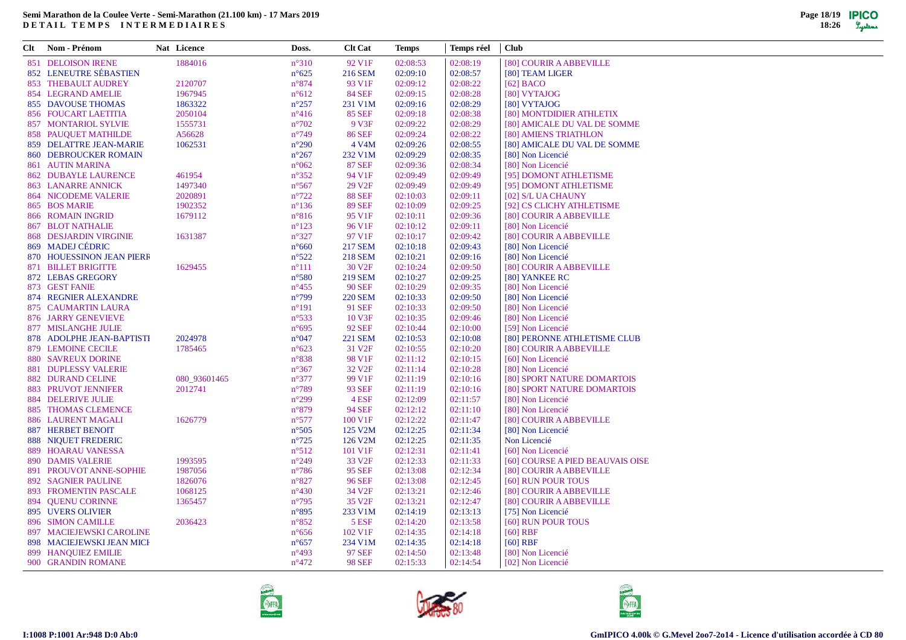$\sim$ 

| Clt Nom - Prénom            | Nat Licence  | Doss.           | <b>Clt Cat</b>     | <b>Temps</b> | Temps réel | <b>Club</b>                      |
|-----------------------------|--------------|-----------------|--------------------|--------------|------------|----------------------------------|
| 851 DELOISON IRENE          | 1884016      | $n^{\circ}310$  | 92 V1F             | 02:08:53     | 02:08:19   | [80] COURIR A ABBEVILLE          |
| 852 LENEUTRE SÉBASTIEN      |              | $n^{\circ}625$  | 216 SEM            | 02:09:10     | 02:08:57   | [80] TEAM LIGER                  |
| 853 THEBAULT AUDREY         | 2120707      | $n^{\circ}874$  | 93 V1F             | 02:09:12     | 02:08:22   | $[62]$ BACO                      |
| 854 LEGRAND AMELIE          | 1967945      | $n^{\circ}612$  | <b>84 SEF</b>      | 02:09:15     | 02:08:28   | [80] VYTAJOG                     |
| 855 DAVOUSE THOMAS          | 1863322      | $n^{\circ}257$  | 231 V1M            | 02:09:16     | 02:08:29   | [80] VYTAJOG                     |
| 856 FOUCART LAETITIA        | 2050104      | $n^{\circ}416$  | <b>85 SEF</b>      | 02:09:18     | 02:08:38   | [80] MONTDIDIER ATHLETIX         |
| 857 MONTARIOL SYLVIE        | 1555731      | $n^{\circ}702$  | 9 V3F              | 02:09:22     | 02:08:29   | [80] AMICALE DU VAL DE SOMME     |
| 858 PAUQUET MATHILDE        | A56628       | $n^{\circ}749$  | <b>86 SEF</b>      | 02:09:24     | 02:08:22   | [80] AMIENS TRIATHLON            |
| 859 DELATTRE JEAN-MARIE     | 1062531      | $n^{\circ}290$  | 4 V <sub>4</sub> M | 02:09:26     | 02:08:55   | [80] AMICALE DU VAL DE SOMME     |
| 860 DEBROUCKER ROMAIN       |              | $n^{\circ}267$  | 232 V1M            | 02:09:29     | 02:08:35   | [80] Non Licencié                |
| 861 AUTIN MARINA            |              | $n^{\circ}062$  | <b>87 SEF</b>      | 02:09:36     | 02:08:34   | [80] Non Licencié                |
| <b>862 DUBAYLE LAURENCE</b> | 461954       | $n^{\circ}352$  | 94 V1F             | 02:09:49     | 02:09:49   | [95] DOMONT ATHLETISME           |
| 863 LANARRE ANNICK          | 1497340      | $n^{\circ}567$  | 29 V <sub>2F</sub> | 02:09:49     | 02:09:49   | [95] DOMONT ATHLETISME           |
| 864 NICODEME VALERIE        | 2020891      | $n^{\circ}722$  | <b>88 SEF</b>      | 02:10:03     | 02:09:11   | [02] S/L UA CHAUNY               |
| 865 BOS MARIE               | 1902352      | $n^{\circ}136$  | <b>89 SEF</b>      | 02:10:09     | 02:09:25   | [92] CS CLICHY ATHLETISME        |
| 866 ROMAIN INGRID           | 1679112      | $n^{\circ}816$  | 95 V1F             | 02:10:11     | 02:09:36   | [80] COURIR A ABBEVILLE          |
| <b>867 BLOT NATHALIE</b>    |              | $n^{\circ}123$  | 96 V <sub>1F</sub> | 02:10:12     | 02:09:11   | [80] Non Licencié                |
| 868 DESJARDIN VIRGINIE      | 1631387      | $n^{\circ}327$  | 97 V1F             | 02:10:17     | 02:09:42   | [80] COURIR A ABBEVILLE          |
| 869 MADEJ CÉDRIC            |              | $n^{\circ}660$  | 217 SEM            | 02:10:18     | 02:09:43   | [80] Non Licencié                |
| 870 HOUESSINON JEAN PIERR   |              | $n^{\circ}522$  | 218 SEM            | 02:10:21     | 02:09:16   | [80] Non Licencié                |
| 871 BILLET BRIGITTE         | 1629455      | $n^{\circ}111$  | 30 V <sub>2F</sub> | 02:10:24     | 02:09:50   | [80] COURIR A ABBEVILLE          |
| 872 LEBAS GREGORY           |              | $n^{\circ}580$  | <b>219 SEM</b>     | 02:10:27     | 02:09:25   | [80] YANKEE RC                   |
| 873 GEST FANIE              |              | $n^{\circ}455$  | <b>90 SEF</b>      | 02:10:29     | 02:09:35   | [80] Non Licencié                |
| 874 REGNIER ALEXANDRE       |              | $n^{\circ}799$  | <b>220 SEM</b>     | 02:10:33     | 02:09:50   | [80] Non Licencié                |
| 875 CAUMARTIN LAURA         |              | $n^{\circ}191$  | 91 SEF             | 02:10:33     | 02:09:50   | [80] Non Licencié                |
| 876 JARRY GENEVIEVE         |              | $n^{\circ}$ 533 | 10 V3F             | 02:10:35     | 02:09:46   | [80] Non Licencié                |
| 877 MISLANGHE JULIE         |              | $n^{\circ}695$  | <b>92 SEF</b>      | 02:10:44     | 02:10:00   | [59] Non Licencié                |
| 878 ADOLPHE JEAN-BAPTISTI   | 2024978      | $n^{\circ}047$  | <b>221 SEM</b>     | 02:10:53     | 02:10:08   | [80] PERONNE ATHLETISME CLUB     |
| 879 LEMOINE CECILE          | 1785465      | $n^{\circ}623$  | 31 V <sub>2F</sub> | 02:10:55     | 02:10:20   | [80] COURIR A ABBEVILLE          |
| 880 SAVREUX DORINE          |              | $n^{\circ}838$  | 98 V1F             | 02:11:12     | 02:10:15   | [60] Non Licencié                |
| 881 DUPLESSY VALERIE        |              | $n^{\circ}367$  | 32 V <sub>2F</sub> | 02:11:14     | 02:10:28   | [80] Non Licencié                |
| <b>882 DURAND CELINE</b>    | 080_93601465 | $n^{\circ}377$  | 99 V1F             | 02:11:19     | 02:10:16   | [80] SPORT NATURE DOMARTOIS      |
| 883 PRUVOT JENNIFER         | 2012741      | $n^{\circ}789$  | 93 SEF             | 02:11:19     | 02:10:16   | [80] SPORT NATURE DOMARTOIS      |
| <b>884 DELERIVE JULIE</b>   |              | $n^{\circ}299$  | 4 ESF              | 02:12:09     | 02:11:57   | [80] Non Licencié                |
| 885 THOMAS CLEMENCE         |              | $n^{\circ}879$  | <b>94 SEF</b>      | 02:12:12     | 02:11:10   | [80] Non Licencié                |
| 886 LAURENT MAGALI          | 1626779      | $n^{\circ}577$  | 100 V1F            | 02:12:22     | 02:11:47   | [80] COURIR A ABBEVILLE          |
| <b>887 HERBET BENOIT</b>    |              | $n^{\circ}505$  | 125 V2M            | 02:12:25     | 02:11:34   | [80] Non Licencié                |
| 888 NIQUET FREDERIC         |              | $n^{\circ}725$  | 126 V2M            | 02:12:25     | 02:11:35   | Non Licencié                     |
| 889 HOARAU VANESSA          |              | $n^{\circ}512$  | 101 V1F            | 02:12:31     | 02:11:41   | [60] Non Licencié                |
| <b>890 DAMIS VALERIE</b>    | 1993595      | $n^{\circ}249$  | 33 V <sub>2F</sub> | 02:12:33     | 02:11:33   | [60] COURSE A PIED BEAUVAIS OISE |
| 891 PROUVOT ANNE-SOPHIE     | 1987056      | $n^{\circ}786$  | <b>95 SEF</b>      | 02:13:08     | 02:12:34   | [80] COURIR A ABBEVILLE          |
| <b>892 SAGNIER PAULINE</b>  | 1826076      | $n^{\circ}827$  | <b>96 SEF</b>      | 02:13:08     | 02:12:45   | [60] RUN POUR TOUS               |
| 893 FROMENTIN PASCALE       | 1068125      | $n^{\circ}430$  | 34 V <sub>2F</sub> | 02:13:21     | 02:12:46   | [80] COURIR A ABBEVILLE          |
| 894 QUENU CORINNE           | 1365457      | $n^{\circ}795$  | 35 V <sub>2F</sub> | 02:13:21     | 02:12:47   | [80] COURIR A ABBEVILLE          |
| 895 UVERS OLIVIER           |              | $n^{\circ}895$  | 233 V1M            | 02:14:19     | 02:13:13   | [75] Non Licencié                |
| 896 SIMON CAMILLE           | 2036423      | $n^{\circ}852$  | 5 ESF              | 02:14:20     | 02:13:58   | [60] RUN POUR TOUS               |
| 897 MACIEJEWSKI CAROLINE    |              | $n^{\circ}656$  | 102 V1F            | 02:14:35     | 02:14:18   | $[60]$ RBF                       |
| 898 MACIEJEWSKI JEAN MICH   |              | $n^{\circ}657$  | 234 V1M            | 02:14:35     | 02:14:18   | $[60]$ RBF                       |
| 899 HANQUIEZ EMILIE         |              | $n^{\circ}493$  | <b>97 SEF</b>      | 02:14:50     | 02:13:48   | [80] Non Licencié                |
| 900 GRANDIN ROMANE          |              | $n^{\circ}472$  | <b>98 SEF</b>      | 02:15:33     | 02:14:54   | [02] Non Licencié                |
|                             |              |                 |                    |              |            |                                  |